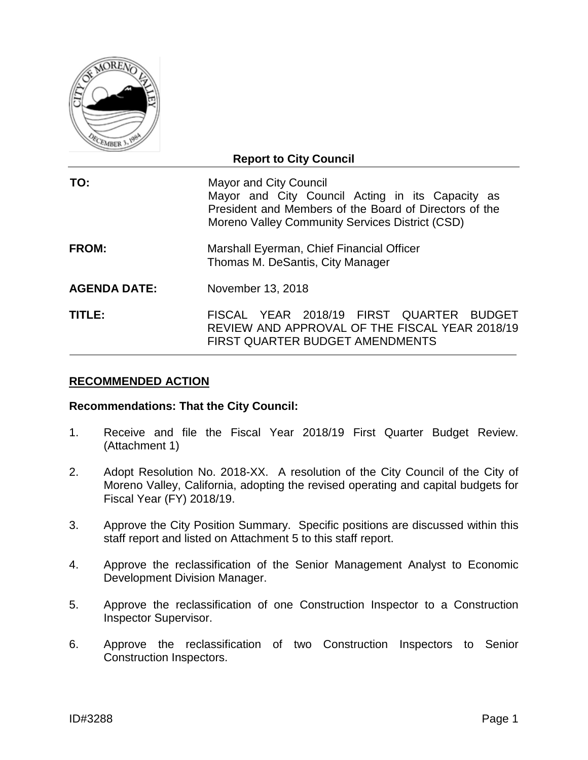

| <b>Report to City Council</b> |                                                                                                                                                                                                |  |  |  |  |  |  |  |
|-------------------------------|------------------------------------------------------------------------------------------------------------------------------------------------------------------------------------------------|--|--|--|--|--|--|--|
| TO:                           | <b>Mayor and City Council</b><br>Mayor and City Council Acting in its Capacity as<br>President and Members of the Board of Directors of the<br>Moreno Valley Community Services District (CSD) |  |  |  |  |  |  |  |
| FROM:                         | Marshall Eyerman, Chief Financial Officer<br>Thomas M. DeSantis, City Manager                                                                                                                  |  |  |  |  |  |  |  |
| <b>AGENDA DATE:</b>           | November 13, 2018                                                                                                                                                                              |  |  |  |  |  |  |  |
| TITLE:                        | FISCAL YEAR 2018/19 FIRST QUARTER<br>BUDGET<br>REVIEW AND APPROVAL OF THE FISCAL YEAR 2018/19<br><b>FIRST QUARTER BUDGET AMENDMENTS</b>                                                        |  |  |  |  |  |  |  |

## **RECOMMENDED ACTION**

## **Recommendations: That the City Council:**

- 1. Receive and file the Fiscal Year 2018/19 First Quarter Budget Review. (Attachment 1)
- 2. Adopt Resolution No. 2018-XX. A resolution of the City Council of the City of Moreno Valley, California, adopting the revised operating and capital budgets for Fiscal Year (FY) 2018/19.
- 3. Approve the City Position Summary. Specific positions are discussed within this staff report and listed on Attachment 5 to this staff report.
- 4. Approve the reclassification of the Senior Management Analyst to Economic Development Division Manager.
- 5. Approve the reclassification of one Construction Inspector to a Construction Inspector Supervisor.
- 6. Approve the reclassification of two Construction Inspectors to Senior Construction Inspectors.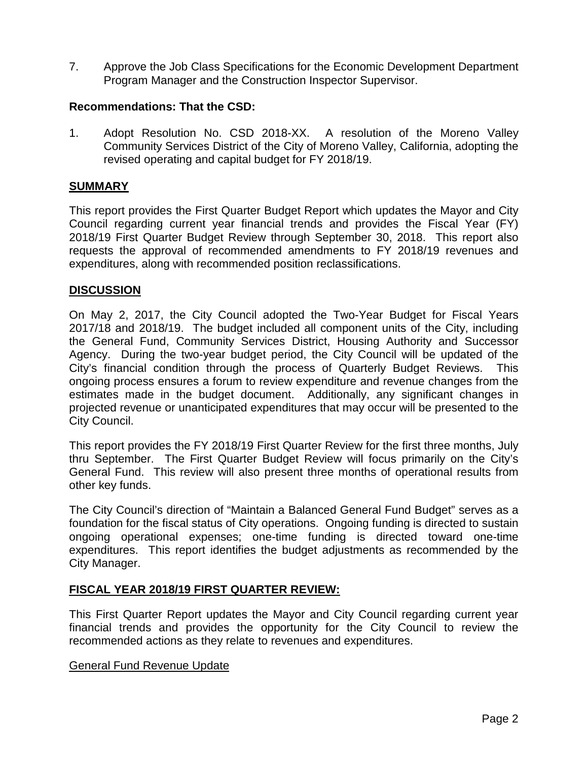7. Approve the Job Class Specifications for the Economic Development Department Program Manager and the Construction Inspector Supervisor.

## **Recommendations: That the CSD:**

1. Adopt Resolution No. CSD 2018-XX. A resolution of the Moreno Valley Community Services District of the City of Moreno Valley, California, adopting the revised operating and capital budget for FY 2018/19.

## **SUMMARY**

This report provides the First Quarter Budget Report which updates the Mayor and City Council regarding current year financial trends and provides the Fiscal Year (FY) 2018/19 First Quarter Budget Review through September 30, 2018. This report also requests the approval of recommended amendments to FY 2018/19 revenues and expenditures, along with recommended position reclassifications.

## **DISCUSSION**

On May 2, 2017, the City Council adopted the Two-Year Budget for Fiscal Years 2017/18 and 2018/19. The budget included all component units of the City, including the General Fund, Community Services District, Housing Authority and Successor Agency. During the two-year budget period, the City Council will be updated of the City's financial condition through the process of Quarterly Budget Reviews. This ongoing process ensures a forum to review expenditure and revenue changes from the estimates made in the budget document. Additionally, any significant changes in projected revenue or unanticipated expenditures that may occur will be presented to the City Council.

This report provides the FY 2018/19 First Quarter Review for the first three months, July thru September. The First Quarter Budget Review will focus primarily on the City's General Fund. This review will also present three months of operational results from other key funds.

The City Council's direction of "Maintain a Balanced General Fund Budget" serves as a foundation for the fiscal status of City operations. Ongoing funding is directed to sustain ongoing operational expenses; one-time funding is directed toward one-time expenditures. This report identifies the budget adjustments as recommended by the City Manager.

## **FISCAL YEAR 2018/19 FIRST QUARTER REVIEW:**

This First Quarter Report updates the Mayor and City Council regarding current year financial trends and provides the opportunity for the City Council to review the recommended actions as they relate to revenues and expenditures.

## General Fund Revenue Update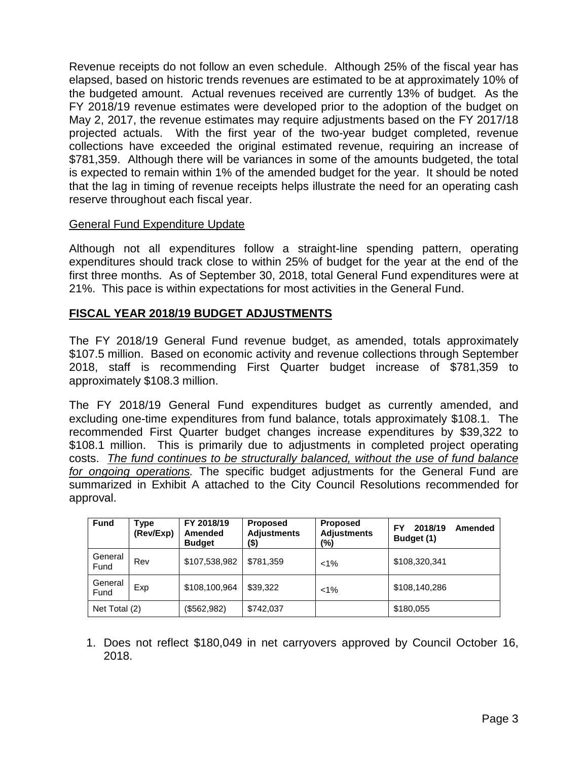Revenue receipts do not follow an even schedule. Although 25% of the fiscal year has elapsed, based on historic trends revenues are estimated to be at approximately 10% of the budgeted amount. Actual revenues received are currently 13% of budget. As the FY 2018/19 revenue estimates were developed prior to the adoption of the budget on May 2, 2017, the revenue estimates may require adjustments based on the FY 2017/18 projected actuals. With the first year of the two-year budget completed, revenue collections have exceeded the original estimated revenue, requiring an increase of \$781,359. Although there will be variances in some of the amounts budgeted, the total is expected to remain within 1% of the amended budget for the year. It should be noted that the lag in timing of revenue receipts helps illustrate the need for an operating cash reserve throughout each fiscal year.

## General Fund Expenditure Update

Although not all expenditures follow a straight-line spending pattern, operating expenditures should track close to within 25% of budget for the year at the end of the first three months. As of September 30, 2018, total General Fund expenditures were at 21%. This pace is within expectations for most activities in the General Fund.

## **FISCAL YEAR 2018/19 BUDGET ADJUSTMENTS**

The FY 2018/19 General Fund revenue budget, as amended, totals approximately \$107.5 million. Based on economic activity and revenue collections through September 2018, staff is recommending First Quarter budget increase of \$781,359 to approximately \$108.3 million.

The FY 2018/19 General Fund expenditures budget as currently amended, and excluding one-time expenditures from fund balance, totals approximately \$108.1. The recommended First Quarter budget changes increase expenditures by \$39,322 to \$108.1 million. This is primarily due to adjustments in completed project operating costs. *The fund continues to be structurally balanced, without the use of fund balance for ongoing operations.* The specific budget adjustments for the General Fund are summarized in Exhibit A attached to the City Council Resolutions recommended for approval.

| <b>Fund</b>     | Type<br>(Rev/Exp) | FY 2018/19<br>Amended<br><b>Budget</b> | <b>Proposed</b><br><b>Adjustments</b><br>(\$) | <b>Proposed</b><br><b>Adjustments</b><br>$(\% )$ | 2018/19<br>FY<br>Amended<br>Budget (1) |
|-----------------|-------------------|----------------------------------------|-----------------------------------------------|--------------------------------------------------|----------------------------------------|
| General<br>Fund | Rev               | \$107,538,982                          | \$781,359                                     | $1\%$                                            | \$108,320,341                          |
| General<br>Fund | Exp               | \$108,100,964                          | \$39,322                                      | $1\%$                                            | \$108,140,286                          |
| Net Total (2)   |                   | (\$562,982)                            | \$742,037                                     |                                                  | \$180,055                              |

1. Does not reflect \$180,049 in net carryovers approved by Council October 16, 2018.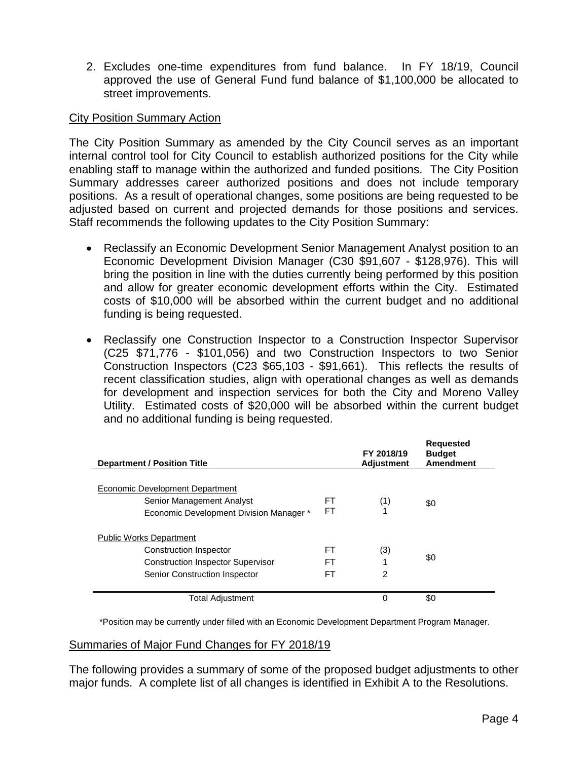2. Excludes one-time expenditures from fund balance. In FY 18/19, Council approved the use of General Fund fund balance of \$1,100,000 be allocated to street improvements.

## City Position Summary Action

The City Position Summary as amended by the City Council serves as an important internal control tool for City Council to establish authorized positions for the City while enabling staff to manage within the authorized and funded positions. The City Position Summary addresses career authorized positions and does not include temporary positions. As a result of operational changes, some positions are being requested to be adjusted based on current and projected demands for those positions and services. Staff recommends the following updates to the City Position Summary:

- Reclassify an Economic Development Senior Management Analyst position to an Economic Development Division Manager (C30 \$91,607 - \$128,976). This will bring the position in line with the duties currently being performed by this position and allow for greater economic development efforts within the City. Estimated costs of \$10,000 will be absorbed within the current budget and no additional funding is being requested.
- Reclassify one Construction Inspector to a Construction Inspector Supervisor (C25 \$71,776 - \$101,056) and two Construction Inspectors to two Senior Construction Inspectors (C23 \$65,103 - \$91,661). This reflects the results of recent classification studies, align with operational changes as well as demands for development and inspection services for both the City and Moreno Valley Utility. Estimated costs of \$20,000 will be absorbed within the current budget and no additional funding is being requested.

| <b>Department / Position Title</b>                                                                                                           |                | FY 2018/19<br><b>Adjustment</b> | <b>Requested</b><br><b>Budget</b><br><b>Amendment</b> |
|----------------------------------------------------------------------------------------------------------------------------------------------|----------------|---------------------------------|-------------------------------------------------------|
| Economic Development Department<br>Senior Management Analyst<br>Economic Development Division Manager *                                      | FT<br>FT       | (1)                             | \$0                                                   |
| <b>Public Works Department</b><br>Construction Inspector<br><b>Construction Inspector Supervisor</b><br><b>Senior Construction Inspector</b> | FT<br>FT<br>FT | (3)<br>$\overline{2}$           | \$0                                                   |
| <b>Total Adjustment</b>                                                                                                                      |                | 0                               | \$0                                                   |

\*Position may be currently under filled with an Economic Development Department Program Manager.

## Summaries of Major Fund Changes for FY 2018/19

The following provides a summary of some of the proposed budget adjustments to other major funds. A complete list of all changes is identified in Exhibit A to the Resolutions.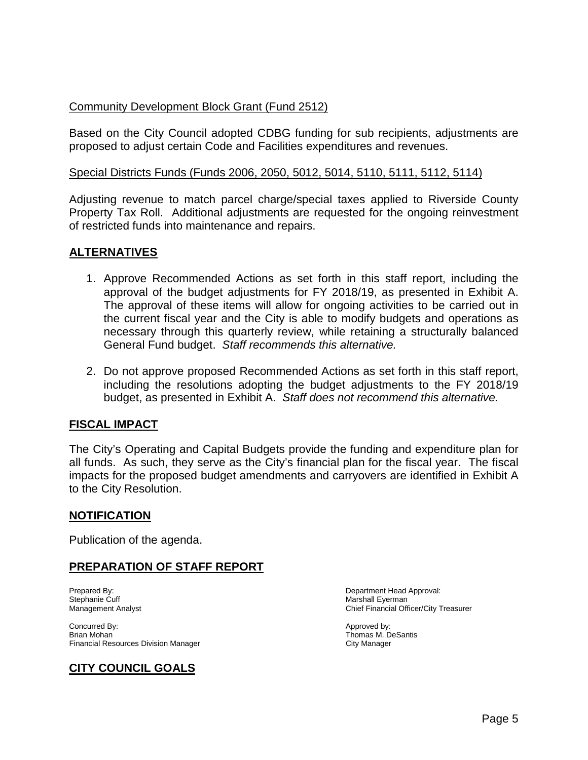## Community Development Block Grant (Fund 2512)

Based on the City Council adopted CDBG funding for sub recipients, adjustments are proposed to adjust certain Code and Facilities expenditures and revenues.

## Special Districts Funds (Funds 2006, 2050, 5012, 5014, 5110, 5111, 5112, 5114)

Adjusting revenue to match parcel charge/special taxes applied to Riverside County Property Tax Roll. Additional adjustments are requested for the ongoing reinvestment of restricted funds into maintenance and repairs.

## **ALTERNATIVES**

- 1. Approve Recommended Actions as set forth in this staff report, including the approval of the budget adjustments for FY 2018/19, as presented in Exhibit A. The approval of these items will allow for ongoing activities to be carried out in the current fiscal year and the City is able to modify budgets and operations as necessary through this quarterly review, while retaining a structurally balanced General Fund budget. *Staff recommends this alternative.*
- 2. Do not approve proposed Recommended Actions as set forth in this staff report, including the resolutions adopting the budget adjustments to the FY 2018/19 budget, as presented in Exhibit A. *Staff does not recommend this alternative.*

## **FISCAL IMPACT**

The City's Operating and Capital Budgets provide the funding and expenditure plan for all funds. As such, they serve as the City's financial plan for the fiscal year. The fiscal impacts for the proposed budget amendments and carryovers are identified in Exhibit A to the City Resolution.

## **NOTIFICATION**

Publication of the agenda.

## **PREPARATION OF STAFF REPORT**

Stephanie Cuff and the Current of the Current Analyst Chief Financial Officer Marshall Eyerman<br>
Management Analyst Chief Einancial Officer Chief Einancial Officer Chief Einancial Officer Chief Einancial Of

Concurred By:  $\blacksquare$ Brian Mohan **Thomas M. DeSantis**<br>
Financial Resources Division Manager<br>
Thomas M. DeSantis<br>
City Manager Financial Resources Division Manager

# **CITY COUNCIL GOALS**

Prepared By: Department Head Approval: Chief Financial Officer/City Treasurer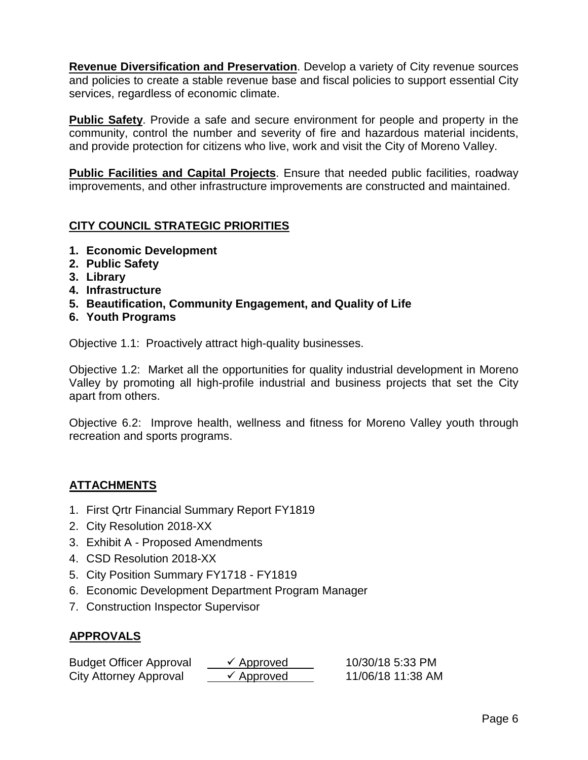**Revenue Diversification and Preservation**. Develop a variety of City revenue sources and policies to create a stable revenue base and fiscal policies to support essential City services, regardless of economic climate.

**Public Safety**. Provide a safe and secure environment for people and property in the community, control the number and severity of fire and hazardous material incidents, and provide protection for citizens who live, work and visit the City of Moreno Valley.

**Public Facilities and Capital Projects**. Ensure that needed public facilities, roadway improvements, and other infrastructure improvements are constructed and maintained.

# **CITY COUNCIL STRATEGIC PRIORITIES**

- **1. Economic Development**
- **2. Public Safety**
- **3. Library**
- **4. Infrastructure**
- **5. Beautification, Community Engagement, and Quality of Life**
- **6. Youth Programs**

Objective 1.1: Proactively attract high-quality businesses.

Objective 1.2: Market all the opportunities for quality industrial development in Moreno Valley by promoting all high-profile industrial and business projects that set the City apart from others.

Objective 6.2: Improve health, wellness and fitness for Moreno Valley youth through recreation and sports programs.

# **ATTACHMENTS**

- 1. First Qrtr Financial Summary Report FY1819
- 2. City Resolution 2018-XX
- 3. Exhibit A Proposed Amendments
- 4. CSD Resolution 2018-XX
- 5. City Position Summary FY1718 FY1819
- 6. Economic Development Department Program Manager
- 7. Construction Inspector Supervisor

# **APPROVALS**

| <b>Budget Officer Approval</b> | $\checkmark$ Approved | 10/30/18 5:33 PM  |
|--------------------------------|-----------------------|-------------------|
| City Attorney Approval         | $\checkmark$ Approved | 11/06/18 11:38 AM |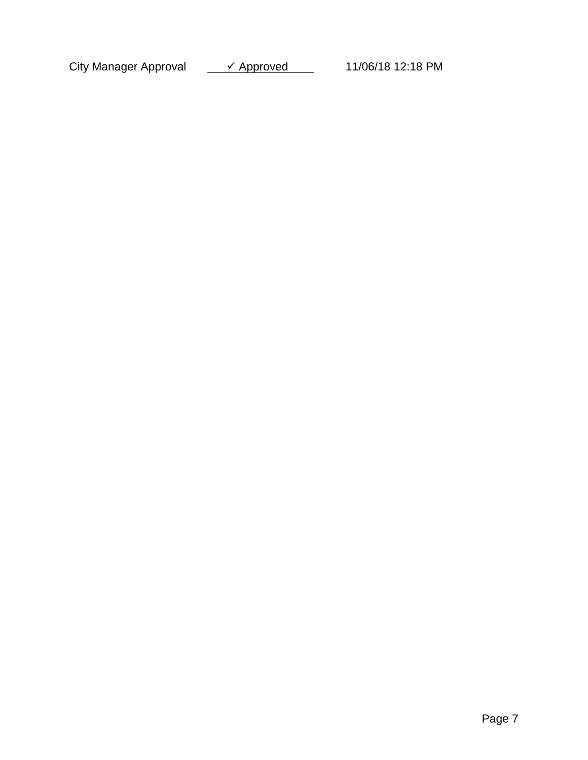City Manager Approval  $\longrightarrow$  Approved 11/06/18 12:18 PM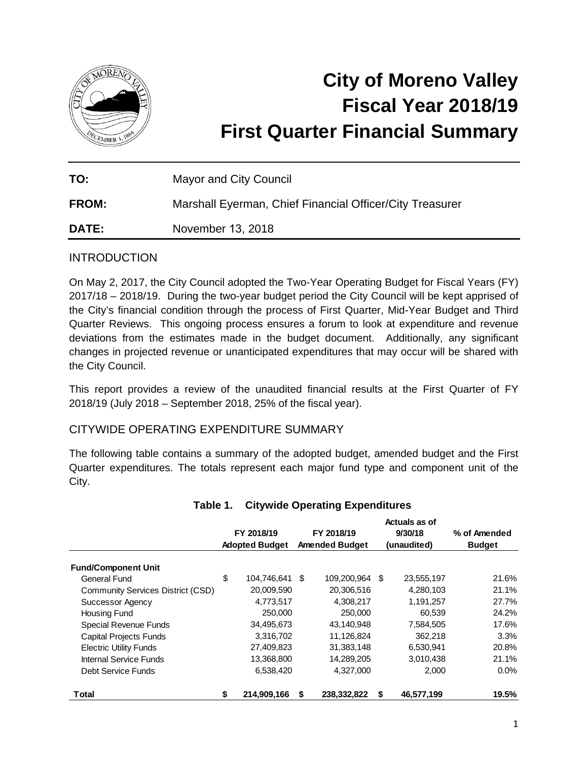

# **City of Moreno Valley Fiscal Year 2018/19 First Quarter Financial Summary**

| TO:          | <b>Mayor and City Council</b>                            |
|--------------|----------------------------------------------------------|
| <b>FROM:</b> | Marshall Eyerman, Chief Financial Officer/City Treasurer |
| DATE:        | November 13, 2018                                        |

## INTRODUCTION

On May 2, 2017, the City Council adopted the Two-Year Operating Budget for Fiscal Years (FY) 2017/18 – 2018/19. During the two-year budget period the City Council will be kept apprised of the City's financial condition through the process of First Quarter, Mid-Year Budget and Third Quarter Reviews. This ongoing process ensures a forum to look at expenditure and revenue deviations from the estimates made in the budget document. Additionally, any significant changes in projected revenue or unanticipated expenditures that may occur will be shared with the City Council.

This report provides a review of the unaudited financial results at the First Quarter of FY 2018/19 (July 2018 – September 2018, 25% of the fiscal year).

## CITYWIDE OPERATING EXPENDITURE SUMMARY

The following table contains a summary of the adopted budget, amended budget and the First Quarter expenditures. The totals represent each major fund type and component unit of the City.

|                                   | FY 2018/19<br><b>Adopted Budget</b> |                | FY 2018/19<br><b>Amended Budget</b> |                |   | Actuals as of<br>9/30/18<br>(unaudited) | % of Amended<br><b>Budget</b> |  |
|-----------------------------------|-------------------------------------|----------------|-------------------------------------|----------------|---|-----------------------------------------|-------------------------------|--|
| <b>Fund/Component Unit</b>        |                                     |                |                                     |                |   |                                         |                               |  |
| General Fund                      | \$                                  | 104,746,641 \$ |                                     | 109,200,964 \$ |   | 23,555,197                              | 21.6%                         |  |
| Community Services District (CSD) |                                     | 20,009,590     |                                     | 20,306,516     |   | 4,280,103                               | 21.1%                         |  |
| Successor Agency                  |                                     | 4,773,517      |                                     | 4,308,217      |   | 1,191,257                               | 27.7%                         |  |
| <b>Housing Fund</b>               |                                     | 250,000        |                                     | 250,000        |   | 60,539                                  | 24.2%                         |  |
| Special Revenue Funds             |                                     | 34,495,673     |                                     | 43.140.948     |   | 7,584,505                               | 17.6%                         |  |
| <b>Capital Projects Funds</b>     |                                     | 3,316,702      |                                     | 11,126,824     |   | 362,218                                 | 3.3%                          |  |
| <b>Electric Utility Funds</b>     |                                     | 27,409,823     |                                     | 31,383,148     |   | 6,530,941                               | 20.8%                         |  |
| Internal Service Funds            |                                     | 13,368,800     |                                     | 14,289,205     |   | 3,010,438                               | 21.1%                         |  |
| Debt Service Funds                |                                     | 6,538,420      |                                     | 4,327,000      |   | 2,000                                   | $0.0\%$                       |  |
| Total                             | S                                   | 214,909,166    | S                                   | 238,332,822    | S | 46,577,199                              | 19.5%                         |  |

## **Table 1. Citywide Operating Expenditures**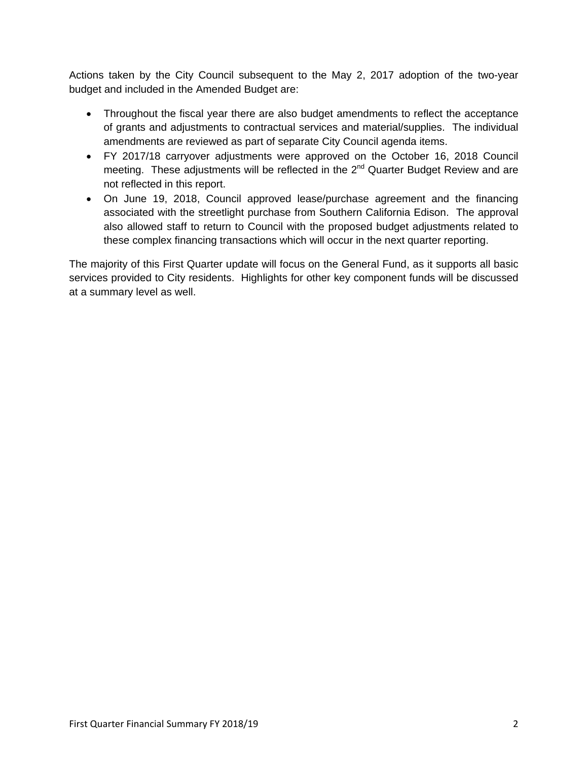Actions taken by the City Council subsequent to the May 2, 2017 adoption of the two-year budget and included in the Amended Budget are:

- Throughout the fiscal year there are also budget amendments to reflect the acceptance of grants and adjustments to contractual services and material/supplies. The individual amendments are reviewed as part of separate City Council agenda items.
- FY 2017/18 carryover adjustments were approved on the October 16, 2018 Council meeting. These adjustments will be reflected in the  $2^{nd}$  Quarter Budget Review and are not reflected in this report.
- On June 19, 2018, Council approved lease/purchase agreement and the financing associated with the streetlight purchase from Southern California Edison. The approval also allowed staff to return to Council with the proposed budget adjustments related to these complex financing transactions which will occur in the next quarter reporting.

The majority of this First Quarter update will focus on the General Fund, as it supports all basic services provided to City residents. Highlights for other key component funds will be discussed at a summary level as well.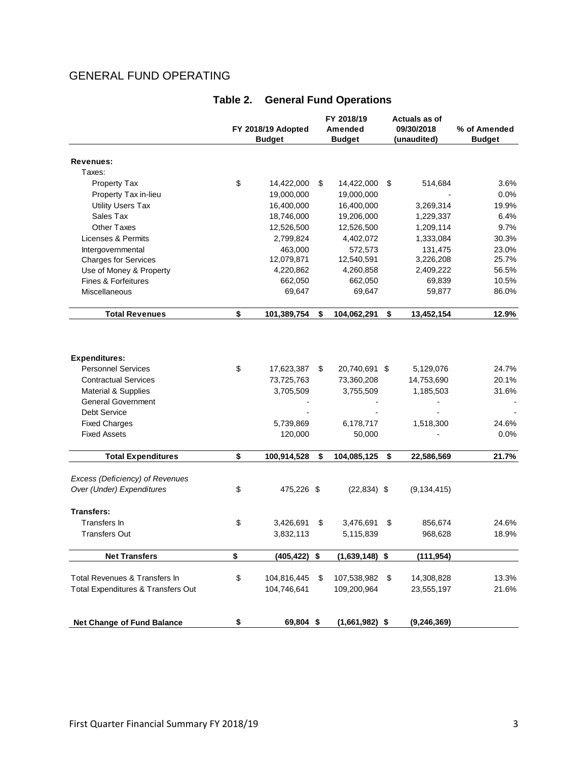# GENERAL FUND OPERATING

|                                    | FY 2018/19 Adopted<br><b>Budget</b> |             | FY 2018/19<br>Amended<br><b>Budget</b> | Actuals as of<br>09/30/2018<br>(unaudited) | % of Amended<br><b>Budget</b> |  |
|------------------------------------|-------------------------------------|-------------|----------------------------------------|--------------------------------------------|-------------------------------|--|
| <b>Revenues:</b>                   |                                     |             |                                        |                                            |                               |  |
| Taxes:                             |                                     |             |                                        |                                            |                               |  |
| Property Tax                       | \$                                  | 14,422,000  | \$<br>14,422,000                       | \$<br>514,684                              | 3.6%                          |  |
| Property Tax in-lieu               |                                     | 19,000,000  | 19,000,000                             |                                            | 0.0%                          |  |
| <b>Utility Users Tax</b>           |                                     | 16,400,000  | 16,400,000                             | 3,269,314                                  | 19.9%                         |  |
| Sales Tax                          |                                     | 18,746,000  | 19,206,000                             |                                            | 6.4%                          |  |
|                                    |                                     |             |                                        | 1,229,337                                  |                               |  |
| <b>Other Taxes</b>                 |                                     | 12,526,500  | 12,526,500                             | 1,209,114                                  | 9.7%                          |  |
| <b>Licenses &amp; Permits</b>      |                                     | 2,799,824   | 4,402,072                              | 1,333,084                                  | 30.3%                         |  |
| Intergovernmental                  |                                     | 463,000     | 572,573                                | 131,475                                    | 23.0%                         |  |
| <b>Charges for Services</b>        |                                     | 12,079,871  | 12,540,591                             | 3,226,208                                  | 25.7%                         |  |
| Use of Money & Property            |                                     | 4,220,862   | 4,260,858                              | 2,409,222                                  | 56.5%                         |  |
| Fines & Forfeitures                |                                     | 662,050     | 662,050                                | 69,839                                     | 10.5%                         |  |
| Miscellaneous                      |                                     | 69,647      | 69,647                                 | 59,877                                     | 86.0%                         |  |
| <b>Total Revenues</b>              | \$                                  | 101,389,754 | \$<br>104,062,291                      | \$<br>13,452,154                           | 12.9%                         |  |
|                                    |                                     |             |                                        |                                            |                               |  |
| <b>Expenditures:</b>               |                                     |             |                                        |                                            |                               |  |
| <b>Personnel Services</b>          | \$                                  | 17,623,387  | \$<br>20,740,691 \$                    | 5,129,076                                  | 24.7%                         |  |
| <b>Contractual Services</b>        |                                     | 73,725,763  | 73,360,208                             | 14,753,690                                 | 20.1%                         |  |
| Material & Supplies                |                                     | 3,705,509   | 3,755,509                              | 1,185,503                                  | 31.6%                         |  |
| <b>General Government</b>          |                                     |             |                                        |                                            |                               |  |
| <b>Debt Service</b>                |                                     |             |                                        |                                            |                               |  |
| <b>Fixed Charges</b>               |                                     | 5,739,869   | 6,178,717                              | 1,518,300                                  | 24.6%                         |  |
| <b>Fixed Assets</b>                |                                     | 120,000     | 50,000                                 |                                            | 0.0%                          |  |
| <b>Total Expenditures</b>          | \$                                  | 100,914,528 | \$<br>104,085,125                      | \$<br>22,586,569                           | 21.7%                         |  |
|                                    |                                     |             |                                        |                                            |                               |  |
| Excess (Deficiency) of Revenues    |                                     |             |                                        |                                            |                               |  |
| Over (Under) Expenditures          | \$                                  | 475,226 \$  | $(22, 834)$ \$                         | (9, 134, 415)                              |                               |  |
| <b>Transfers:</b>                  |                                     |             |                                        |                                            |                               |  |
| Transfers In                       | \$                                  | 3,426,691   | \$<br>3,476,691                        | \$<br>856,674                              | 24.6%                         |  |
| <b>Transfers Out</b>               |                                     | 3,832,113   | 5,115,839                              | 968,628                                    | 18.9%                         |  |
| <b>Net Transfers</b>               | \$                                  | (405, 422)  | \$<br>$(1,639,148)$ \$                 | (111, 954)                                 |                               |  |
|                                    |                                     |             |                                        |                                            |                               |  |
| Total Revenues & Transfers In      | \$                                  | 104,816,445 | \$<br>107,538,982                      | \$<br>14,308,828                           | 13.3%                         |  |
| Total Expenditures & Transfers Out |                                     | 104,746,641 | 109,200,964                            | 23,555,197                                 | 21.6%                         |  |
|                                    |                                     |             |                                        |                                            |                               |  |
| <b>Net Change of Fund Balance</b>  | \$                                  | 69,804 \$   | $(1,661,982)$ \$                       | (9, 246, 369)                              |                               |  |

# **Table 2. General Fund Operations**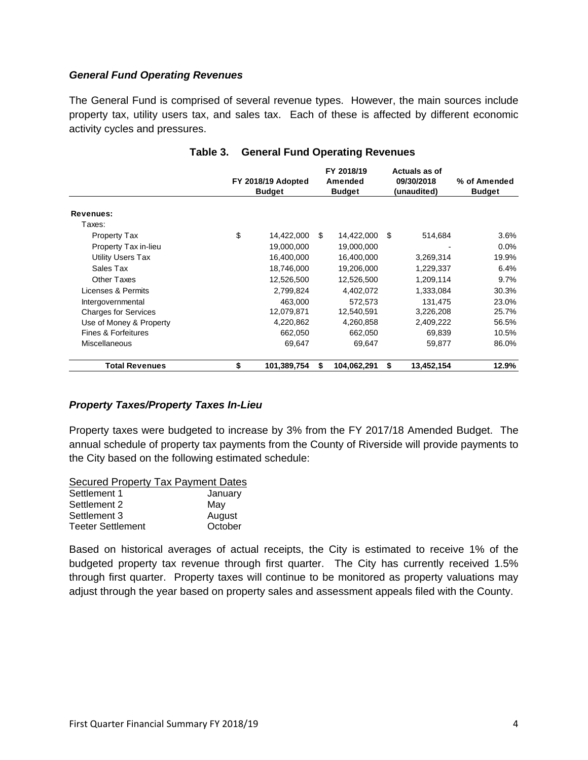#### *General Fund Operating Revenues*

The General Fund is comprised of several revenue types. However, the main sources include property tax, utility users tax, and sales tax. Each of these is affected by different economic activity cycles and pressures.

|                             | FY 2018/19 Adopted<br><b>Budget</b> |    | FY 2018/19<br>Amended<br><b>Budget</b> |    | Actuals as of<br>09/30/2018<br>(unaudited) | % of Amended<br><b>Budget</b> |  |
|-----------------------------|-------------------------------------|----|----------------------------------------|----|--------------------------------------------|-------------------------------|--|
|                             |                                     |    |                                        |    |                                            |                               |  |
| <b>Revenues:</b>            |                                     |    |                                        |    |                                            |                               |  |
| Taxes:                      |                                     |    |                                        |    |                                            |                               |  |
| <b>Property Tax</b>         | \$<br>14,422,000                    | \$ | 14,422,000                             | \$ | 514,684                                    | 3.6%                          |  |
| Property Tax in-lieu        | 19,000,000                          |    | 19,000,000                             |    |                                            | $0.0\%$                       |  |
| Utility Users Tax           | 16,400,000                          |    | 16,400,000                             |    | 3,269,314                                  | 19.9%                         |  |
| Sales Tax                   | 18,746,000                          |    | 19,206,000                             |    | 1,229,337                                  | 6.4%                          |  |
| <b>Other Taxes</b>          | 12,526,500                          |    | 12,526,500                             |    | 1,209,114                                  | 9.7%                          |  |
| Licenses & Permits          | 2,799,824                           |    | 4,402,072                              |    | 1,333,084                                  | 30.3%                         |  |
| Intergovernmental           | 463.000                             |    | 572,573                                |    | 131,475                                    | 23.0%                         |  |
| <b>Charges for Services</b> | 12,079,871                          |    | 12,540,591                             |    | 3,226,208                                  | 25.7%                         |  |
| Use of Money & Property     | 4,220,862                           |    | 4,260,858                              |    | 2,409,222                                  | 56.5%                         |  |
| Fines & Forfeitures         | 662,050                             |    | 662,050                                |    | 69,839                                     | 10.5%                         |  |
| Miscellaneous               | 69,647                              |    | 69,647                                 |    | 59,877                                     | 86.0%                         |  |
| <b>Total Revenues</b>       | \$<br>101,389,754                   | S  | 104,062,291                            | S  | 13,452,154                                 | 12.9%                         |  |

#### **Table 3. General Fund Operating Revenues**

#### *Property Taxes/Property Taxes In-Lieu*

Property taxes were budgeted to increase by 3% from the FY 2017/18 Amended Budget. The annual schedule of property tax payments from the County of Riverside will provide payments to the City based on the following estimated schedule:

Secured Property Tax Payment Dates

| Settlement 1             | January |
|--------------------------|---------|
| Settlement 2             | May     |
| Settlement 3             | August  |
| <b>Teeter Settlement</b> | October |

Based on historical averages of actual receipts, the City is estimated to receive 1% of the budgeted property tax revenue through first quarter. The City has currently received 1.5% through first quarter. Property taxes will continue to be monitored as property valuations may adjust through the year based on property sales and assessment appeals filed with the County.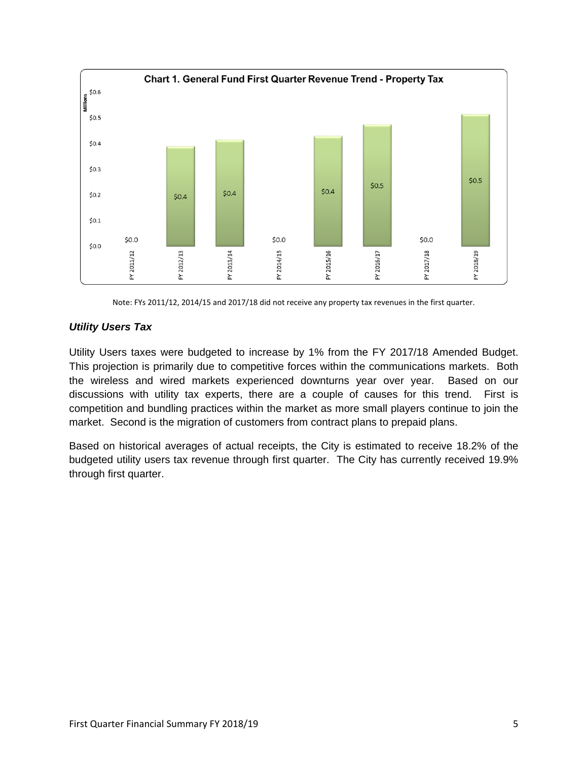

Note: FYs 2011/12, 2014/15 and 2017/18 did not receive any property tax revenues in the first quarter.

## *Utility Users Tax*

Utility Users taxes were budgeted to increase by 1% from the FY 2017/18 Amended Budget. This projection is primarily due to competitive forces within the communications markets. Both the wireless and wired markets experienced downturns year over year. Based on our discussions with utility tax experts, there are a couple of causes for this trend. First is competition and bundling practices within the market as more small players continue to join the market. Second is the migration of customers from contract plans to prepaid plans.

Based on historical averages of actual receipts, the City is estimated to receive 18.2% of the budgeted utility users tax revenue through first quarter. The City has currently received 19.9% through first quarter.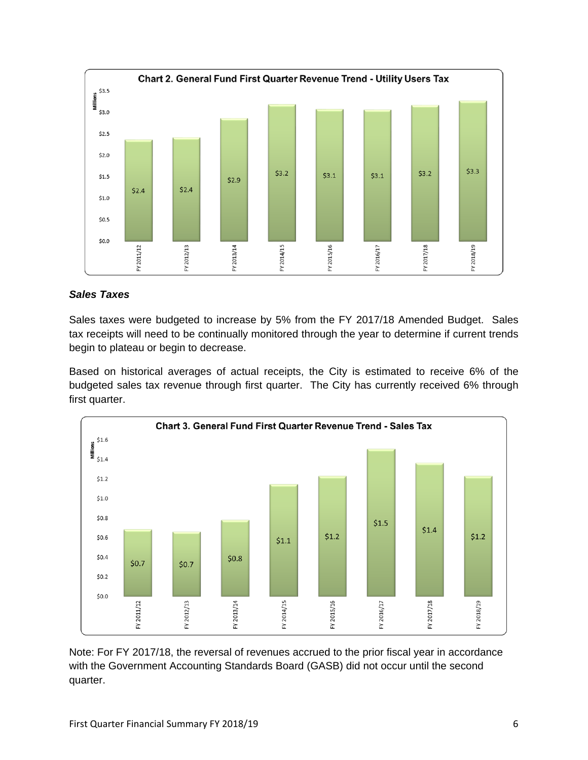

## *Sales Taxes*

Sales taxes were budgeted to increase by 5% from the FY 2017/18 Amended Budget. Sales tax receipts will need to be continually monitored through the year to determine if current trends begin to plateau or begin to decrease.

Based on historical averages of actual receipts, the City is estimated to receive 6% of the budgeted sales tax revenue through first quarter. The City has currently received 6% through first quarter.



Note: For FY 2017/18, the reversal of revenues accrued to the prior fiscal year in accordance with the Government Accounting Standards Board (GASB) did not occur until the second quarter.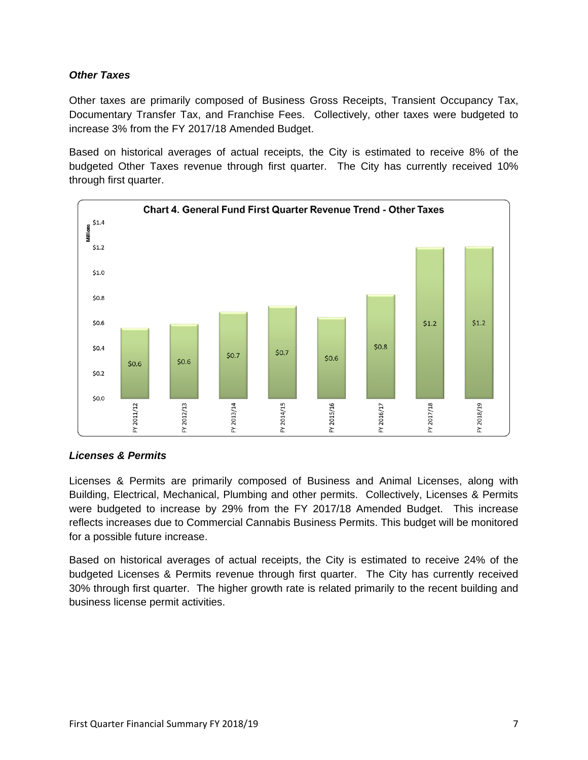## *Other Taxes*

Other taxes are primarily composed of Business Gross Receipts, Transient Occupancy Tax, Documentary Transfer Tax, and Franchise Fees. Collectively, other taxes were budgeted to increase 3% from the FY 2017/18 Amended Budget.

Based on historical averages of actual receipts, the City is estimated to receive 8% of the budgeted Other Taxes revenue through first quarter. The City has currently received 10% through first quarter.



## *Licenses & Permits*

Licenses & Permits are primarily composed of Business and Animal Licenses, along with Building, Electrical, Mechanical, Plumbing and other permits. Collectively, Licenses & Permits were budgeted to increase by 29% from the FY 2017/18 Amended Budget. This increase reflects increases due to Commercial Cannabis Business Permits. This budget will be monitored for a possible future increase.

Based on historical averages of actual receipts, the City is estimated to receive 24% of the budgeted Licenses & Permits revenue through first quarter. The City has currently received 30% through first quarter. The higher growth rate is related primarily to the recent building and business license permit activities.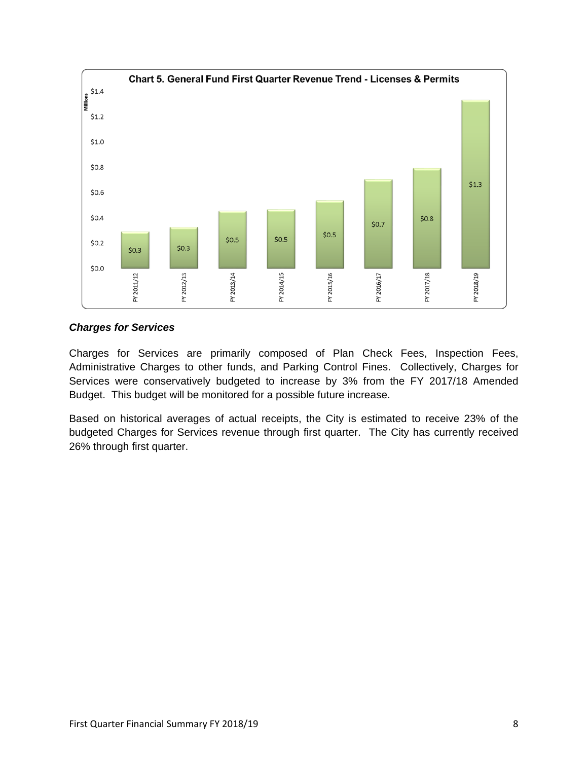

## *Charges for Services*

Charges for Services are primarily composed of Plan Check Fees, Inspection Fees, Administrative Charges to other funds, and Parking Control Fines. Collectively, Charges for Services were conservatively budgeted to increase by 3% from the FY 2017/18 Amended Budget. This budget will be monitored for a possible future increase.

Based on historical averages of actual receipts, the City is estimated to receive 23% of the budgeted Charges for Services revenue through first quarter. The City has currently received 26% through first quarter.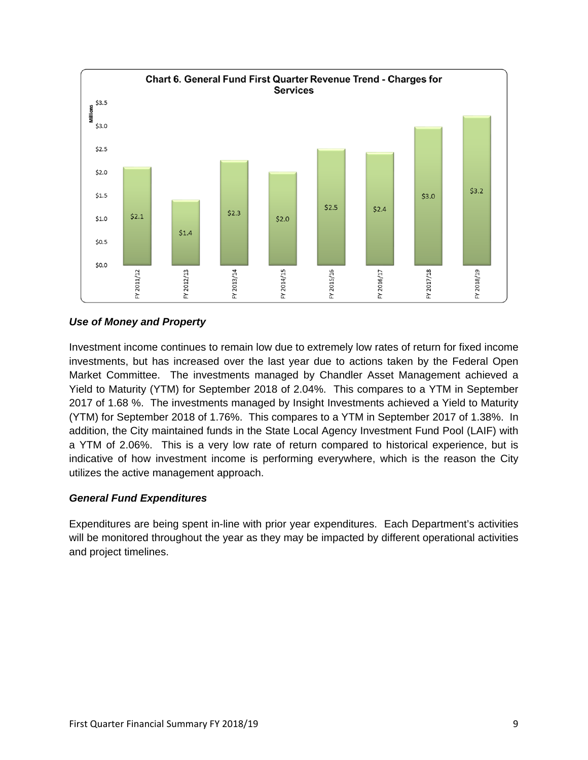

## *Use of Money and Property*

Investment income continues to remain low due to extremely low rates of return for fixed income investments, but has increased over the last year due to actions taken by the Federal Open Market Committee. The investments managed by Chandler Asset Management achieved a Yield to Maturity (YTM) for September 2018 of 2.04%. This compares to a YTM in September 2017 of 1.68 %. The investments managed by Insight Investments achieved a Yield to Maturity (YTM) for September 2018 of 1.76%. This compares to a YTM in September 2017 of 1.38%. In addition, the City maintained funds in the State Local Agency Investment Fund Pool (LAIF) with a YTM of 2.06%. This is a very low rate of return compared to historical experience, but is indicative of how investment income is performing everywhere, which is the reason the City utilizes the active management approach.

## *General Fund Expenditures*

Expenditures are being spent in-line with prior year expenditures. Each Department's activities will be monitored throughout the year as they may be impacted by different operational activities and project timelines.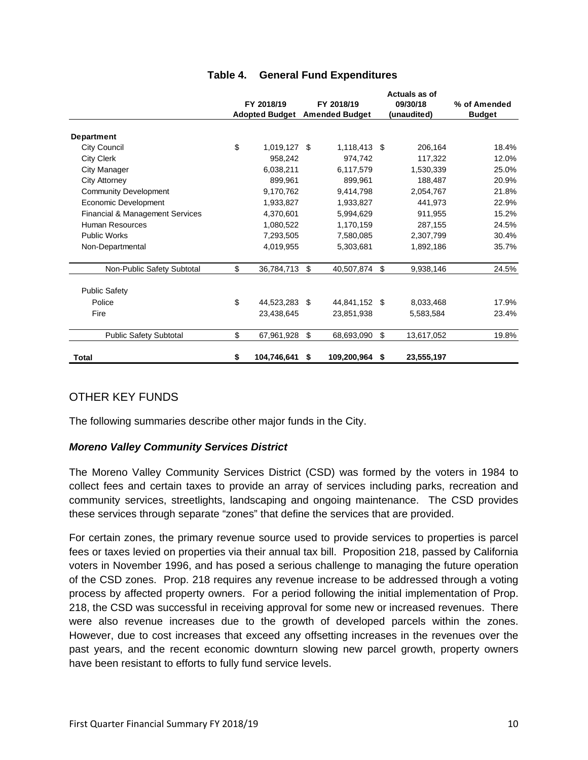|                                 |            |                       |    |                       | Actuals as of    |               |  |
|---------------------------------|------------|-----------------------|----|-----------------------|------------------|---------------|--|
|                                 | FY 2018/19 |                       |    | FY 2018/19            | 09/30/18         | % of Amended  |  |
|                                 |            | <b>Adopted Budget</b> |    | <b>Amended Budget</b> | (unaudited)      | <b>Budget</b> |  |
| <b>Department</b>               |            |                       |    |                       |                  |               |  |
| <b>City Council</b>             | \$         | 1,019,127 \$          |    | 1,118,413 \$          | 206,164          | 18.4%         |  |
| <b>City Clerk</b>               |            | 958.242               |    | 974,742               | 117,322          | 12.0%         |  |
| City Manager                    |            | 6,038,211             |    | 6,117,579             | 1,530,339        | 25.0%         |  |
| City Attorney                   |            | 899,961               |    | 899.961               | 188,487          | 20.9%         |  |
| <b>Community Development</b>    |            | 9,170,762             |    | 9,414,798             | 2,054,767        | 21.8%         |  |
| Economic Development            |            | 1,933,827             |    | 1,933,827             | 441,973          | 22.9%         |  |
| Financial & Management Services |            | 4,370,601             |    | 5,994,629             | 911,955          | 15.2%         |  |
| Human Resources                 |            | 1,080,522             |    | 1,170,159             | 287,155          | 24.5%         |  |
| <b>Public Works</b>             |            | 7,293,505             |    | 7,580,085             | 2,307,799        | 30.4%         |  |
| Non-Departmental                |            | 4,019,955             |    | 5,303,681             | 1,892,186        | 35.7%         |  |
| Non-Public Safety Subtotal      | \$         | 36,784,713            | \$ | 40,507,874            | \$<br>9,938,146  | 24.5%         |  |
| <b>Public Safety</b>            |            |                       |    |                       |                  |               |  |
| Police                          | \$         | 44,523,283            | \$ | 44,841,152 \$         | 8,033,468        | 17.9%         |  |
| Fire                            |            | 23,438,645            |    | 23,851,938            | 5,583,584        | 23.4%         |  |
| <b>Public Safety Subtotal</b>   | \$         | 67,961,928            | \$ | 68,693,090            | \$<br>13,617,052 | 19.8%         |  |
| Total                           | \$         | 104,746,641           | \$ | 109,200,964           | \$<br>23,555,197 |               |  |

## **Table 4. General Fund Expenditures**

## OTHER KEY FUNDS

The following summaries describe other major funds in the City.

## *Moreno Valley Community Services District*

The Moreno Valley Community Services District (CSD) was formed by the voters in 1984 to collect fees and certain taxes to provide an array of services including parks, recreation and community services, streetlights, landscaping and ongoing maintenance. The CSD provides these services through separate "zones" that define the services that are provided.

For certain zones, the primary revenue source used to provide services to properties is parcel fees or taxes levied on properties via their annual tax bill. Proposition 218, passed by California voters in November 1996, and has posed a serious challenge to managing the future operation of the CSD zones. Prop. 218 requires any revenue increase to be addressed through a voting process by affected property owners. For a period following the initial implementation of Prop. 218, the CSD was successful in receiving approval for some new or increased revenues. There were also revenue increases due to the growth of developed parcels within the zones. However, due to cost increases that exceed any offsetting increases in the revenues over the past years, and the recent economic downturn slowing new parcel growth, property owners have been resistant to efforts to fully fund service levels.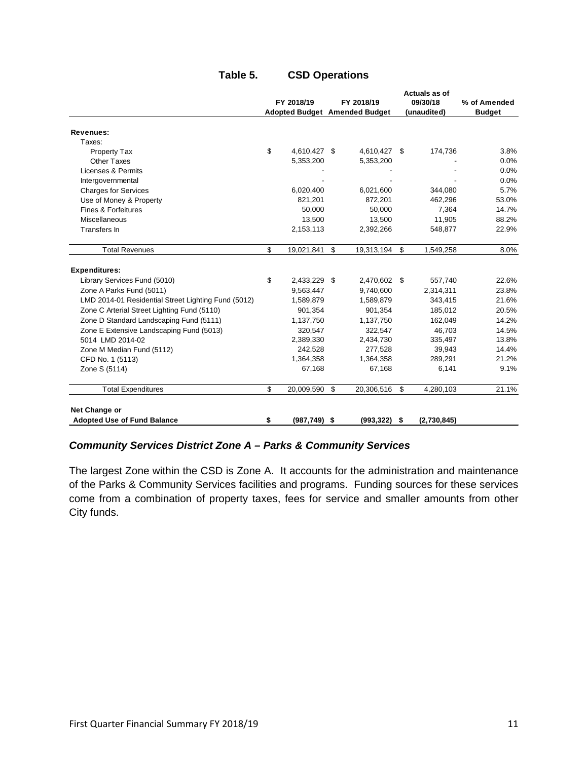|                                                     |                       |                               | Actuals as of |             |               |  |
|-----------------------------------------------------|-----------------------|-------------------------------|---------------|-------------|---------------|--|
|                                                     | FY 2018/19            | FY 2018/19                    |               | 09/30/18    | % of Amended  |  |
|                                                     |                       | Adopted Budget Amended Budget |               | (unaudited) | <b>Budget</b> |  |
| Revenues:                                           |                       |                               |               |             |               |  |
| Taxes:                                              |                       |                               |               |             |               |  |
| Property Tax                                        | \$<br>4,610,427 \$    | 4,610,427                     | -\$           | 174,736     | 3.8%          |  |
| <b>Other Taxes</b>                                  | 5,353,200             | 5,353,200                     |               |             | 0.0%          |  |
| Licenses & Permits                                  |                       |                               |               |             | 0.0%          |  |
| Intergovernmental                                   |                       |                               |               |             | 0.0%          |  |
| <b>Charges for Services</b>                         | 6,020,400             | 6,021,600                     |               | 344,080     | 5.7%          |  |
| Use of Money & Property                             | 821,201               | 872,201                       |               | 462,296     | 53.0%         |  |
| Fines & Forfeitures                                 | 50.000                | 50.000                        |               | 7,364       | 14.7%         |  |
| <b>Miscellaneous</b>                                | 13,500                | 13,500                        |               | 11,905      | 88.2%         |  |
| Transfers In                                        | 2,153,113             | 2,392,266                     |               | 548,877     | 22.9%         |  |
| <b>Total Revenues</b>                               | \$<br>19,021,841      | \$<br>19,313,194              | \$            | 1,549,258   | 8.0%          |  |
| <b>Expenditures:</b>                                |                       |                               |               |             |               |  |
| Library Services Fund (5010)                        | \$<br>2,433,229 \$    | 2,470,602                     | -\$           | 557,740     | 22.6%         |  |
| Zone A Parks Fund (5011)                            | 9,563,447             | 9,740,600                     |               | 2,314,311   | 23.8%         |  |
| LMD 2014-01 Residential Street Lighting Fund (5012) | 1,589,879             | 1,589,879                     |               | 343,415     | 21.6%         |  |
| Zone C Arterial Street Lighting Fund (5110)         | 901,354               | 901,354                       |               | 185,012     | 20.5%         |  |
| Zone D Standard Landscaping Fund (5111)             | 1,137,750             | 1,137,750                     |               | 162.049     | 14.2%         |  |
| Zone E Extensive Landscaping Fund (5013)            | 320,547               | 322,547                       |               | 46,703      | 14.5%         |  |
| 5014 LMD 2014-02                                    | 2,389,330             | 2,434,730                     |               | 335,497     | 13.8%         |  |
| Zone M Median Fund (5112)                           | 242,528               | 277,528                       |               | 39,943      | 14.4%         |  |
| CFD No. 1 (5113)                                    | 1,364,358             | 1,364,358                     |               | 289,291     | 21.2%         |  |
| Zone S (5114)                                       | 67,168                | 67,168                        |               | 6,141       | 9.1%          |  |
| <b>Total Expenditures</b>                           | \$<br>20,009,590      | \$<br>20,306,516              | \$            | 4,280,103   | 21.1%         |  |
| Net Change or                                       |                       |                               |               |             |               |  |
| <b>Adopted Use of Fund Balance</b>                  | \$<br>$(987, 749)$ \$ | $(993, 322)$ \$               |               | (2,730,845) |               |  |

## **Table 5. CSD Operations**

## *Community Services District Zone A – Parks & Community Services*

The largest Zone within the CSD is Zone A. It accounts for the administration and maintenance of the Parks & Community Services facilities and programs. Funding sources for these services come from a combination of property taxes, fees for service and smaller amounts from other City funds.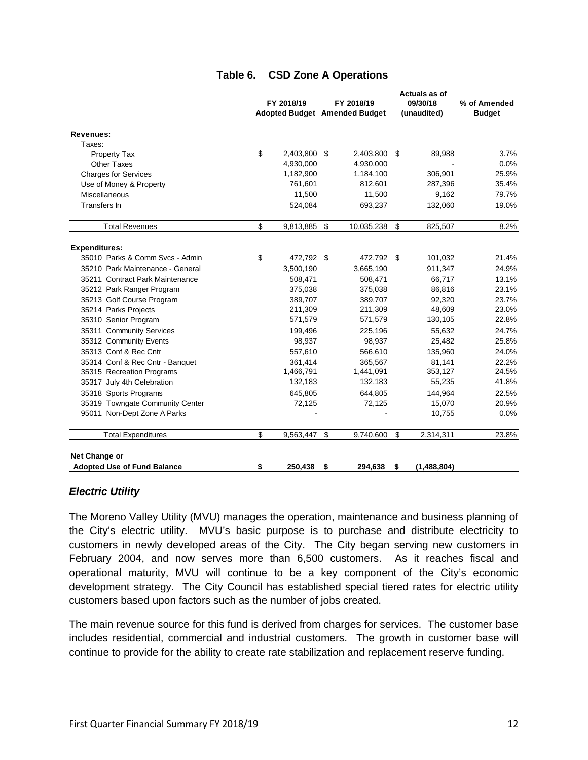|                                                         | FY 2018/19 |              | FY 2018/19<br><b>Adopted Budget Amended Budget</b> |            | Actuals as of<br>09/30/18<br>(unaudited) |             | % of Amended<br><b>Budget</b> |  |
|---------------------------------------------------------|------------|--------------|----------------------------------------------------|------------|------------------------------------------|-------------|-------------------------------|--|
|                                                         |            |              |                                                    |            |                                          |             |                               |  |
| <b>Revenues:</b>                                        |            |              |                                                    |            |                                          |             |                               |  |
| Taxes:                                                  |            |              |                                                    |            |                                          |             |                               |  |
| Property Tax                                            | \$         | 2,403,800 \$ |                                                    | 2,403,800  | \$                                       | 89,988      | 3.7%                          |  |
| Other Taxes                                             |            | 4,930,000    |                                                    | 4,930,000  |                                          |             | 0.0%                          |  |
| <b>Charges for Services</b>                             |            | 1,182,900    |                                                    | 1,184,100  |                                          | 306,901     | 25.9%                         |  |
| Use of Money & Property                                 |            | 761,601      |                                                    | 812,601    |                                          | 287,396     | 35.4%                         |  |
| Miscellaneous                                           |            | 11,500       |                                                    | 11,500     |                                          | 9,162       | 79.7%                         |  |
| Transfers In                                            |            | 524,084      |                                                    | 693,237    |                                          | 132,060     | 19.0%                         |  |
| <b>Total Revenues</b>                                   | \$         | 9,813,885 \$ |                                                    | 10,035,238 | \$                                       | 825,507     | 8.2%                          |  |
|                                                         |            |              |                                                    |            |                                          |             |                               |  |
| <b>Expenditures:</b><br>35010 Parks & Comm Sycs - Admin | \$         | 472,792 \$   |                                                    | 472,792 \$ |                                          |             | 21.4%                         |  |
|                                                         |            |              |                                                    |            |                                          | 101,032     |                               |  |
| 35210 Park Maintenance - General                        |            | 3,500,190    |                                                    | 3,665,190  |                                          | 911,347     | 24.9%                         |  |
| 35211 Contract Park Maintenance                         |            | 508,471      |                                                    | 508,471    |                                          | 66,717      | 13.1%                         |  |
| 35212 Park Ranger Program                               |            | 375,038      |                                                    | 375,038    |                                          | 86,816      | 23.1%                         |  |
| 35213 Golf Course Program                               |            | 389,707      |                                                    | 389,707    |                                          | 92,320      | 23.7%                         |  |
| 35214 Parks Projects                                    |            | 211,309      |                                                    | 211,309    |                                          | 48,609      | 23.0%                         |  |
| 35310 Senior Program                                    |            | 571,579      |                                                    | 571,579    |                                          | 130,105     | 22.8%                         |  |
| 35311 Community Services                                |            | 199,496      |                                                    | 225,196    |                                          | 55,632      | 24.7%                         |  |
| 35312 Community Events                                  |            | 98,937       |                                                    | 98,937     |                                          | 25,482      | 25.8%                         |  |
| 35313 Conf & Rec Cntr                                   |            | 557,610      |                                                    | 566,610    |                                          | 135,960     | 24.0%                         |  |
| 35314 Conf & Rec Cntr - Banquet                         |            | 361.414      |                                                    | 365.567    |                                          | 81.141      | 22.2%                         |  |
| 35315 Recreation Programs                               |            | 1,466,791    |                                                    | 1,441,091  |                                          | 353,127     | 24.5%                         |  |
| 35317 July 4th Celebration                              |            | 132,183      |                                                    | 132,183    |                                          | 55,235      | 41.8%                         |  |
| 35318 Sports Programs                                   |            | 645,805      |                                                    | 644,805    |                                          | 144,964     | 22.5%                         |  |
| 35319 Towngate Community Center                         |            | 72,125       |                                                    | 72,125     |                                          | 15,070      | 20.9%                         |  |
| 95011 Non-Dept Zone A Parks                             |            |              |                                                    |            |                                          | 10,755      | 0.0%                          |  |
| <b>Total Expenditures</b>                               | \$         | 9,563,447    | \$                                                 | 9,740,600  | \$                                       | 2,314,311   | 23.8%                         |  |
| Net Change or<br><b>Adopted Use of Fund Balance</b>     | \$         | 250.438      | \$                                                 | 294,638    | \$                                       | (1,488,804) |                               |  |

## **Table 6. CSD Zone A Operations**

#### *Electric Utility*

The Moreno Valley Utility (MVU) manages the operation, maintenance and business planning of the City's electric utility. MVU's basic purpose is to purchase and distribute electricity to customers in newly developed areas of the City. The City began serving new customers in February 2004, and now serves more than 6,500 customers. As it reaches fiscal and operational maturity, MVU will continue to be a key component of the City's economic development strategy. The City Council has established special tiered rates for electric utility customers based upon factors such as the number of jobs created.

The main revenue source for this fund is derived from charges for services. The customer base includes residential, commercial and industrial customers. The growth in customer base will continue to provide for the ability to create rate stabilization and replacement reserve funding.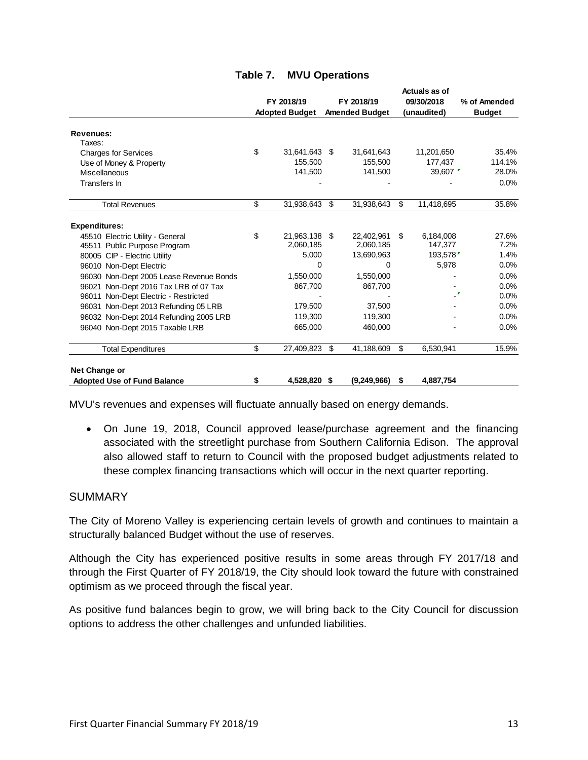|                                         |                       |     |                       |            | Actuals as of     |               |
|-----------------------------------------|-----------------------|-----|-----------------------|------------|-------------------|---------------|
|                                         | FY 2018/19            |     | FY 2018/19            | 09/30/2018 |                   | % of Amended  |
|                                         | <b>Adopted Budget</b> |     | <b>Amended Budget</b> |            | (unaudited)       | <b>Budget</b> |
| <b>Revenues:</b>                        |                       |     |                       |            |                   |               |
| Taxes:                                  |                       |     |                       |            |                   |               |
| <b>Charges for Services</b>             | \$<br>31,641,643 \$   |     | 31,641,643            |            | 11,201,650        | 35.4%         |
| Use of Money & Property                 | 155,500               |     | 155,500               |            | 177,437           | 114.1%        |
| Miscellaneous                           | 141,500               |     | 141,500               |            | 39,607 $\sqrt{ }$ | 28.0%         |
| Transfers In                            |                       |     |                       |            |                   | 0.0%          |
| <b>Total Revenues</b>                   | \$<br>31,938,643      | \$  | 31,938,643            | \$         | 11,418,695        | 35.8%         |
| <b>Expenditures:</b>                    |                       |     |                       |            |                   |               |
| 45510 Electric Utility - General        | \$<br>21,963,138 \$   |     | 22,402,961            | \$         | 6,184,008         | 27.6%         |
| 45511 Public Purpose Program            | 2,060,185             |     | 2,060,185             |            | 147,377           | 7.2%          |
| 80005 CIP - Electric Utility            | 5,000                 |     | 13,690,963            |            | 193,578           | 1.4%          |
| 96010 Non-Dept Electric                 | 0                     |     | 0                     |            | 5,978             | 0.0%          |
| 96030 Non-Dept 2005 Lease Revenue Bonds | 1,550,000             |     | 1,550,000             |            |                   | 0.0%          |
| 96021 Non-Dept 2016 Tax LRB of 07 Tax   | 867,700               |     | 867,700               |            |                   | 0.0%          |
| 96011 Non-Dept Electric - Restricted    |                       |     |                       |            | ۳.                | 0.0%          |
| 96031 Non-Dept 2013 Refunding 05 LRB    | 179,500               |     | 37,500                |            |                   | 0.0%          |
| 96032 Non-Dept 2014 Refunding 2005 LRB  | 119.300               |     | 119.300               |            |                   | 0.0%          |
| 96040 Non-Dept 2015 Taxable LRB         | 665,000               |     | 460,000               |            |                   | 0.0%          |
| <b>Total Expenditures</b>               | \$<br>27,409,823      | \$  | 41,188,609            | \$         | 6,530,941         | 15.9%         |
| Net Change or                           |                       |     |                       |            |                   |               |
| <b>Adopted Use of Fund Balance</b>      | \$<br>4,528,820       | -\$ | (9, 249, 966)         | S          | 4,887,754         |               |

MVU's revenues and expenses will fluctuate annually based on energy demands.

 On June 19, 2018, Council approved lease/purchase agreement and the financing associated with the streetlight purchase from Southern California Edison. The approval also allowed staff to return to Council with the proposed budget adjustments related to these complex financing transactions which will occur in the next quarter reporting.

#### SUMMARY

The City of Moreno Valley is experiencing certain levels of growth and continues to maintain a structurally balanced Budget without the use of reserves.

Although the City has experienced positive results in some areas through FY 2017/18 and through the First Quarter of FY 2018/19, the City should look toward the future with constrained optimism as we proceed through the fiscal year.

As positive fund balances begin to grow, we will bring back to the City Council for discussion options to address the other challenges and unfunded liabilities.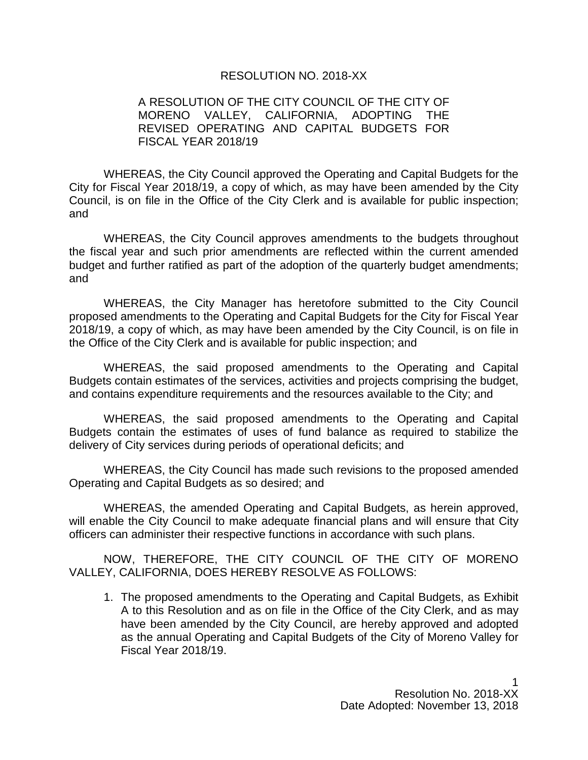#### RESOLUTION NO. 2018-XX

## A RESOLUTION OF THE CITY COUNCIL OF THE CITY OF MORENO VALLEY, CALIFORNIA, ADOPTING THE REVISED OPERATING AND CAPITAL BUDGETS FOR FISCAL YEAR 2018/19

WHEREAS, the City Council approved the Operating and Capital Budgets for the City for Fiscal Year 2018/19, a copy of which, as may have been amended by the City Council, is on file in the Office of the City Clerk and is available for public inspection; and

WHEREAS, the City Council approves amendments to the budgets throughout the fiscal year and such prior amendments are reflected within the current amended budget and further ratified as part of the adoption of the quarterly budget amendments; and

WHEREAS, the City Manager has heretofore submitted to the City Council proposed amendments to the Operating and Capital Budgets for the City for Fiscal Year 2018/19, a copy of which, as may have been amended by the City Council, is on file in the Office of the City Clerk and is available for public inspection; and

WHEREAS, the said proposed amendments to the Operating and Capital Budgets contain estimates of the services, activities and projects comprising the budget, and contains expenditure requirements and the resources available to the City; and

WHEREAS, the said proposed amendments to the Operating and Capital Budgets contain the estimates of uses of fund balance as required to stabilize the delivery of City services during periods of operational deficits; and

WHEREAS, the City Council has made such revisions to the proposed amended Operating and Capital Budgets as so desired; and

WHEREAS, the amended Operating and Capital Budgets, as herein approved, will enable the City Council to make adequate financial plans and will ensure that City officers can administer their respective functions in accordance with such plans.

NOW, THEREFORE, THE CITY COUNCIL OF THE CITY OF MORENO VALLEY, CALIFORNIA, DOES HEREBY RESOLVE AS FOLLOWS:

1. The proposed amendments to the Operating and Capital Budgets, as Exhibit A to this Resolution and as on file in the Office of the City Clerk, and as may have been amended by the City Council, are hereby approved and adopted as the annual Operating and Capital Budgets of the City of Moreno Valley for Fiscal Year 2018/19.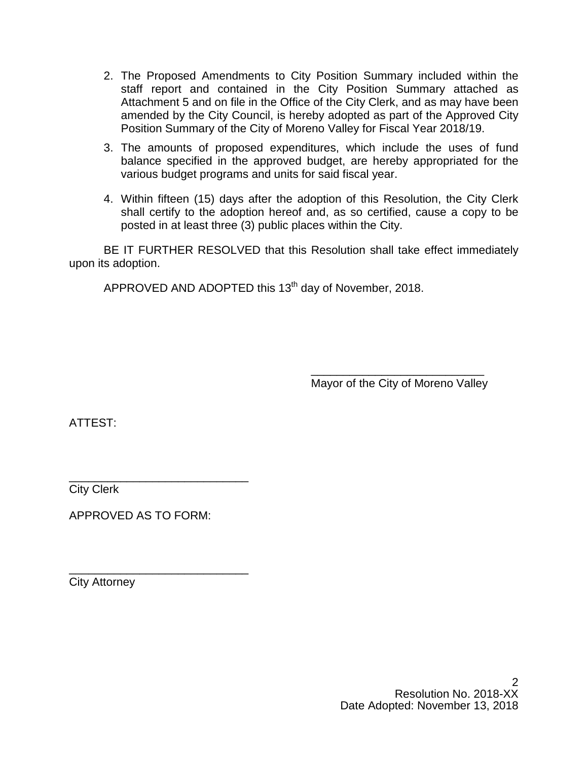- 2. The Proposed Amendments to City Position Summary included within the staff report and contained in the City Position Summary attached as Attachment 5 and on file in the Office of the City Clerk, and as may have been amended by the City Council, is hereby adopted as part of the Approved City Position Summary of the City of Moreno Valley for Fiscal Year 2018/19.
- 3. The amounts of proposed expenditures, which include the uses of fund balance specified in the approved budget, are hereby appropriated for the various budget programs and units for said fiscal year.
- 4. Within fifteen (15) days after the adoption of this Resolution, the City Clerk shall certify to the adoption hereof and, as so certified, cause a copy to be posted in at least three (3) public places within the City.

BE IT FURTHER RESOLVED that this Resolution shall take effect immediately upon its adoption.

APPROVED AND ADOPTED this 13<sup>th</sup> day of November, 2018.

\_\_\_\_\_\_\_\_\_\_\_\_\_\_\_\_\_\_\_\_\_\_\_\_\_\_\_ Mayor of the City of Moreno Valley

ATTEST:

\_\_\_\_\_\_\_\_\_\_\_\_\_\_\_\_\_\_\_\_\_\_\_\_\_\_\_\_ City Clerk

APPROVED AS TO FORM:

\_\_\_\_\_\_\_\_\_\_\_\_\_\_\_\_\_\_\_\_\_\_\_\_\_\_\_\_ City Attorney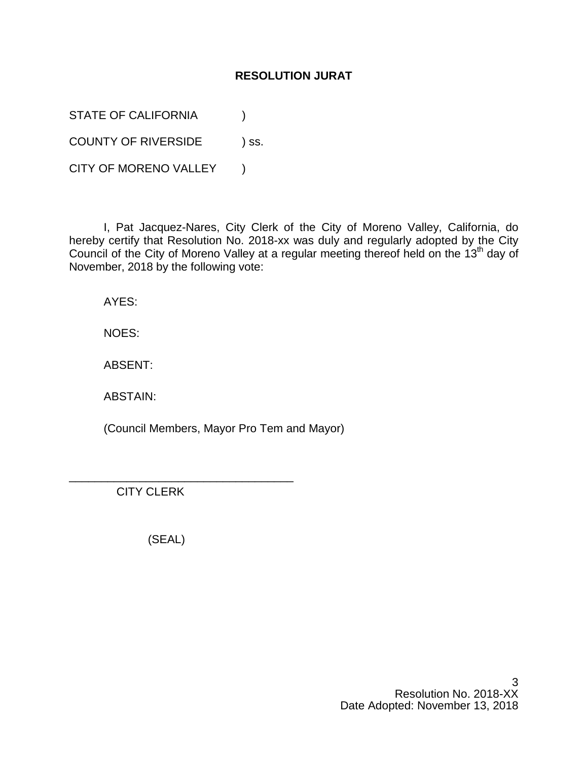## **RESOLUTION JURAT**

STATE OF CALIFORNIA (1)

COUNTY OF RIVERSIDE ) ss.

CITY OF MORENO VALLEY )

I, Pat Jacquez-Nares, City Clerk of the City of Moreno Valley, California, do hereby certify that Resolution No. 2018-xx was duly and regularly adopted by the City Council of the City of Moreno Valley at a regular meeting thereof held on the 13<sup>th</sup> day of November, 2018 by the following vote:

AYES:

NOES:

ABSENT:

ABSTAIN:

(Council Members, Mayor Pro Tem and Mayor)

CITY CLERK

(SEAL)

\_\_\_\_\_\_\_\_\_\_\_\_\_\_\_\_\_\_\_\_\_\_\_\_\_\_\_\_\_\_\_\_\_\_\_

3 Resolution No. 2018-XX Date Adopted: November 13, 2018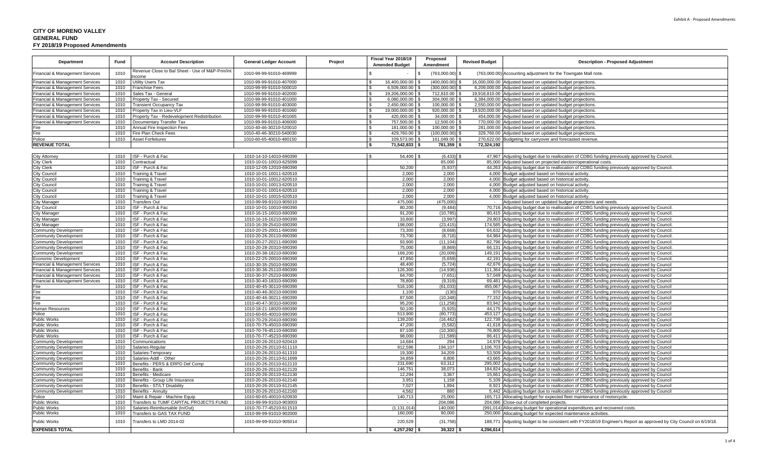| Department                      | Fund         | <b>Account Description</b>                                | <b>General Ledger Account</b>                      | Project | Fiscal Year 2018/19<br><b>Amended Budget</b> | Proposed<br>Amendment      | <b>Revised Budget</b>    | <b>Description - Proposed Adjustment</b>                                                                                                                                                  |
|---------------------------------|--------------|-----------------------------------------------------------|----------------------------------------------------|---------|----------------------------------------------|----------------------------|--------------------------|-------------------------------------------------------------------------------------------------------------------------------------------------------------------------------------------|
| Financial & Management Services | 1010         | Revenue Close to Bal Sheet - Use of M&P-Prin/Int<br>ncome | 1010-99-99-91010-469999                            |         |                                              | (763,000.00)<br>- \$       | (763,000.00)             | Accounting adjustment for the Towngate Mall note.                                                                                                                                         |
| Financial & Management Services | 1010         | <b>Utility Users Tax</b>                                  | 1010-99-99-91010-407000                            |         | 16,400,000.00                                | (400,000.00)               |                          | 16,000,000.00 Adjusted based on updated budget projections.                                                                                                                               |
| Financial & Management Services | 1010         | <b>Franchise Fees</b>                                     | 1010-99-99-91010-500010                            |         | 6,509,000.00 \$<br>I۶                        | (300,000.00)               |                          | 6,209,000.00 Adjusted based on updated budget projections.                                                                                                                                |
| inancial & Management Services  | 1010         | Sales Tax - General                                       | 1010-99-99-91010-402000                            |         | l \$<br>19,206,000.00                        | 712,810.00                 | 19.918.810.00            | Adjusted based on updated budget projections                                                                                                                                              |
| inancial & Management Services  | 1010         | Property Tax - Secured                                    | 1010-99-99-91010-401000                            |         | 6,080,000.00 \$<br>l \$                      | 304,000.00                 | 6,384,000.00             | Adjusted based on updated budget projections.                                                                                                                                             |
| inancial & Management Services  | 1010         | <b>Transient Occupancy Tax</b>                            | 1010-99-99-91010-403000                            |         | 2.450.000.00 \$<br>l \$                      | 100.000.00                 | 2.550.000.00             | Adjusted based on updated budget projections                                                                                                                                              |
| inancial & Management Services  | 1010         | Property Tax in Lieu-VLF                                  | 1010-99-99-91010-401060                            |         | 19,000,000.00 \$<br>l \$                     | 920,000.00                 | 19,920,000.00            | Adjusted based on updated budget projections                                                                                                                                              |
| Financial & Management Services | 1010         | Property Tax - Redevelopment Redistribution               | 1010-99-99-91010-401065                            |         | 420,000.00 \$<br>l \$                        | 34,000.00                  | 454.000.00               | Adjusted based on updated budget projections                                                                                                                                              |
| Financial & Management Services | 1010         | Documentary Transfer Tax                                  | 1010-99-99-91010-406000                            |         | 757,500.00 \$<br>l \$                        | 12,500.00                  | 770.000.00               | Adjusted based on updated budget projections                                                                                                                                              |
| ïre                             | 1010<br>1010 | Annual Fire Inspection Fees                               | 1010-40-46-30210-520010                            |         | 181,000.00 \$<br>l \$<br>l \$                | 100,000.00<br>(100.000.00) | 281.000.00<br>329.760.00 | Adjusted based on updated budget projections                                                                                                                                              |
| ire:<br>Police                  | 1010         | Fire Plan Check Fees<br><b>Asset Forfeitures</b>          | 1010-40-46-30210-540030<br>1010-60-65-40010-480150 |         | 429,760.00 \$<br>$\sqrt{3}$<br>109,573.00 \$ | 161,049.00                 | 270,622.00               | Adjusted based on updated budget projections<br>Budgeting for carryover and forecasted revenue                                                                                            |
| <b>REVENUE TOTAL</b>            |              |                                                           |                                                    |         | 71,542,833 \$<br>۱\$                         | 781,359 \$                 | 72,324,192               |                                                                                                                                                                                           |
|                                 |              |                                                           |                                                    |         |                                              |                            |                          |                                                                                                                                                                                           |
| City Attorney                   | 1010         | ISF - Purch & Fac                                         | 1010-14-10-14010-690390                            |         | 54,400 \$<br>$\sqrt{2}$                      | (6, 433)                   |                          | 47,967 Adjusting budget due to reallocation of CDBG funding previously approved by Council                                                                                                |
| City Clerk                      | 1010         | Contractual                                               | 1010-10-01-10010-625099                            |         | $\sim$                                       | 85,000                     | 85,000                   | Adjusted based on projected election/operational costs.                                                                                                                                   |
| City Clerk                      | 1010         | ISF - Purch & Fac                                         | 1010-12-05-12010-690390                            |         | 50,200                                       | (5,937)                    |                          | 44,263 Adjusting budget due to reallocation of CDBG funding previously approved by Council.                                                                                               |
| City Council                    | 1010         | Training & Travel                                         | 1010-10-01-10011-620510                            |         | 2,000                                        | 2,000                      | 4.000                    | Budget adjusted based on historical activity                                                                                                                                              |
| Council                         | 1010         | <b>Training &amp; Travel</b>                              | 1010-10-01-10012-620510                            |         | 2,000                                        | 2,000                      | 4.000                    | Budget adjusted based on historical activity                                                                                                                                              |
| <b>Council</b>                  | 1010         | Training & Travel                                         | 1010-10-01-10013-620510                            |         | 2,000                                        | 2,000                      | 4.000                    | Budget adjusted based on historical activity                                                                                                                                              |
| <b>Council</b>                  | 1010         | Training & Travel                                         | 1010-10-01-10014-620510                            |         | 2,000                                        | 2,000                      |                          | 4,000 Budget adjusted based on historical activity                                                                                                                                        |
| City Council                    | 1010         | Training & Travel                                         | 1010-10-01-10015-620510                            |         | 2,000                                        | 2,000                      |                          | 4,000 Budget adjusted based on historical activity                                                                                                                                        |
| City Manager                    | 1010         | <b>Transfers Out</b>                                      | 1010-99-99-91010-905010                            |         | 475,000                                      | (475,000                   |                          | Adjusted based on updated budget projections and needs                                                                                                                                    |
| City Council                    | 1010         | ISF - Purch & Fac                                         | 1010-10-01-10010-690390                            |         | 80,200                                       | (9, 484)                   | 70.716                   | Adjusting budget due to reallocation of CDBG funding previously approved by Council                                                                                                       |
| ity Manager                     | 1010         | ISF - Purch & Fac                                         | 1010-16-15-16010-690390                            |         | 91,200                                       | (10, 785)                  | 80,415                   | Adjusting budget due to reallocation of CDBG funding previously approved by Council.                                                                                                      |
| ity Manager                     | 1010         | ISF - Purch & Fac                                         | 1010-16-16-16210-690390                            |         | 33,800                                       | (3,997)                    | 29,803                   | Adjusting budget due to reallocation of CDBG funding previously approved by Council                                                                                                       |
| ity Manager                     | 1010         | ISF - Purch & Fac                                         | 1010-16-39-25410-690390                            |         | 198,000                                      | (23, 415)                  | 174.585                  | Adjusting budget due to reallocation of CDBG funding previously approved by Council                                                                                                       |
| ommunity Development            | 1010         | ISF - Purch & Fac                                         | 1010-20-25-20011-690390                            |         | 73,300                                       | (8,668)                    | 64.632                   | Adjusting budget due to reallocation of CDBG funding previously approved by Council                                                                                                       |
| Community Development           | 1010         | ISF - Purch & Fac                                         | 1010-20-26-20110-690390                            |         | 73.700                                       | (8.716)                    | 64.984                   | Adjusting budget due to reallocation of CDBG funding previously approved by Council                                                                                                       |
| Community Development           | 1010         | ISF - Purch & Fac                                         | 1010-20-27-20211-690390                            |         | 93,900                                       | (11, 104)                  | 82,796                   | Adjusting budget due to reallocation of CDBG funding previously approved by Council                                                                                                       |
| Community Development           | 1010         | ISF - Purch & Fac                                         | 1010-20-28-20310-690390                            |         | 75,000                                       | (8,869)                    | 66,131                   | Adjusting budget due to reallocation of CDBG funding previously approved by Council                                                                                                       |
| Community Development           | 1010         | ISF - Purch & Fac                                         | 1010-20-38-18210-690390                            |         | 169,200                                      | (20,009)                   |                          | 149,191 Adjusting budget due to reallocation of CDBG funding previously approved by Council                                                                                               |
| Economic Development            | 1010         | ISF - Purch & Fac                                         | 1010-22-25-20010-690390                            |         | 47.850                                       | (5,659)                    |                          | 42,191 Adjusting budget due to reallocation of CDBG funding previously approved by Council                                                                                                |
| inancial & Management Services  | 1010         | ISF - Purch & Fac                                         | 1010-30-35-25010-690390                            |         | 48,400                                       | (5, 724)                   | 42.676                   | Adjusting budget due to reallocation of CDBG funding previously approved by Council                                                                                                       |
| inancial & Management Services  | 1010         | ISF - Purch & Fac                                         | 1010-30-36-25110-690390                            |         | 126,300                                      | (14, 936)                  | 111.364                  | Adjusting budget due to reallocation of CDBG funding previously approved by Council                                                                                                       |
| inancial & Management Services  | 1010         | ISF - Purch & Fac                                         | 1010-30-37-25210-690390                            |         | 64,700                                       | (7,651)                    | 57,049                   | Adjusting budget due to reallocation of CDBG funding previously approved by Council                                                                                                       |
| inancial & Management Services  | 1010         | ISF - Purch & Fac                                         | 1010-30-40-18310-690390                            |         | 78,800                                       | (9,319)                    |                          | 69,481 Adjusting budget due to reallocation of CDBG funding previously approved by Council                                                                                                |
| ïre                             | 1010         | ISF - Purch & Fac                                         | 1010-40-45-30110-690390                            |         | 516,100                                      | (61, 033)                  | 455.067                  | Adjusting budget due to reallocation of CDBG funding previously approved by Council                                                                                                       |
| ™ire                            | 1010         | ISF - Purch & Fac                                         | 1010-40-46-30210-690390                            |         | 1.100                                        | (130)                      | 970                      | Adjusting budget due to reallocation of CDBG funding previously approved by Council                                                                                                       |
| ™ire                            | 1010         | ISF - Purch & Fac                                         | 1010-40-46-30211-690390                            |         | 87,500                                       | (10, 348)                  | 77.152                   | Adjusting budget due to reallocation of CDBG funding previously approved by Council                                                                                                       |
| Fire                            | 1010         | ISF - Purch & Fac                                         | 1010-40-47-30310-690390                            |         | 95.200                                       | (11.258                    |                          | 83,942 Adjusting budget due to reallocation of CDBG funding previously approved by Council                                                                                                |
| Human Resources<br>Police       | 1010<br>1010 | ISF - Purch & Fac<br>ISF - Purch & Fac                    | 1010-18-21-18020-690390<br>1010-60-65-40010-690390 |         | 50,100<br>513,900                            | (5,925)<br>(60, 773)       |                          | 44,175 Adjusting budget due to reallocation of CDBG funding previously approved by Council<br>453,127 Adjusting budget due to reallocation of CDBG funding previously approved by Council |
| Public Works                    | 1010         | ISF - Purch & Fac                                         | 1010-70-29-20410-690390                            |         | 139,200                                      | (16, 462)                  |                          | 122,738 Adjusting budget due to reallocation of CDBG funding previously approved by Council                                                                                               |
| <b>Public Works</b>             | 1010         | ISF - Purch & Fac                                         | 1010-70-75-45010-690390                            |         | 47,200                                       | (5, 582)                   |                          | 41,618 Adjusting budget due to reallocation of CDBG funding previously approved by Council                                                                                                |
| Public Works                    | 1010         | ISF - Purch & Fac                                         | 1010-70-76-45110-690390                            |         | 87,100                                       | (10, 300)                  | 76,800                   | Adjusting budget due to reallocation of CDBG funding previously approved by Council                                                                                                       |
| Public Works                    | 1010         | ISF - Purch & Fac                                         | 1010-70-77-45210-690390                            |         | 98.000                                       | (11.589                    |                          | 86,411 Adjusting budget due to reallocation of CDBG funding previously approved by Council                                                                                                |
| Community Development           | 1010         | Communications                                            | 1010-20-26-20110-620410                            |         | 14,684                                       | 294                        |                          | 14,978 Adjusting budget due to reallocation of CDBG funding previously approved by Council                                                                                                |
| ommunity Development            | 1010         | Salaries-Regular                                          | 1010-20-26-20110-611110                            |         | 912,596                                      | 194,107                    | 1,106,703                | Adjusting budget due to reallocation of CDBG funding previously approved by Council                                                                                                       |
| Community Development           | 1010         | Salaries-Temporary                                        | 1010-20-26-20110-611310                            |         | 19.300                                       | 34.209                     |                          | 53,509 Adjusting budget due to reallocation of CDBG funding previously approved by Council                                                                                                |
| Community Development           | 1010         | Salaries-Addl - Other                                     | 1010-20-26-20110-611699                            |         | 34,859                                       | 8,806                      | 43,665                   | Adjusting budget due to reallocation of CDBG funding previously approved by Council                                                                                                       |
| <b>Community Development</b>    | 1010         | Benefits - PERS & ERPD Def Comp                           | 1010-20-26-20110-612110                            |         | 231,690                                      | 63,312                     | 295.002                  | Adjusting budget due to reallocation of CDBG funding previously approved by Council                                                                                                       |
| Community Development           | 1010         | Benefits - Bank                                           | 1010-20-26-20110-612120                            |         | 146.751                                      | 38.073                     | 184.824                  | Adjusting budget due to reallocation of CDBG funding previously approved by Council                                                                                                       |
| Community Development           | 1010         | Benefits - Medicare                                       | 1010-20-26-20110-612130                            |         | 12,294                                       | 3,367                      |                          | 15,661 Adjusting budget due to reallocation of CDBG funding previously approved by Council                                                                                                |
| ommunity Development            | 1010         | Benefits - Group Life Insurance                           | 1010-20-26-20110-612140                            |         | 3,951                                        | 1,158                      | 5.109                    | Adjusting budget due to reallocation of CDBG funding previously approved by Council                                                                                                       |
| Community Development           | 1010         | Benefits - ST/LT Disability                               | 1010-20-26-20110-612145                            |         | 7,027                                        | 1,894                      |                          | 8,921 Adjusting budget due to reallocation of CDBG funding previously approved by Council                                                                                                 |
| Community Development           | 1010         | Benefits - Annuity                                        | 1010-20-26-20110-612160                            |         | 4,562                                        | 880                        | 5,442                    | Adjusting budget due to reallocation of CDBG funding previously approved by Council                                                                                                       |
| Police                          | 1010         | Maint & Repair - Machine Equip                            | 1010-60-65-40010-620930                            |         | 140,713                                      | 25,000                     | 165.713                  | Allocating budget for expected fleet maintenance of motorcycle.                                                                                                                           |
| ublic Works                     | 1010         | Transfers to TUMF CAPITAL PROJECTS FUND                   | 1010-99-99-91010-903003                            |         |                                              | 204,086                    | 204.086                  | Close-out of completed projects                                                                                                                                                           |
| Public Works                    | 1010         | Salaries-Reimbursable (In/Out)                            | 1010-70-77-45210-611510                            |         | (1, 131, 014)                                | 140,000                    | (991, 014)               | Allocating budget for operational expenditures and recovered costs.                                                                                                                       |
| Public Works                    | 1010         | Transfers to GAS TAX FUND                                 | 1010-99-99-91010-902000                            |         | 160,000                                      | 90,000                     |                          | 250,000 Allocating budget for expected maintenance activities.                                                                                                                            |
| Public Works                    | 1010         | Transfers to LMD 2014-02                                  | 1010-99-99-91010-905014                            |         | 220,529                                      | (31,758)                   | 188,771                  | Adjusting budget to be consistent with FY2018/19 Engineer's Report as approved by City Council on 6/19/18.                                                                                |
| <b>EXPENSES TOTAL</b>           |              |                                                           |                                                    |         | $4,257,292$ \$                               | 39,322                     | 4,296,614                |                                                                                                                                                                                           |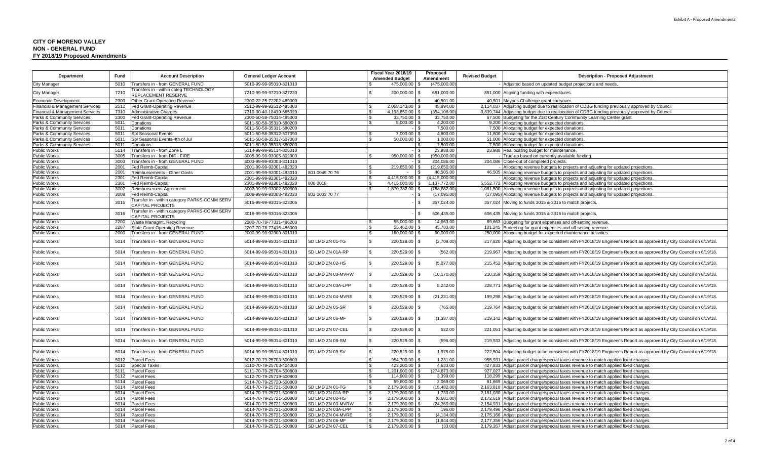#### **CITY OF MORENO VALLEYNON - GENERAL FUND FY 2018/19 Proposed Amendments**

| Department                                        | Fund         | <b>Account Description</b>                                                 | <b>General Ledger Account</b>                      |                   | Fiscal Year 2018/19<br>Proposed               |                                       | <b>Revised Budget</b> | <b>Description - Proposed Adjustment</b>                                                                                                                                 |  |  |
|---------------------------------------------------|--------------|----------------------------------------------------------------------------|----------------------------------------------------|-------------------|-----------------------------------------------|---------------------------------------|-----------------------|--------------------------------------------------------------------------------------------------------------------------------------------------------------------------|--|--|
|                                                   |              |                                                                            |                                                    |                   | <b>Amended Budget</b>                         | Amendment                             |                       |                                                                                                                                                                          |  |  |
| City Manager                                      | 5010         | Transfers in - from GENERAL FUND<br>Fransfers in - within categ TECHNOLOGY | 5010-99-99-95010-801010                            |                   | 475,000.00                                    | (475,000.00                           |                       | Adjusted based on updated budget projections and needs.                                                                                                                  |  |  |
| City Manager                                      | 7210         | REPLACEMENT RESERVE                                                        | 7210-99-99-97210-827230                            |                   | \$<br>200,000.00 \$                           | 651,000.00                            |                       | 851,000 Aligning funding with expenditures.                                                                                                                              |  |  |
| Economic Development                              | 2300         | Other Grant-Operating Revenue                                              | 2300-22-25-72202-489000                            |                   |                                               | 40.501.00                             |                       | 40,501 Mayor's Challenge grant carryover.                                                                                                                                |  |  |
| <b>Financial &amp; Management Services</b>        | 2512         | Fed Grant-Operating Revenue                                                | 2512-99-99-92512-485000                            |                   | 2,068,143.00 \$                               | 45,894.00                             |                       | 2,114,037 Adjusting budget due to reallocation of CDBG funding previously approved by Council                                                                            |  |  |
| Financial & Management Services                   | 7310         | <b>Administrative Charges</b>                                              | 7310-30-40-18410-585020                            |                   | 4.193.850.00 \$                               | (354,106.00                           |                       | 3,839,744 Adjusting budget due to reallocation of CDBG funding previously approved by Council                                                                            |  |  |
| Parks & Community Services                        | 2300         | Fed Grant-Operating Revenue                                                | 2300-50-58-75014-485000                            |                   | 33,750.00 \$<br>l \$                          | 33,750.00                             |                       | 67,500 Budgeting for the 21st Century Community Learning Center grant.                                                                                                   |  |  |
| Parks & Community Services                        | 5011         | Donations                                                                  | 5011-50-58-35310-580200                            |                   | $5.000.00$ \$                                 | 4.200.00                              |                       | 9,200 Allocating budget for expected donations.                                                                                                                          |  |  |
| Parks & Community Services                        | 5011         | Donations                                                                  | 5011-50-58-35311-580200                            |                   |                                               | 7.500.00<br>-15                       |                       | 7,500 Allocating budget for expected donations.                                                                                                                          |  |  |
| Parks & Community Services                        | 5011         | Spl Seasonal Events                                                        | 5011-50-58-35312-507090                            |                   | 7,000.00 \$<br>$\hat{\mathcal{L}}$            | 4,800.00                              |                       | 11,800 Allocating budget for expected donations                                                                                                                          |  |  |
| Parks & Community Services                        | 5011         | ol Seasonal Events-4th of Jul                                              | 5011-50-58-35317-507080                            |                   | 50,000.00 \$                                  | 1,000.00                              | 51,000                | Allocating budget for expected donations                                                                                                                                 |  |  |
| Parks & Community Services<br><b>Public Works</b> | 5011<br>5114 | Donations<br>Transfers in - from Zone I                                    | 5011-50-58-35318-580200                            |                   |                                               | 7,500.00<br>- 8<br>23.988.00<br>$-1S$ | 23.988                | 7,500 Allocating budget for expected donations                                                                                                                           |  |  |
| Public Works                                      | 3005         | Fransfers in - from DIF - FIRE                                             | 5114-99-99-95114-805010<br>3005-99-99-93005-802903 |                   | 950,000.00 \$                                 | (950,000.00)                          |                       | Reallocating budget for maintenance<br>True-up based on currently available funding                                                                                      |  |  |
| <b>Public Works</b>                               | 3003         | Fransfers in - from GENERAL FUND                                           | 3003-99-99-93003-801010                            |                   |                                               | 204,086.00                            | 204,086               | Close-out of completed projects.                                                                                                                                         |  |  |
| <b>Public Works</b>                               | 2001         | Fed Reimb-Capital                                                          | 2001-99-99-92001-482020                            |                   | 219,650.00 \$                                 | (219,650.00)                          |                       | Allocating revenue budgets to projects and adjusting for updated projections.                                                                                            |  |  |
| <b>Public Works</b>                               | 2001         | Reimbursements - Other Govts                                               | 2001-99-99-92001-483010                            | 801 0049 70 76    | l \$                                          | 46.505.00                             |                       | 46,505 Allocating revenue budgets to projects and adjusting for updated projections.                                                                                     |  |  |
| <b>Public Works</b>                               | 2301         | Fed Reimb-Capital                                                          | 2301-99-99-92301-482020                            |                   | $\mathbb{R}$<br>4.415.000.00                  | (4.415.000.00<br>I S                  |                       | Allocating revenue budgets to projects and adjusting for updated projections.                                                                                            |  |  |
| Public Works                                      | 2301         | Fed Reimb-Capital                                                          | 2301-99-99-92301-482020                            | 808 0018          | 4,415,000.00 \$<br>£.                         | 1,137,772.00                          | 5,552,772             | Allocating revenue budgets to projects and adjusting for updated projections.                                                                                            |  |  |
| Public Works                                      | 3002         | Reimbursement Agreement                                                    | 3002-99-99-93002-500600                            |                   | 1.870.382.00 \$<br>. ድ                        | (788,882.00                           |                       | 1,081,500 Allocating revenue budgets to projects and adjusting for updated projections                                                                                   |  |  |
| Public Works                                      | 3008         | Fed Reimb-Capital                                                          | 3008-99-99-93008-482020                            | 802 0003 70 77    |                                               | (17,095.00)<br>$\overline{1}$         | (17,095)              | Allocating revenue budgets to projects and adjusting for updated projections.                                                                                            |  |  |
| Public Works                                      | 3015         | Fransfer in - within category PARKS-COMM SERV<br>CAPITAL PROJECTS          | 3015-99-99-93015-823006                            |                   |                                               | l \$<br>357,024.00                    | 357,024               | Moving to funds 3015 & 3016 to match projects.                                                                                                                           |  |  |
| Public Works                                      | 3016         | Fransfer in - within category PARKS-COMM SERV<br><b>APITAL PROJECTS:</b>   | 3016-99-99-93016-823006                            |                   |                                               | 606,435.00<br>l \$                    | 606,435               | Moving to funds 3015 & 3016 to match projects.                                                                                                                           |  |  |
| Public Works                                      | 2200         | Waste Managmt. Recycling                                                   | 2200-70-78-77311-486200                            |                   | $55.000.00$ \$                                | 14.663.00                             | 69.663                | Budgeting for grant expenses and off-setting revenue.                                                                                                                    |  |  |
| <b>Public Works</b>                               | 2207         | State Grant-Operating Revenue                                              | 2207-70-78-77415-486000                            |                   | 55.462.00 \$                                  | 45.783.00                             | 101.245               | Budgeting for grant expenses and off-setting revenue                                                                                                                     |  |  |
| Public Works                                      | 2000         | Transfers in - from GENERAL FUND                                           | 2000-99-99-92000-801010                            |                   | 160,000.00 \$<br>$\hat{\mathcal{L}}$          | 90,000.00                             | 250,000               | Allocating budget for expected maintenance activities                                                                                                                    |  |  |
| Public Works                                      | 5014         | Transfers in - from GENERAL FUND                                           | 5014-99-99-95014-801010                            | SD LMD ZN 01-TG   | \$.<br>220,529.00 \$                          | (2,709.00)                            | 217,820               | Adjusting budget to be consistent with FY2018/19 Engineer's Report as approved by City Council on 6/19/18.                                                               |  |  |
| Public Works                                      | 5014         | Transfers in - from GENERAL FUND                                           | 5014-99-99-95014-801010                            | SD LMD ZN 01A-RP  | \$.<br>220,529.00 \$                          | (562.00)                              | 219,967               | Adjusting budget to be consistent with FY2018/19 Engineer's Report as approved by City Council on 6/19/18.                                                               |  |  |
| Public Works                                      | 5014         | Transfers in - from GENERAL FUND                                           | 5014-99-99-95014-801010                            | SD LMD ZN 02-HS   | \$.<br>220,529.00                             | (5,077.00)<br>l S                     | 215,452               | Adjusting budget to be consistent with FY2018/19 Engineer's Report as approved by City Council on 6/19/18.                                                               |  |  |
| Public Works                                      | 5014         | <b>Transfers in - from GENERAL FUND</b>                                    | 5014-99-99-95014-801010                            | SD LMD ZN 03-MVRW | $\mathfrak{L}$<br>220,529.00 \$               | (10, 170.00)                          |                       | 210,359 Adjusting budget to be consistent with FY2018/19 Engineer's Report as approved by City Council on 6/19/18.                                                       |  |  |
| Public Works                                      | 5014         | Transfers in - from GENERAL FUND                                           | 5014-99-99-95014-801010                            | SD LMD ZN 03A-LPP | \$<br>220,529.00 \$                           | 8,242.00                              | 228,771               | Adjusting budget to be consistent with FY2018/19 Engineer's Report as approved by City Council on 6/19/18.                                                               |  |  |
| Public Works                                      | 5014         | Transfers in - from GENERAL FUND                                           | 5014-99-99-95014-801010                            | SD LMD ZN 04-MVRE | \$<br>220,529.00                              | (21, 231.00)<br>l \$                  | 199,298               | Adjusting budget to be consistent with FY2018/19 Engineer's Report as approved by City Council on 6/19/18.                                                               |  |  |
| Public Works                                      | 5014         | Transfers in - from GENERAL FUND                                           | 5014-99-99-95014-801010                            | SD LMD ZN 05-SR   | 220,529.00 \$                                 | (765.00)                              |                       | 219,764 Adjusting budget to be consistent with FY2018/19 Engineer's Report as approved by City Council on 6/19/18.                                                       |  |  |
| Public Works                                      | 5014         | <b>Transfers in - from GENERAL FUND</b>                                    | 5014-99-99-95014-801010                            | SD LMD ZN 06-MF   | \$<br>220,529.00 \$                           | (1,387.00)                            |                       | 219,142 Adjusting budget to be consistent with FY2018/19 Engineer's Report as approved by City Council on 6/19/18.                                                       |  |  |
| Public Works                                      | 5014         | Transfers in - from GENERAL FUND                                           | 5014-99-99-95014-801010                            | SD LMD ZN 07-CEL  | \$.<br>220,529.00 \$                          | 522.00                                | 221,051               | Adjusting budget to be consistent with FY2018/19 Engineer's Report as approved by City Council on 6/19/18.                                                               |  |  |
| Public Works                                      | 5014         | Transfers in - from GENERAL FUND                                           | 5014-99-99-95014-801010                            | SD LMD ZN 08-SM   | \$<br>220,529.00 \$                           | (596.00)                              | 219,933               | Adjusting budget to be consistent with FY2018/19 Engineer's Report as approved by City Council on 6/19/18.                                                               |  |  |
| Public Works                                      | 5014         | <b>Transfers in - from GENERAL FUND</b>                                    | 5014-99-99-95014-801010                            | SD LMD ZN 09-SV   | $\mathfrak{L}$<br>220,529.00 \$               | 1,975.00                              | 222,504               | Adjusting budget to be consistent with FY2018/19 Engineer's Report as approved by City Council on 6/19/18.                                                               |  |  |
| <b>Public Works</b>                               | 5012         | <b>Parcel Fees</b>                                                         | 5012-70-79-25703-500800                            |                   | 954,700.00<br>\$.<br>$\mathbf{\hat{S}}$       | 1,231.00                              |                       | 955,931 Adjust parcel charge/special taxes revenue to match applied fixed charges.                                                                                       |  |  |
| <b>Public Works</b><br>Public Works               | 5110<br>5111 | <b>Special Taxes</b><br><b>Parcel Fees</b>                                 | 5110-70-79-25703-404000<br>5111-70-79-25704-500800 |                   | 423,200.00<br>1,201,900.00 \$<br>$\mathbf{s}$ | 4.633.00<br>(274,873.00               |                       | 427,833 Adjust parcel charge/special taxes revenue to match applied fixed charges.<br>927,027 Adjust parcel charge/special taxes revenue to match applied fixed charges. |  |  |
| <b>Public Works</b>                               | 5112         |                                                                            | 5112-70-79-25719-500800                            |                   | 114,900.00 \$                                 | 3,399.00                              | 118,299               |                                                                                                                                                                          |  |  |
| <b>Public Works</b>                               | 5114         | <b>Parcel Fees</b><br>Parcel Fees                                          | 5114-70-79-25720-500800                            |                   | 59,600.00 \$<br>- \$                          | 2,069.00                              |                       | Adjust parcel charge/special taxes revenue to match applied fixed charges.<br>61,669 Adjust parcel charge/special taxes revenue to match applied fixed charges.          |  |  |
| Public Works                                      | 5014         | Parcel Fees                                                                | 5014-70-79-25721-500800                            | SD LMD ZN 01-TG   | $\mathsf{S}$<br>2,179,300.00 \$               | (15, 482.00)                          | 2,163,818             | Adjust parcel charge/special taxes revenue to match applied fixed charges.                                                                                               |  |  |
| <b>Public Works</b>                               | 5014         | <b>Parcel Fees</b>                                                         | 5014-70-79-25721-500800                            | SD LMD ZN 01A-RP  | 2.179.300.00 \$<br>l \$                       | 1.730.00                              | 2.181.030             | Adjust parcel charge/special taxes revenue to match applied fixed charges.                                                                                               |  |  |
| <b>Public Works</b>                               | 5014         | <b>Parcel Fees</b>                                                         | 5014-70-79-25721-500800                            | SD LMD ZN 02-HS   | 2.179.300.00 \$<br>-\$                        | (6,681.00)                            | 2.172.619             | Adjust parcel charge/special taxes revenue to match applied fixed charges.                                                                                               |  |  |
| Public Works                                      | 5014         | Parcel Fees                                                                | 5014-70-79-25721-500800                            | SD LMD ZN 03-MVRW | $\sqrt{3}$<br>2.179.300.00                    | (24.369.00)                           | 2.154.931             | Adjust parcel charge/special taxes revenue to match applied fixed charges.                                                                                               |  |  |
| <b>Public Works</b>                               | 5014         | Parcel Fees                                                                | 5014-70-79-25721-500800                            | SD LMD ZN 03A-LPP | 2,179,300.00                                  | 196.00                                | 2,179,496             | Adjust parcel charge/special taxes revenue to match applied fixed charges.                                                                                               |  |  |
| Public Works                                      | 5014         | <b>Parcel Fees</b>                                                         | 5014-70-79-25721-500800                            | SD LMD ZN 04-MVRE | 2,179,300.00 \$<br>- \$                       | (4, 134.00)                           |                       | 2,175,166 Adjust parcel charge/special taxes revenue to match applied fixed charges.                                                                                     |  |  |
| Public Works                                      | 5014         | <b>Parcel Fees</b>                                                         | 5014-70-79-25721-500800                            | SD LMD ZN 06-MF   | 2.179.300.00 \$<br>l \$                       | (1.944.00)                            |                       | 2,177,356 Adjust parcel charge/special taxes revenue to match applied fixed charges.                                                                                     |  |  |
| <b>Public Works</b>                               | 5014         | <b>Parcel Fees</b>                                                         | 5014-70-79-25721-500800                            | SD LMD ZN 07-CEL  | 2,179,300.00 \$<br><b>S</b>                   | (33.00)                               |                       | 2,179,267 Adjust parcel charge/special taxes revenue to match applied fixed charges.                                                                                     |  |  |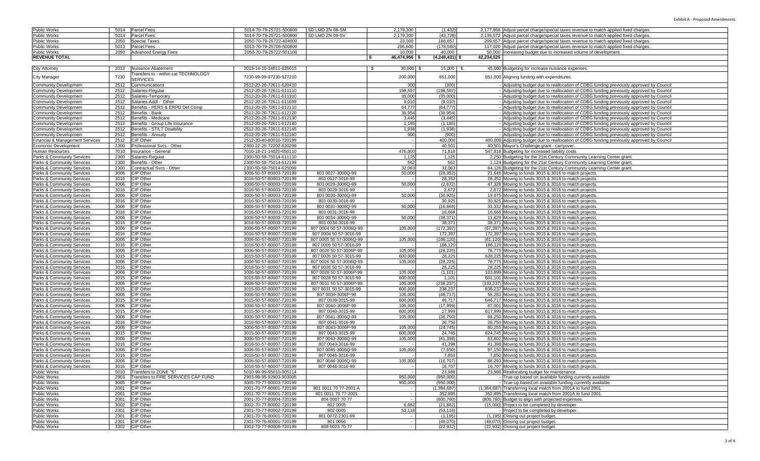| <b>Public Works</b>                        | Parcel Fees<br>5014        |                                     | 5014-70-79-25721-500800 | SD LMD ZN 08-SM         | 2,179,300     | (1, 432)         | 2,177,868 Adjust parcel charge/special taxes revenue to match applied fixed charges         |
|--------------------------------------------|----------------------------|-------------------------------------|-------------------------|-------------------------|---------------|------------------|---------------------------------------------------------------------------------------------|
| Public Works                               | 5014<br>Parcel Fees        |                                     | 5014-70-79-25721-500800 | SD LMD ZN 09-SV         | 2,179,300     | (43, 728)        | 2,135,572 Adjust parcel charge/special taxes revenue to match applied fixed charges.        |
| Public Works                               | 2050<br>Special Taxes      |                                     | 2050-70-79-25722-404000 |                         | 23,000        | 186,657          | 209,657 Adjust parcel charge/special taxes revenue to match applied fixed charges.          |
| Public Works                               | 5013<br>Parcel Fees        |                                     | 5013-70-79-25705-500800 |                         | 295,600       | (178, 580)       | 117,020 Adjust parcel charge/special taxes revenue to match applied fixed charges.          |
| Public Works                               | 2050                       | <b>Advanced Energy Fees</b>         | 2050-70-79-25722-501100 |                         | 10.000        | 40,000           | 50,000 Increasing budget due to increased volume of development.                            |
| <b>REVENUE TOTAL</b>                       |                            |                                     |                         |                         | 46,474,956 \$ | $(4,240,431)$ \$ | 42,234,525                                                                                  |
|                                            |                            |                                     |                         |                         |               |                  |                                                                                             |
| City Attorney                              | 2013                       | Nuisance Abatement                  | 2013-14-10-14011-625015 | \$                      | $30,000$ \$   | 15,000 \$        | 45,000 Budgeting for increase nuisance expenses.                                            |
| City Manager                               | 7230<br><b>SERVICES</b>    | ransfers to - within cat TECHNOLOGY | 7230-99-99-97230-927210 |                         | 200,000       | 651,000          | 851,000 Aligning funding with expenditures                                                  |
| Community Development                      | 2512                       | Communications                      | 2512-20-26-72611-620410 |                         | 300           | (300)            | Adjusting budget due to reallocation of CDBG funding previously approved by Council         |
| <b>Community Development</b>               | 2512                       | Salaries-Regulaı                    | 2512-20-26-72611-611110 |                         | 198,597       | (198, 597)       | - Adjusting budget due to reallocation of CDBG funding previously approved by Council       |
| Community Development                      | 2512                       | Salaries-Temporary                  | 2512-20-26-72611-611310 |                         | 35,000        | (35,000)         | - Adjusting budget due to reallocation of CDBG funding previously approved by Council       |
| Community Development                      | 2512                       | Salaries-Addl - Other               | 2512-20-26-72611-611699 |                         | 9.010         | (9,010)          | - Adjusting budget due to reallocation of CDBG funding previously approved by Council       |
| Community Development                      | 2512                       | Benefits - PERS & ERPD Def Comp     | 2512-20-26-72611-612110 |                         | 64.777        | (64, 777)        | Adjusting budget due to reallocation of CDBG funding previously approved by Council         |
| Community Development                      | 2512                       | Benefits - Bank                     | 2512-20-26-72611-612120 |                         | 38,954        | (38, 954)        | Adjusting budget due to reallocation of CDBG funding previously approved by Council         |
| <b>Community Development</b>               | 2512                       | Benefits - Medicare                 | 2512-20-26-72611-612130 |                         | 3,445         | (3, 445)         | Adjusting budget due to reallocation of CDBG funding previously approved by Council         |
| Community Development                      | 2512                       | Benefits - Group Life Insurance     | 2512-20-26-72611-612140 |                         | 1,185         | (1, 185)         | - Adjusting budget due to reallocation of CDBG funding previously approved by Council       |
| <b>Community Development</b>               | 2512                       | Benefits - ST/LT Disability         | 2512-20-26-72611-612145 |                         | 1,938         | (1,938)          | - Adjusting budget due to reallocation of CDBG funding previously approved by Council       |
| <b>Community Development</b>               | 2512                       | Benefits - Annuity                  | 2512-20-26-72611-612160 |                         | 900           | (900)            | - Adjusting budget due to reallocation of CDBG funding previously approved by Council       |
| <b>Financial &amp; Management Services</b> | 2512<br>CIP Other          |                                     | 2512-30-40-80010-720199 |                         |               | 400,000          | 400,000 Adjusting budget due to reallocation of CDBG funding previously approved by Council |
| Economic Development                       | 2300                       | Professional Svcs - Other           | 2300-22-25-72202-620299 |                         |               | 40.501           | 40,501 Mayor's Challenge grant - carryover.                                                 |
| Human Resources                            | 7010                       | Insurance - General                 | 7010-18-21-14020-650110 |                         | 476.000       | 71,818           | 547,818 Budgeting for increased liability costs.                                            |
| <b>Parks &amp; Community Services</b>      | 2300                       | Salaries-Regular                    | 2300-50-58-75014-611110 |                         | 1,125         | 1,125            | 2,250 Budgeting for the 21st Century Community Learning Center grant.                       |
| <b>Parks &amp; Community Services</b>      | 2300                       | Benefits - Other                    | 2300-50-58-75014-612199 |                         | 562           | 562              | 1,124 Budgeting for the 21st Century Community Learning Center grant.                       |
|                                            | 2300                       | Contractual Svcs - Other            | 2300-50-58-75014-625099 |                         | 32,063        | 32,063           |                                                                                             |
| <b>Parks &amp; Community Services</b>      |                            |                                     |                         |                         |               |                  | 64,126 Budgeting for the 21st Century Community Learning Center grant.                      |
| Parks & Community Services                 | 3006<br>CIP Other          |                                     | 3006-50-57-80003-720199 | 803 0027-3006Q-99       | 50,000        | (28, 352)        | 21,648 Moving to funds 3015 & 3016 to match projects.                                       |
| Parks & Community Services                 | CIP Other<br>3016          |                                     | 3016-50-57-80003-720199 | 803 0027-3016-99        |               | 28,352           | 28,352 Moving to funds 3015 & 3016 to match projects.                                       |
| Parks & Community Services                 | CIP Other<br>3006          |                                     | 3006-50-57-80003-720199 | 803 0029-3006Q-99       | 50,000        | (2,672)          | 47,328 Moving to funds 3015 & 3016 to match projects.                                       |
| <b>Parks &amp; Community Services</b>      | CIP Other<br>3016          |                                     | 3016-50-57-80003-720199 | 803 0029-3016-99        |               | 2,672            | 2,672 Moving to funds 3015 & 3016 to match projects.                                        |
| <b>Parks &amp; Community Services</b>      | 3006<br>CIP Other          |                                     | 3006-50-57-80003-720199 | 803 0030-3006Q-99       | 50,000        | (30, 925)        | 19,075 Moving to funds 3015 & 3016 to match projects.                                       |
| <b>Parks &amp; Community Services</b>      | CIP Other<br>3016          |                                     | 3016-50-57-80003-720199 | 803 0030-3016-99        |               | 30,925           | 30,925 Moving to funds 3015 & 3016 to match projects.                                       |
| Parks & Community Services                 | CIP Other<br>3006          |                                     | 3006-50-57-80003-720199 | 803 0031-3006Q-99       | 50,000        | (16, 668)        | 33,332 Moving to funds 3015 & 3016 to match projects.                                       |
| <b>Parks &amp; Community Services</b>      | CIP Other<br>3016          |                                     | 3016-50-57-80003-720199 | 803 0031-3016-99        |               | 16,668           | 16,668 Moving to funds 3015 & 3016 to match projects.                                       |
| Parks & Community Services                 | 3006<br>CIP Other          |                                     | 3006-50-57-80003-720199 | 803 0034-3006Q-99       | 50,000        | (38, 371)        | 11,629 Moving to funds 3015 & 3016 to match projects.                                       |
| <b>Parks &amp; Community Services</b>      | 3016<br>CIP Other          |                                     | 3016-50-57-80003-720199 | 803 0034-3016-99        |               | 38,371           | 38,371 Moving to funds 3015 & 3016 to match projects.                                       |
| <b>Parks &amp; Community Services</b>      | CIP Other<br>3006          |                                     | 3006-50-57-80007-720199 | 807 0004 50 57-3006Q-99 | 105,000       | (172, 397)       | (67,397) Moving to funds 3015 & 3016 to match projects.                                     |
| <b>Parks &amp; Community Services</b>      | CIP Other<br>3016          |                                     | 3016-50-57-80007-720199 | 807 0004 50 57-3016-99  |               | 172,397          | 172,397 Moving to funds 3015 & 3016 to match projects.                                      |
| <b>Parks &amp; Community Services</b>      | 3006<br>CIP Other          |                                     | 3006-50-57-80007-720199 | 807 0005 50 57-3006Q-99 | 105,000       | (186, 120)       | (81,120) Moving to funds 3015 & 3016 to match projects.                                     |
| <b>Parks &amp; Community Services</b>      | 3016<br>CIP Other          |                                     | 3016-50-57-80007-720199 | 807 0005 50 57-3016-99  |               | 186,120          | 186,120 Moving to funds 3015 & 3016 to match projects.                                      |
| <b>Parks &amp; Community Services</b>      | CIP Other<br>3006          |                                     | 3006-50-57-80007-720199 | 807 0026 50 57-3006P-99 | 105,000       | (28, 225)        | 76,775 Moving to funds 3015 & 3016 to match projects.                                       |
| <b>Parks &amp; Community Services</b>      | CIP Other<br>3015          |                                     | 3015-50-57-80007-720199 | 807 0026 50 57-3015-99  | 600,000       | 28,225           | 628,225 Moving to funds 3015 & 3016 to match projects.                                      |
| <b>Parks &amp; Community Services</b>      | CIP Other<br>3006          |                                     | 3006-50-57-80007-720199 | 807 0026 50 57-3006Q-99 | 105,000       | (28, 225)        | 76,775 Moving to funds 3015 & 3016 to match projects.                                       |
| Parks & Community Services                 | 3016<br>CIP Other          |                                     | 3016-50-57-80007-720199 | 807 0026 50 57-3016-99  |               | 28,225           | 28,225 Moving to funds 3015 & 3016 to match projects.                                       |
| <b>Parks &amp; Community Services</b>      | CIP Other<br>3006          |                                     | 3006-50-57-80007-720199 | 807 0028 50 57-3006P-99 | 105,000       | (1, 101)         | 103,899 Moving to funds 3015 & 3016 to match projects.                                      |
| <b>Parks &amp; Community Services</b>      | 3015<br>CIP Other          |                                     | 3015-50-57-80007-720199 | 807 0028 50 57-3015-99  | 600,000       | 1,101            | 601,101 Moving to funds 3015 & 3016 to match projects.                                      |
| <b>Parks &amp; Community Services</b>      | 3006<br>CIP Other          |                                     | 3006-50-57-80007-720199 | 807 0031 50 57-3006P-99 | 105,000       | (238, 237)       | (133,237) Moving to funds 3015 & 3016 to match projects.                                    |
| <b>Parks &amp; Community Services</b>      | CIP Other<br>3015          |                                     | 3015-50-57-80007-720199 | 807 0031 50 57-3015-99  | 600,000       | 238,237          | 838,237 Moving to funds 3015 & 3016 to match projects.                                      |
| <b>Parks &amp; Community Services</b>      | 3006<br>CIP Other          |                                     | 3006-50-57-80007-720199 | 807 0039-3006P-99       | 105,000       | (46, 717)        | 58,283 Moving to funds 3015 & 3016 to match projects.                                       |
| <b>Parks &amp; Community Services</b>      | CIP Other<br>3015          |                                     | 3015-50-57-80007-720199 | 807 0039-3015-99        | 600,000       | 46,717           | 646,717 Moving to funds 3015 & 3016 to match projects.                                      |
| <b>Parks &amp; Community Services</b>      | CIP Other<br>3006          |                                     | 3006-50-57-80007-720199 | 807 0040-3006P-99       | 105,000       | (17, 999)        | 87,001 Moving to funds 3015 & 3016 to match projects.                                       |
| <b>Parks &amp; Community Services</b>      | CIP Other<br>3015          |                                     | 3015-50-57-80007-720199 | 807 0040-3015-99        | 600,000       | 17,999           | 617,999 Moving to funds 3015 & 3016 to match projects.                                      |
| <b>Parks &amp; Community Services</b>      | CIP Other<br>3006          |                                     | 3006-50-57-80007-720199 | 807 0041-3006Q-99       | 105,000       | (36, 750)        | 68,250 Moving to funds 3015 & 3016 to match projects.                                       |
| <b>Parks &amp; Community Services</b>      | 3016<br>CIP Other          |                                     | 3016-50-57-80007-720199 | 807 0041-3016-99        |               | 36,750           | 36,750 Moving to funds 3015 & 3016 to match projects.                                       |
| <b>Parks &amp; Community Services</b>      | 3006<br>CIP Other          |                                     | 3006-50-57-80007-720199 | 807 0043-3006P-99       | 105,000       | (24, 745)        | 80,255 Moving to funds 3015 & 3016 to match projects.                                       |
| Parks & Community Services                 | CIP Other<br>3015          |                                     | 3015-50-57-80007-720199 | 807 0043-3015-99        | 600,000       | 24,745           | 624,745 Moving to funds 3015 & 3016 to match projects.                                      |
| <b>Parks &amp; Community Services</b>      | CIP Other<br>3006          |                                     | 3006-50-57-80007-720199 | 807 0043-3006Q-99       | 105,000       | (41, 398)        | 63,602 Moving to funds 3015 & 3016 to match projects.                                       |
| Parks & Community Services                 | 3016<br>CIP Other          |                                     | 3016-50-57-80007-720199 | 807 0043-3016-99        |               | 41,398           | 41,398 Moving to funds 3015 & 3016 to match projects.                                       |
| <b>Parks &amp; Community Services</b>      | 3006<br>CIP Other          |                                     | 3006-50-57-80007-720199 | 807 0045-3006Q-99       | 105,000       | (7, 850)         | 97,150 Moving to funds 3015 & 3016 to match projects.                                       |
| Parks & Community Services                 | CIP Other<br>3016          |                                     | 3016-50-57-80007-720199 | 807 0045-3016-99        |               | 7,850            | 7,850 Moving to funds 3015 & 3016 to match projects.                                        |
| Parks & Community Services                 | 3006<br>CIP Other          |                                     | 3006-50-57-80007-720199 | 807 0046-3006Q-99       | 105,000       | (16, 707)        | 88,293 Moving to funds 3015 & 3016 to match projects.                                       |
| Parks & Community Services                 | 3016 CIP Other             |                                     | 3016-50-57-80007-720199 | 807 0046-3016-99        |               | 16,707           | 16,707 Moving to funds 3015 & 3016 to match projects.                                       |
| Public Works                               | 5010 Transfers to ZONE "S" |                                     | 5010-99-99-95010-905114 |                         |               | 23,988           | 23,988 Reallocating budget for maintenance.                                                 |
| Public Works                               | 2903                       | Transfers to FIRE SERVICES CAP FUND | 2903-99-95-92903-903005 |                         | 950,000       | (950,000)        | - True-up based on available funding currently available                                    |
| Public Works                               | 3005<br><b>CIP Other</b>   |                                     | 3005-70-77-80003-720199 |                         | 950,000       | (950,000)        | True-up based on available funding currently available                                      |
| Public Works                               | <b>CIP</b> Other<br>2001   |                                     | 2001-70-77-80001-720199 | 801 0011 70 77-2001 A   |               | (1,384,687)      | (1,384,687) Transferring local match from 2001A to fund 2001                                |
| <b>Public Works</b>                        | 2001<br>CIP Other          |                                     | 2001-70-77-80001-720199 | 801 0011 70 77-2001     |               | 352,895          | 352,895 Transferring local match from 2001A to fund 2001                                    |
| Public Works                               | CIP Other<br>2001          |                                     | 2001-70-77-80004-720199 | 804 0007 70 77          |               | (800, 760)       | (800,760) Budget to align with projected expenses.                                          |
| Public Works                               | 3002<br>CIP Other          |                                     | 3002-70-77-80002-720199 | 802 0005                | 6,882         | (21, 882)        | (15,000) Project to be completed by developer.                                              |
| Public Works                               | 2301<br>CIP Other          |                                     | 2301-70-77-80002-720199 | 802 0005                | 53,118        | (53, 118)        | - Project to be completed by developer.                                                     |
| Public Works                               | CIP Other<br>2301          |                                     | 2301-70-76-80001-720199 | 801 0072-2301-99        |               | (1, 195)         | (1,195) Closing out project budget.                                                         |
| Public Works                               | 2301<br>CIP Other          |                                     | 2301-70-76-80001-720199 | 801 0056                |               | (49,070)         | (49,070) Closing out project budget                                                         |
| Public Works                               | 3302<br>CIP Other          |                                     | 3302-70-77-80008-720199 | 808 0023 70 77          |               | (22, 932)        | (22,932) Closing out project budget.                                                        |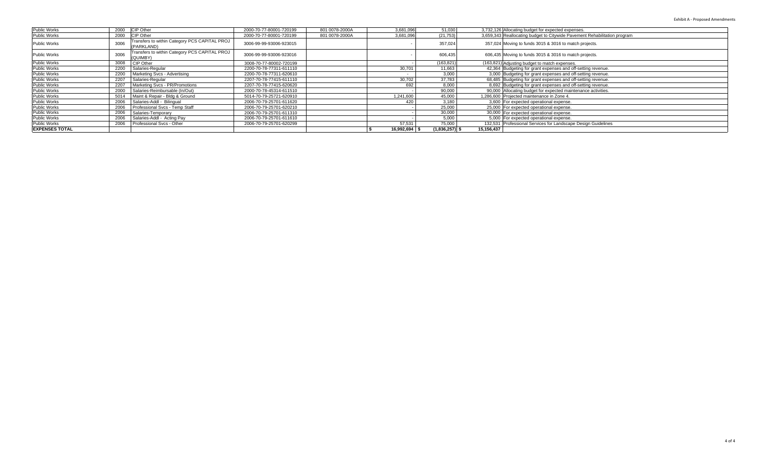| 2000 CIP Other<br>Public Works<br>2000-70-77-80001-720199<br>801 0078-2000A<br>3.681.096<br>51,030<br>3,732,126 Allocating budget for expected expenses.<br>CIP Other<br>2000<br>Public Works<br>801 0078-2000A<br>3,659,343 Reallocating budget to Citywide Pavement Rehabilitation program<br>2000-70-77-80001-720199<br>3,681,096<br>(21, 753)<br>Transfers to within Category PCS CAPITAL PROJ<br>3006<br>Public Works<br>357,024<br>357,024 Moving to funds 3015 & 3016 to match projects.<br>3006-99-99-93006-923015<br>(PARKLAND)<br>Transfers to within Category PCS CAPITAL PROJ<br>3006<br>606,435<br><b>Public Works</b><br>3006-99-99-93006-923016<br>606,435 Moving to funds 3015 & 3016 to match projects.<br>(QUIMBY)<br>CIP Other<br><b>Public Works</b><br>3008<br>(163,821) Adjusting budget to match expenses.<br>3008-70-77-80002-720199<br>(163, 821)<br>Salaries-Regular<br>Public Works<br>2200<br>30,701<br>42,364 Budgeting for grant expenses and off-setting revenue.<br>2200-70-78-77311-611110<br>11,663<br><b>Public Works</b><br>2200<br>Marketing Svcs - Advertising<br>3.000<br>2200-70-78-77311-620610<br>3,000 Budgeting for grant expenses and off-setting revenue.<br>Salaries-Regular<br>Public Works<br>2207<br>30,702<br>37.783<br>68,485 Budgeting for grant expenses and off-setting revenue.<br>2207-70-78-77415-611110<br>Public Works<br>Marketing Sycs - PR/Promotions<br>692<br>8.000<br>2207<br>8,692 Budgeting for grant expenses and off-setting revenue.<br>2207-70-78-77415-620620<br>Public Works<br>2000<br>Salaries-Reimbursable (In/Out)<br>90.000<br>90,000 Allocating budget for expected maintenance activities.<br>2000-70-78-45314-611510<br>Public Works<br>45.000<br>1,241,600<br>1,286,600 Projected maintenance in Zone 4.<br>Maint & Repair - Bldg & Ground<br>5014<br>5014-70-79-25721-620910<br><b>Public Works</b><br>Salaries-Addl - Bilingual<br>2006<br>3.180<br>2006-70-79-25701-611620<br>420<br>3,600 For expected operational expense.<br><b>Public Works</b><br>25,000<br>2006<br>Professional Svcs - Temp Staff<br>25,000 For expected operational expense.<br>2006-70-79-25701-620210<br>Public Works<br>Salaries-Temporary<br>30.000<br>2006-70-79-25701-611310<br>30,000 For expected operational expense.<br>2006<br>Public Works<br>Salaries-Addl - Acting Pay<br>5.000<br>2006<br>5,000 For expected operational expense.<br>2006-70-79-25701-611610<br><b>Public Works</b><br>Professional Svcs - Other<br>57.531<br>132,531 Professional Services for Landscape Design Guidelines<br>2006-70-79-25701-620299<br>75,000<br>2006<br><b>EXPENSES TOTAL</b><br>15,156,437<br>$(1,836,257)$ \$<br>16,992,694 \$ |  |  |  |  |  |
|--------------------------------------------------------------------------------------------------------------------------------------------------------------------------------------------------------------------------------------------------------------------------------------------------------------------------------------------------------------------------------------------------------------------------------------------------------------------------------------------------------------------------------------------------------------------------------------------------------------------------------------------------------------------------------------------------------------------------------------------------------------------------------------------------------------------------------------------------------------------------------------------------------------------------------------------------------------------------------------------------------------------------------------------------------------------------------------------------------------------------------------------------------------------------------------------------------------------------------------------------------------------------------------------------------------------------------------------------------------------------------------------------------------------------------------------------------------------------------------------------------------------------------------------------------------------------------------------------------------------------------------------------------------------------------------------------------------------------------------------------------------------------------------------------------------------------------------------------------------------------------------------------------------------------------------------------------------------------------------------------------------------------------------------------------------------------------------------------------------------------------------------------------------------------------------------------------------------------------------------------------------------------------------------------------------------------------------------------------------------------------------------------------------------------------------------------------------------------------------------------------------------------------------------------------------------------------------------------------------------------------------------------------------------------------------------------|--|--|--|--|--|
|                                                                                                                                                                                                                                                                                                                                                                                                                                                                                                                                                                                                                                                                                                                                                                                                                                                                                                                                                                                                                                                                                                                                                                                                                                                                                                                                                                                                                                                                                                                                                                                                                                                                                                                                                                                                                                                                                                                                                                                                                                                                                                                                                                                                                                                                                                                                                                                                                                                                                                                                                                                                                                                                                                  |  |  |  |  |  |
|                                                                                                                                                                                                                                                                                                                                                                                                                                                                                                                                                                                                                                                                                                                                                                                                                                                                                                                                                                                                                                                                                                                                                                                                                                                                                                                                                                                                                                                                                                                                                                                                                                                                                                                                                                                                                                                                                                                                                                                                                                                                                                                                                                                                                                                                                                                                                                                                                                                                                                                                                                                                                                                                                                  |  |  |  |  |  |
|                                                                                                                                                                                                                                                                                                                                                                                                                                                                                                                                                                                                                                                                                                                                                                                                                                                                                                                                                                                                                                                                                                                                                                                                                                                                                                                                                                                                                                                                                                                                                                                                                                                                                                                                                                                                                                                                                                                                                                                                                                                                                                                                                                                                                                                                                                                                                                                                                                                                                                                                                                                                                                                                                                  |  |  |  |  |  |
|                                                                                                                                                                                                                                                                                                                                                                                                                                                                                                                                                                                                                                                                                                                                                                                                                                                                                                                                                                                                                                                                                                                                                                                                                                                                                                                                                                                                                                                                                                                                                                                                                                                                                                                                                                                                                                                                                                                                                                                                                                                                                                                                                                                                                                                                                                                                                                                                                                                                                                                                                                                                                                                                                                  |  |  |  |  |  |
|                                                                                                                                                                                                                                                                                                                                                                                                                                                                                                                                                                                                                                                                                                                                                                                                                                                                                                                                                                                                                                                                                                                                                                                                                                                                                                                                                                                                                                                                                                                                                                                                                                                                                                                                                                                                                                                                                                                                                                                                                                                                                                                                                                                                                                                                                                                                                                                                                                                                                                                                                                                                                                                                                                  |  |  |  |  |  |
|                                                                                                                                                                                                                                                                                                                                                                                                                                                                                                                                                                                                                                                                                                                                                                                                                                                                                                                                                                                                                                                                                                                                                                                                                                                                                                                                                                                                                                                                                                                                                                                                                                                                                                                                                                                                                                                                                                                                                                                                                                                                                                                                                                                                                                                                                                                                                                                                                                                                                                                                                                                                                                                                                                  |  |  |  |  |  |
|                                                                                                                                                                                                                                                                                                                                                                                                                                                                                                                                                                                                                                                                                                                                                                                                                                                                                                                                                                                                                                                                                                                                                                                                                                                                                                                                                                                                                                                                                                                                                                                                                                                                                                                                                                                                                                                                                                                                                                                                                                                                                                                                                                                                                                                                                                                                                                                                                                                                                                                                                                                                                                                                                                  |  |  |  |  |  |
|                                                                                                                                                                                                                                                                                                                                                                                                                                                                                                                                                                                                                                                                                                                                                                                                                                                                                                                                                                                                                                                                                                                                                                                                                                                                                                                                                                                                                                                                                                                                                                                                                                                                                                                                                                                                                                                                                                                                                                                                                                                                                                                                                                                                                                                                                                                                                                                                                                                                                                                                                                                                                                                                                                  |  |  |  |  |  |
|                                                                                                                                                                                                                                                                                                                                                                                                                                                                                                                                                                                                                                                                                                                                                                                                                                                                                                                                                                                                                                                                                                                                                                                                                                                                                                                                                                                                                                                                                                                                                                                                                                                                                                                                                                                                                                                                                                                                                                                                                                                                                                                                                                                                                                                                                                                                                                                                                                                                                                                                                                                                                                                                                                  |  |  |  |  |  |
|                                                                                                                                                                                                                                                                                                                                                                                                                                                                                                                                                                                                                                                                                                                                                                                                                                                                                                                                                                                                                                                                                                                                                                                                                                                                                                                                                                                                                                                                                                                                                                                                                                                                                                                                                                                                                                                                                                                                                                                                                                                                                                                                                                                                                                                                                                                                                                                                                                                                                                                                                                                                                                                                                                  |  |  |  |  |  |
|                                                                                                                                                                                                                                                                                                                                                                                                                                                                                                                                                                                                                                                                                                                                                                                                                                                                                                                                                                                                                                                                                                                                                                                                                                                                                                                                                                                                                                                                                                                                                                                                                                                                                                                                                                                                                                                                                                                                                                                                                                                                                                                                                                                                                                                                                                                                                                                                                                                                                                                                                                                                                                                                                                  |  |  |  |  |  |
|                                                                                                                                                                                                                                                                                                                                                                                                                                                                                                                                                                                                                                                                                                                                                                                                                                                                                                                                                                                                                                                                                                                                                                                                                                                                                                                                                                                                                                                                                                                                                                                                                                                                                                                                                                                                                                                                                                                                                                                                                                                                                                                                                                                                                                                                                                                                                                                                                                                                                                                                                                                                                                                                                                  |  |  |  |  |  |
|                                                                                                                                                                                                                                                                                                                                                                                                                                                                                                                                                                                                                                                                                                                                                                                                                                                                                                                                                                                                                                                                                                                                                                                                                                                                                                                                                                                                                                                                                                                                                                                                                                                                                                                                                                                                                                                                                                                                                                                                                                                                                                                                                                                                                                                                                                                                                                                                                                                                                                                                                                                                                                                                                                  |  |  |  |  |  |
|                                                                                                                                                                                                                                                                                                                                                                                                                                                                                                                                                                                                                                                                                                                                                                                                                                                                                                                                                                                                                                                                                                                                                                                                                                                                                                                                                                                                                                                                                                                                                                                                                                                                                                                                                                                                                                                                                                                                                                                                                                                                                                                                                                                                                                                                                                                                                                                                                                                                                                                                                                                                                                                                                                  |  |  |  |  |  |
|                                                                                                                                                                                                                                                                                                                                                                                                                                                                                                                                                                                                                                                                                                                                                                                                                                                                                                                                                                                                                                                                                                                                                                                                                                                                                                                                                                                                                                                                                                                                                                                                                                                                                                                                                                                                                                                                                                                                                                                                                                                                                                                                                                                                                                                                                                                                                                                                                                                                                                                                                                                                                                                                                                  |  |  |  |  |  |
|                                                                                                                                                                                                                                                                                                                                                                                                                                                                                                                                                                                                                                                                                                                                                                                                                                                                                                                                                                                                                                                                                                                                                                                                                                                                                                                                                                                                                                                                                                                                                                                                                                                                                                                                                                                                                                                                                                                                                                                                                                                                                                                                                                                                                                                                                                                                                                                                                                                                                                                                                                                                                                                                                                  |  |  |  |  |  |
|                                                                                                                                                                                                                                                                                                                                                                                                                                                                                                                                                                                                                                                                                                                                                                                                                                                                                                                                                                                                                                                                                                                                                                                                                                                                                                                                                                                                                                                                                                                                                                                                                                                                                                                                                                                                                                                                                                                                                                                                                                                                                                                                                                                                                                                                                                                                                                                                                                                                                                                                                                                                                                                                                                  |  |  |  |  |  |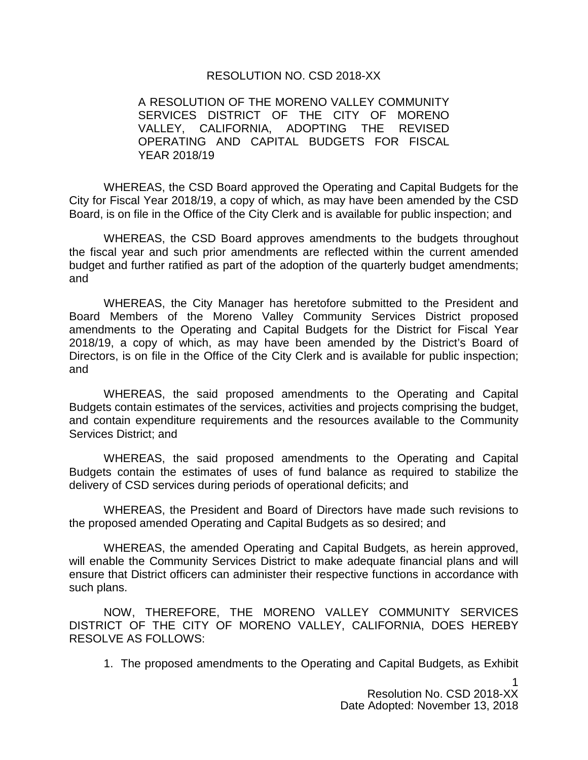## RESOLUTION NO. CSD 2018-XX

A RESOLUTION OF THE MORENO VALLEY COMMUNITY SERVICES DISTRICT OF THE CITY OF MORENO VALLEY, CALIFORNIA, ADOPTING THE REVISED OPERATING AND CAPITAL BUDGETS FOR FISCAL YEAR 2018/19

WHEREAS, the CSD Board approved the Operating and Capital Budgets for the City for Fiscal Year 2018/19, a copy of which, as may have been amended by the CSD Board, is on file in the Office of the City Clerk and is available for public inspection; and

WHEREAS, the CSD Board approves amendments to the budgets throughout the fiscal year and such prior amendments are reflected within the current amended budget and further ratified as part of the adoption of the quarterly budget amendments; and

WHEREAS, the City Manager has heretofore submitted to the President and Board Members of the Moreno Valley Community Services District proposed amendments to the Operating and Capital Budgets for the District for Fiscal Year 2018/19, a copy of which, as may have been amended by the District's Board of Directors, is on file in the Office of the City Clerk and is available for public inspection; and

WHEREAS, the said proposed amendments to the Operating and Capital Budgets contain estimates of the services, activities and projects comprising the budget, and contain expenditure requirements and the resources available to the Community Services District; and

WHEREAS, the said proposed amendments to the Operating and Capital Budgets contain the estimates of uses of fund balance as required to stabilize the delivery of CSD services during periods of operational deficits; and

WHEREAS, the President and Board of Directors have made such revisions to the proposed amended Operating and Capital Budgets as so desired; and

WHEREAS, the amended Operating and Capital Budgets, as herein approved, will enable the Community Services District to make adequate financial plans and will ensure that District officers can administer their respective functions in accordance with such plans.

NOW, THEREFORE, THE MORENO VALLEY COMMUNITY SERVICES DISTRICT OF THE CITY OF MORENO VALLEY, CALIFORNIA, DOES HEREBY RESOLVE AS FOLLOWS:

1. The proposed amendments to the Operating and Capital Budgets, as Exhibit

1 Resolution No. CSD 2018-XX Date Adopted: November 13, 2018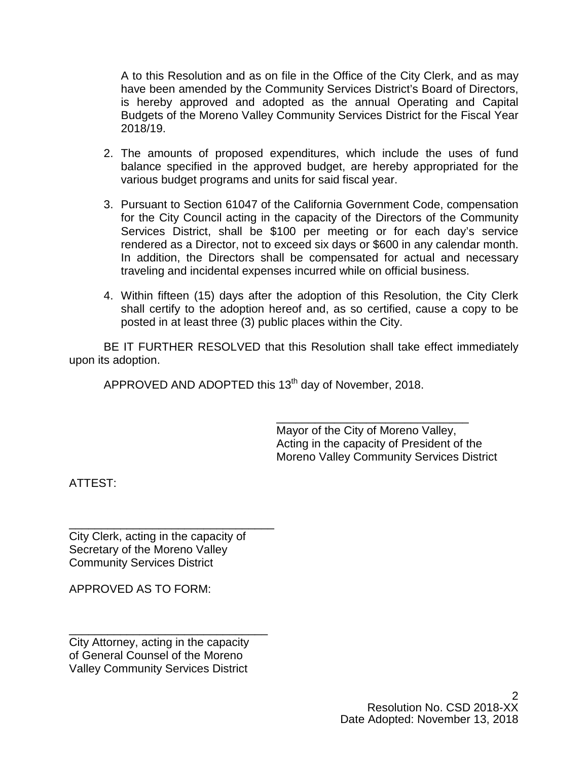A to this Resolution and as on file in the Office of the City Clerk, and as may have been amended by the Community Services District's Board of Directors, is hereby approved and adopted as the annual Operating and Capital Budgets of the Moreno Valley Community Services District for the Fiscal Year 2018/19.

- 2. The amounts of proposed expenditures, which include the uses of fund balance specified in the approved budget, are hereby appropriated for the various budget programs and units for said fiscal year.
- 3. Pursuant to Section 61047 of the California Government Code, compensation for the City Council acting in the capacity of the Directors of the Community Services District, shall be \$100 per meeting or for each day's service rendered as a Director, not to exceed six days or \$600 in any calendar month. In addition, the Directors shall be compensated for actual and necessary traveling and incidental expenses incurred while on official business.
- 4. Within fifteen (15) days after the adoption of this Resolution, the City Clerk shall certify to the adoption hereof and, as so certified, cause a copy to be posted in at least three (3) public places within the City.

BE IT FURTHER RESOLVED that this Resolution shall take effect immediately upon its adoption.

APPROVED AND ADOPTED this 13<sup>th</sup> day of November, 2018.

\_\_\_\_\_\_\_\_\_\_\_\_\_\_\_\_\_\_\_\_\_\_\_\_\_\_\_\_\_\_ Mayor of the City of Moreno Valley, Acting in the capacity of President of the Moreno Valley Community Services District

ATTEST:

\_\_\_\_\_\_\_\_\_\_\_\_\_\_\_\_\_\_\_\_\_\_\_\_\_\_\_\_\_\_\_\_ City Clerk, acting in the capacity of Secretary of the Moreno Valley Community Services District

APPROVED AS TO FORM:

City Attorney, acting in the capacity of General Counsel of the Moreno Valley Community Services District

\_\_\_\_\_\_\_\_\_\_\_\_\_\_\_\_\_\_\_\_\_\_\_\_\_\_\_\_\_\_\_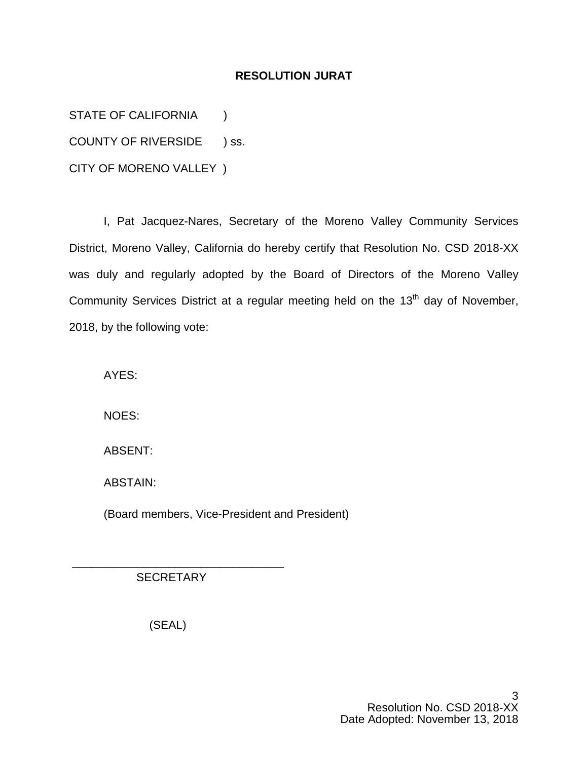## **RESOLUTION JURAT**

STATE OF CALIFORNIA (1)

COUNTY OF RIVERSIDE ) ss.

CITY OF MORENO VALLEY )

I, Pat Jacquez-Nares, Secretary of the Moreno Valley Community Services District, Moreno Valley, California do hereby certify that Resolution No. CSD 2018-XX was duly and regularly adopted by the Board of Directors of the Moreno Valley Community Services District at a regular meeting held on the 13<sup>th</sup> day of November, 2018, by the following vote:

AYES:

NOES:

ABSENT:

ABSTAIN:

(Board members, Vice-President and President)

**SECRETARY** 

\_\_\_\_\_\_\_\_\_\_\_\_\_\_\_\_\_\_\_\_\_\_\_\_\_\_\_\_\_\_\_\_\_

(SEAL)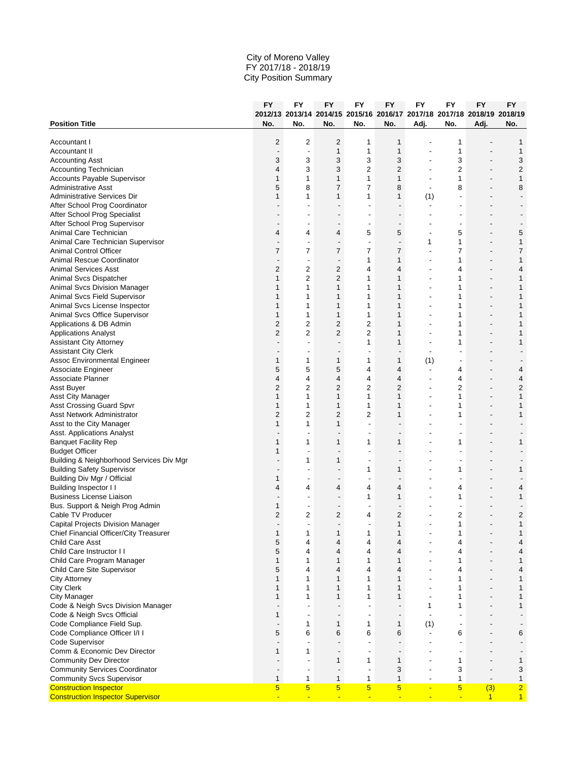|                                                                  | <b>FY</b>                     | FY                       | FY                            | FY                                                                      | FY                             | FY                       | <b>FY</b>                     | <b>FY</b>                                            | <b>FY</b>                        |
|------------------------------------------------------------------|-------------------------------|--------------------------|-------------------------------|-------------------------------------------------------------------------|--------------------------------|--------------------------|-------------------------------|------------------------------------------------------|----------------------------------|
|                                                                  |                               |                          |                               | 2012/13 2013/14 2014/15 2015/16 2016/17 2017/18 2017/18 2018/19 2018/19 |                                |                          |                               |                                                      |                                  |
| <b>Position Title</b>                                            | No.                           | No.                      | No.                           | No.                                                                     | No.                            | Adj.                     | No.                           | Adj.                                                 | No.                              |
| Accountant I                                                     | 2                             | 2                        | $\overline{2}$                | 1                                                                       | 1                              |                          | 1                             |                                                      | 1                                |
| Accountant II                                                    |                               | $\overline{\phantom{a}}$ | $\mathbf{1}$                  | $\mathbf{1}$                                                            | $\mathbf{1}$                   |                          | 1                             |                                                      | 1                                |
| <b>Accounting Asst</b>                                           | 3                             | 3                        | 3                             | 3                                                                       | 3                              |                          | 3                             |                                                      | 3                                |
| Accounting Technician                                            | 4                             | 3                        | 3                             | 2                                                                       | $\overline{2}$                 | $\overline{\phantom{a}}$ | 2                             | $\overline{\phantom{a}}$                             | $\overline{2}$                   |
| Accounts Payable Supervisor                                      | 1                             | $\mathbf{1}$             | 1                             | 1                                                                       | $\mathbf{1}$                   | ٠                        | 1                             | $\overline{\phantom{a}}$                             | $\mathbf{1}$                     |
| <b>Administrative Asst</b>                                       | 5                             | 8                        | 7                             | 7                                                                       | 8                              | $\overline{\phantom{a}}$ | 8                             |                                                      | 8                                |
| Administrative Services Dir                                      | 1                             | 1                        | $\mathbf{1}$                  | 1                                                                       | 1                              | (1)                      |                               | $\overline{\phantom{a}}$                             |                                  |
| After School Prog Coordinator                                    |                               |                          |                               |                                                                         |                                |                          |                               |                                                      |                                  |
| After School Prog Specialist                                     |                               |                          | $\overline{a}$                | $\overline{\phantom{a}}$                                                | $\overline{a}$                 |                          |                               |                                                      |                                  |
| After School Prog Supervisor                                     | $\overline{\phantom{m}}$      |                          | $\overline{\phantom{m}}$      | $\overline{\phantom{a}}$                                                | $\overline{\phantom{a}}$       |                          | ٠                             |                                                      |                                  |
| Animal Care Technician                                           | 4                             | 4                        | 4                             | 5                                                                       | 5                              | $\overline{\phantom{a}}$ | 5                             |                                                      | 5                                |
| Animal Care Technician Supervisor                                |                               | $\overline{\phantom{a}}$ | $\overline{\phantom{a}}$      | $\overline{\phantom{a}}$                                                | $\overline{\phantom{a}}$       | 1                        | 1                             | $\overline{\phantom{a}}$                             | $\mathbf{1}$                     |
| <b>Animal Control Officer</b>                                    | 7                             | 7                        | 7                             | 7                                                                       | 7                              | $\overline{\phantom{a}}$ | 7                             | $\overline{\phantom{a}}$                             | 7                                |
| Animal Rescue Coordinator                                        | $\overline{\phantom{m}}$      | $\overline{\phantom{a}}$ | $\qquad \qquad \blacksquare$  | 1                                                                       | $\mathbf{1}$                   | $\overline{\phantom{a}}$ | 1                             | $\overline{\phantom{a}}$                             | $\mathbf{1}$                     |
| <b>Animal Services Asst</b>                                      | 2                             | $\overline{2}$           | 2                             | 4                                                                       | $\overline{4}$                 |                          | 4                             |                                                      | 4                                |
| Animal Svcs Dispatcher                                           | 1                             | $\overline{2}$           | 2                             | 1                                                                       | 1                              | $\overline{\phantom{a}}$ | 1                             | $\overline{\phantom{a}}$                             | $\mathbf{1}$                     |
| Animal Svcs Division Manager                                     | 1                             | 1                        | 1                             | 1                                                                       | 1                              | ÷,                       | 1                             | $\overline{a}$                                       | $\mathbf{1}$                     |
| Animal Svcs Field Supervisor                                     | $\mathbf{1}$                  | 1                        | 1                             | $\mathbf{1}$                                                            | 1                              |                          | 1                             |                                                      | $\mathbf{1}$                     |
| Animal Svcs License Inspector                                    | 1                             | 1                        | 1                             | 1                                                                       | 1                              | $\overline{\phantom{a}}$ | 1                             | $\overline{\phantom{a}}$                             | 1                                |
| Animal Svcs Office Supervisor                                    | $\mathbf{1}$                  | 1                        | $\mathbf{1}$                  | 1                                                                       | $\mathbf{1}$                   | ٠                        | 1                             | $\overline{a}$                                       | $\mathbf{1}$                     |
| Applications & DB Admin                                          | 2                             | 2                        | $\overline{2}$                | 2                                                                       | $\mathbf{1}$                   | ÷,                       | 1                             | $\overline{a}$                                       | 1                                |
| <b>Applications Analyst</b>                                      | 2                             | $\overline{2}$           | 2                             | $\overline{c}$                                                          | 1                              |                          | 1                             | $\overline{\phantom{m}}$                             | $\mathbf{1}$                     |
| <b>Assistant City Attorney</b>                                   | $\overline{\phantom{m}}$      |                          | $\overline{a}$                | 1                                                                       | 1                              | ÷,                       | 1                             |                                                      | 1                                |
| <b>Assistant City Clerk</b>                                      | $\overline{\phantom{a}}$      |                          | -                             | ٠                                                                       | $\overline{\phantom{m}}$       | ٠                        |                               | -                                                    |                                  |
|                                                                  | 1                             | 1                        |                               | 1                                                                       |                                |                          |                               |                                                      |                                  |
| Assoc Environmental Engineer                                     | 5                             | 5                        | 1<br>5                        | 4                                                                       | 1<br>$\overline{4}$            | (1)<br>$\blacksquare$    | 4                             | $\overline{\phantom{0}}$                             |                                  |
| Associate Engineer<br>Associate Planner                          | 4                             | 4                        | 4                             | 4                                                                       | 4                              |                          |                               | $\overline{\phantom{m}}$                             | 4                                |
|                                                                  | 2                             | $\overline{c}$           | 2                             | $\overline{c}$                                                          | $\overline{2}$                 | ÷,                       | 4<br>2                        |                                                      | 4<br>$\overline{c}$              |
| Asst Buyer                                                       | 1                             | 1                        | $\mathbf{1}$                  | 1                                                                       | $\mathbf{1}$                   | ٠                        | 1                             | $\overline{\phantom{a}}$                             | $\mathbf{1}$                     |
| Asst City Manager                                                | $\mathbf{1}$                  | 1                        | $\mathbf{1}$                  | 1                                                                       | 1                              |                          | 1                             |                                                      | $\mathbf{1}$                     |
| <b>Asst Crossing Guard Spvr</b>                                  | 2                             | $\overline{c}$           | $\overline{c}$                | $\overline{c}$                                                          |                                |                          |                               |                                                      | 1                                |
| Asst Network Administrator                                       | 1                             | 1                        |                               | $\blacksquare$                                                          | 1<br>$\overline{a}$            | ٠                        | 1                             | $\overline{\phantom{a}}$<br>$\overline{\phantom{0}}$ |                                  |
| Asst to the City Manager                                         |                               |                          | 1                             |                                                                         |                                |                          |                               |                                                      |                                  |
| Asst. Applications Analyst                                       | 1                             | 1                        |                               | $\overline{\phantom{a}}$<br>1                                           | $\overline{\phantom{m}}$<br>1  |                          | $\overline{a}$<br>1           |                                                      | 1                                |
| <b>Banquet Facility Rep</b><br><b>Budget Officer</b>             | 1                             | $\blacksquare$           | 1<br>$\overline{a}$           | $\blacksquare$                                                          | $\overline{\phantom{0}}$       |                          | ٠                             |                                                      |                                  |
| Building & Neighborhood Services Div Mgr                         |                               | 1                        | 1                             | $\overline{\phantom{a}}$                                                |                                |                          | ٠                             |                                                      |                                  |
|                                                                  |                               | $\overline{\phantom{a}}$ | $\overline{\phantom{m}}$      | 1                                                                       | 1                              |                          |                               |                                                      | 1                                |
| <b>Building Safety Supervisor</b><br>Building Div Mgr / Official | $\overline{\phantom{a}}$<br>1 | $\blacksquare$           | $\overline{\phantom{a}}$      | $\blacksquare$                                                          | $\overline{\phantom{a}}$       | $\overline{\phantom{a}}$ | 1<br>$\overline{\phantom{a}}$ | $\overline{\phantom{a}}$                             |                                  |
| Building Inspector I I                                           | 4                             | 4                        | 4                             | 4                                                                       | $\overline{4}$                 |                          | 4                             |                                                      | 4                                |
| <b>Business License Liaison</b>                                  |                               |                          | $\overline{\phantom{a}}$      |                                                                         |                                |                          |                               |                                                      | $\mathbf{1}$                     |
|                                                                  |                               | $\overline{\phantom{a}}$ |                               | 1<br>$\overline{\phantom{a}}$                                           | 1<br>$\overline{\phantom{m}}$  |                          | 1                             |                                                      |                                  |
| Bus. Support & Neigh Prog Admin                                  | 1<br>2                        | 2                        | $\overline{\phantom{a}}$<br>2 | 4                                                                       | $\overline{2}$                 |                          | $\overline{a}$                |                                                      |                                  |
| Cable TV Producer                                                | $\overline{\phantom{m}}$      | $\overline{\phantom{a}}$ | $\qquad \qquad \blacksquare$  | $\overline{\phantom{a}}$                                                | $\mathbf{1}$                   | ÷,                       | 2<br>1                        | $\overline{\phantom{a}}$                             | 2<br>$\mathbf{1}$                |
| Capital Projects Division Manager                                |                               |                          |                               |                                                                         |                                |                          |                               |                                                      |                                  |
| Chief Financial Officer/City Treasurer                           | $\mathbf{1}$                  |                          |                               |                                                                         | 1                              |                          |                               |                                                      |                                  |
| Child Care Asst<br>Child Care Instructor I I                     | 5<br>5                        | 4<br>4                   | 4<br>4                        | 4<br>4                                                                  | 4<br>4                         |                          | 4<br>4                        |                                                      | 4                                |
|                                                                  | $\mathbf{1}$                  | 1                        | 1                             | 1                                                                       | $\mathbf{1}$                   |                          | 1                             | $\overline{a}$                                       | 4<br>$\mathbf{1}$                |
| Child Care Program Manager                                       |                               |                          |                               |                                                                         |                                |                          |                               |                                                      |                                  |
| Child Care Site Supervisor                                       | 5<br>$\mathbf{1}$             | 4<br>1                   | 4                             | 4<br>$\mathbf{1}$                                                       | $\overline{4}$<br>$\mathbf{1}$ |                          | 4<br>1                        | -                                                    | 4                                |
| City Attorney                                                    | 1                             |                          | 1<br>$\mathbf{1}$             |                                                                         | $\mathbf{1}$                   | $\overline{\phantom{a}}$ |                               |                                                      | 1                                |
| <b>City Clerk</b>                                                |                               | 1                        |                               | 1                                                                       |                                |                          | 1                             | $\overline{\phantom{a}}$<br>$\overline{a}$           | 1                                |
| <b>City Manager</b><br>Code & Neigh Svcs Division Manager        | $\mathbf{1}$                  | $\mathbf{1}$             | $\mathbf{1}$                  | 1                                                                       | $\mathbf{1}$                   | ÷,                       | 1                             |                                                      | $\mathbf{1}$                     |
|                                                                  | $\overline{\phantom{m}}$      | $\overline{a}$           |                               | $\overline{\phantom{a}}$                                                | $\overline{a}$                 | 1                        | 1                             |                                                      | 1                                |
| Code & Neigh Svcs Official<br>Code Compliance Field Sup.         | 1                             | $\overline{\phantom{a}}$ | $\overline{a}$                | $\blacksquare$                                                          | $\overline{\phantom{m}}$       |                          |                               |                                                      |                                  |
|                                                                  | $\overline{\phantom{a}}$      | 1                        | 1                             | 1                                                                       | $\mathbf{1}$                   | (1)                      | $\overline{\phantom{a}}$      |                                                      |                                  |
| Code Compliance Officer I/I I                                    | 5                             | 6                        | 6                             | 6                                                                       | 6                              |                          | 6                             |                                                      | 6                                |
| Code Supervisor                                                  | $\overline{\phantom{m}}$      | $\overline{\phantom{a}}$ | $\overline{\phantom{a}}$      | $\overline{\phantom{a}}$                                                | $\overline{\phantom{m}}$       |                          | $\overline{a}$                |                                                      |                                  |
| Comm & Economic Dev Director                                     | $\mathbf{1}$                  | $\mathbf{1}$             | $\overline{\phantom{a}}$      | $\overline{\phantom{a}}$                                                | $\overline{\phantom{a}}$       | ٠                        | $\overline{\phantom{a}}$      | $\overline{\phantom{0}}$                             |                                  |
| <b>Community Dev Director</b>                                    |                               | $\overline{a}$           | 1                             | 1                                                                       | $\mathbf{1}$                   |                          | 1                             |                                                      | 1                                |
| <b>Community Services Coordinator</b>                            | $\qquad \qquad \blacksquare$  | $\blacksquare$           | $\qquad \qquad \blacksquare$  | $\overline{\phantom{a}}$                                                | 3                              | $\overline{\phantom{a}}$ | 3                             | $\overline{a}$                                       | 3                                |
| <b>Community Svcs Supervisor</b>                                 | 1<br>5                        | 1<br>$5\overline{)}$     | 1<br>5 <sub>5</sub>           | 1<br>$5\overline{)}$                                                    | 1<br>5 <sub>5</sub>            | ٠<br>$\blacksquare$      | 1<br>$5\overline{)}$          | $\overline{\phantom{a}}$                             | $\mathbf{1}$                     |
| <b>Construction Inspector</b>                                    |                               |                          |                               |                                                                         |                                |                          |                               | (3)                                                  | $\overline{2}$<br>1 <sup>1</sup> |
| <b>Construction Inspector Supervisor</b>                         | $\blacksquare$                | $\blacksquare$           | $\blacksquare$                | $\blacksquare$                                                          | $\blacksquare$                 | ÷                        | $\blacksquare$                | $\mathbf{1}$                                         |                                  |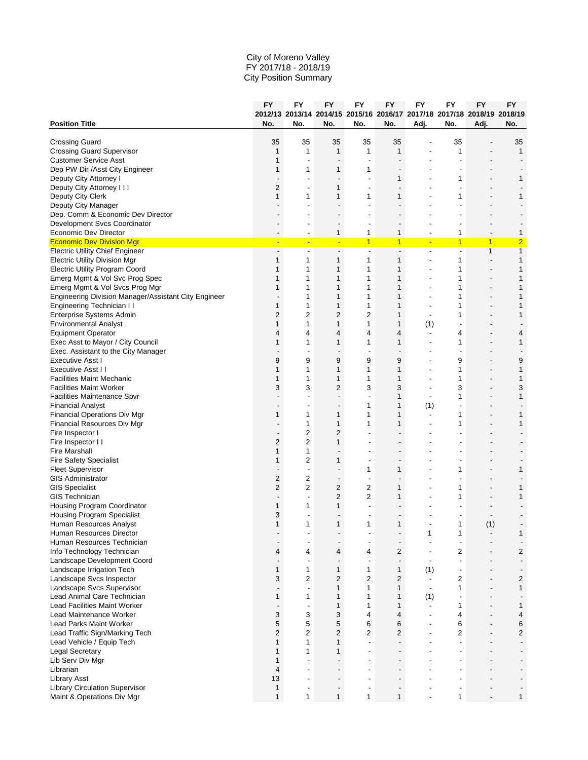|                                                           | FY                            | FY                       | FY                                                   | FY                                                                      | FY                            | <b>FY</b>                | <b>FY</b>                | <b>FY</b>                | <b>FY</b>                |
|-----------------------------------------------------------|-------------------------------|--------------------------|------------------------------------------------------|-------------------------------------------------------------------------|-------------------------------|--------------------------|--------------------------|--------------------------|--------------------------|
|                                                           |                               |                          |                                                      | 2012/13 2013/14 2014/15 2015/16 2016/17 2017/18 2017/18 2018/19 2018/19 |                               |                          |                          |                          |                          |
| <b>Position Title</b>                                     | No.                           | No.                      | No.                                                  | No.                                                                     | No.                           | Adj.                     | No.                      | Adj.                     | No.                      |
|                                                           |                               | 35                       |                                                      | 35                                                                      |                               |                          |                          |                          |                          |
| <b>Crossing Guard</b><br><b>Crossing Guard Supervisor</b> | 35<br>1                       | $\mathbf{1}$             | 35<br>$\mathbf{1}$                                   | 1                                                                       | 35<br>$\mathbf{1}$            |                          | 35<br>1                  |                          | 35<br>$\mathbf{1}$       |
| <b>Customer Service Asst</b>                              | 1                             | $\overline{\phantom{a}}$ | $\overline{a}$                                       | $\overline{\phantom{a}}$                                                |                               |                          | ٠                        |                          |                          |
| Dep PW Dir /Asst City Engineer                            | $\mathbf{1}$                  | 1                        | 1                                                    | 1                                                                       | $\overline{a}$                |                          | $\overline{a}$           |                          |                          |
| Deputy City Attorney I                                    | $\overline{\phantom{m}}$      | -                        | $\overline{\phantom{a}}$                             | $\overline{\phantom{a}}$                                                | 1                             |                          | 1                        | $\overline{\phantom{a}}$ | 1                        |
| Deputy City Attorney I I I                                | 2                             | $\overline{\phantom{a}}$ | 1                                                    | $\overline{\phantom{a}}$                                                | $\overline{\phantom{a}}$      |                          |                          |                          |                          |
| Deputy City Clerk                                         | $\mathbf{1}$                  | $\mathbf{1}$             | $\mathbf{1}$                                         | 1                                                                       | $\mathbf{1}$                  |                          | 1                        |                          | $\mathbf{1}$             |
| Deputy City Manager                                       |                               |                          |                                                      |                                                                         |                               |                          |                          |                          |                          |
| Dep. Comm & Economic Dev Director                         | $\overline{\phantom{a}}$      | ٠                        | $\overline{\phantom{a}}$                             | $\overline{a}$                                                          | $\overline{a}$                |                          |                          |                          |                          |
| Development Svcs Coordinator                              |                               |                          |                                                      | ۰                                                                       | -                             |                          |                          |                          |                          |
| Economic Dev Director                                     | $\overline{\phantom{a}}$      | $\overline{\phantom{a}}$ | $\mathbf{1}$                                         | 1                                                                       | $\mathbf{1}$                  | $\overline{\phantom{a}}$ | 1                        | $\overline{\phantom{a}}$ | 1                        |
| <b>Economic Dev Division Mgr</b>                          | Ξ                             | Ξ                        | $\blacksquare$                                       | $\mathbf{1}$                                                            | $\overline{1}$                | ٠                        | $\mathbf{1}$             | $\mathbf{1}$             | $\overline{2}$           |
| <b>Electric Utility Chief Engineer</b>                    | $\qquad \qquad \blacksquare$  | $\overline{\phantom{a}}$ | $\overline{\phantom{a}}$                             | $\overline{\phantom{a}}$                                                | $\overline{\phantom{a}}$      | ٠                        | Ĭ.                       | $\mathbf{1}$             | $\mathbf{1}$             |
| <b>Electric Utility Division Mgr</b>                      | $\mathbf{1}$                  | 1                        | 1                                                    | 1                                                                       | 1                             |                          | 1                        | $\overline{a}$           | $\mathbf{1}$             |
| <b>Electric Utility Program Coord</b>                     | 1                             | 1                        | 1                                                    | $\mathbf{1}$                                                            | 1                             |                          | 1                        |                          | $\mathbf{1}$             |
| Emerg Mgmt & Vol Svc Prog Spec                            | 1                             | 1                        | 1                                                    | 1                                                                       | 1                             | ÷,                       | 1                        | $\overline{a}$           | $\mathbf{1}$             |
| Emerg Mgmt & Vol Svcs Prog Mgr                            | 1                             | 1                        | 1                                                    | 1                                                                       | 1                             | ٠                        | 1                        | $\overline{\phantom{a}}$ | $\mathbf{1}$             |
| Engineering Division Manager/Assistant City Engineer      | $\overline{\phantom{m}}$      | 1                        | 1                                                    | 1                                                                       | 1                             |                          | 1                        | $\overline{a}$           | 1                        |
| Engineering Technician I I                                | $\mathbf{1}$                  | $\mathbf{1}$             | $\mathbf{1}$                                         | 1                                                                       | $\mathbf{1}$                  | ٠                        | 1                        | $\overline{\phantom{a}}$ | 1                        |
| Enterprise Systems Admin                                  | 2                             | $\overline{2}$           | $\overline{2}$                                       | 2                                                                       | $\mathbf{1}$                  |                          | 1                        |                          | $\mathbf{1}$             |
| <b>Environmental Analyst</b>                              | $\mathbf{1}$                  | 1                        | 1                                                    | 1                                                                       | 1                             | (1)                      |                          |                          |                          |
| <b>Equipment Operator</b>                                 | 4                             | 4                        | 4                                                    | 4                                                                       | 4                             | $\overline{\phantom{a}}$ | 4                        | $\overline{a}$           | 4                        |
| Exec Asst to Mayor / City Council                         | 1                             | 1                        | 1                                                    | 1                                                                       | 1                             | ٠                        | 1                        |                          | 1                        |
| Exec. Assistant to the City Manager                       | $\overline{\phantom{m}}$      | $\overline{\phantom{a}}$ | $\overline{\phantom{a}}$                             | $\overline{\phantom{a}}$                                                | $\overline{\phantom{m}}$      | ٠                        | ٠                        | $\overline{\phantom{a}}$ |                          |
| <b>Executive Asst I</b>                                   | 9                             | 9                        | 9                                                    | 9                                                                       | 9                             | ٠                        | 9                        | $\overline{a}$           | 9                        |
| Executive Asst II                                         | 1                             | $\mathbf{1}$             | $\mathbf{1}$                                         | $\mathbf{1}$                                                            | $\mathbf{1}$                  | ÷,                       | 1                        | $\overline{a}$           | 1                        |
| <b>Facilities Maint Mechanic</b>                          | $\mathbf{1}$                  | 1                        | 1                                                    | $\mathbf{1}$                                                            | 1                             |                          | 1                        |                          | 1                        |
| <b>Facilities Maint Worker</b>                            | 3                             | 3                        | 2                                                    | 3                                                                       | 3                             | $\overline{\phantom{a}}$ | 3                        | $\overline{a}$           | 3                        |
| Facilities Maintenance Spvr                               |                               |                          | $\overline{a}$                                       | $\overline{a}$                                                          | 1                             | ÷,                       | 1                        | $\overline{a}$           | $\mathbf{1}$             |
| <b>Financial Analyst</b>                                  |                               | ٠                        |                                                      | 1                                                                       | 1                             | (1)                      |                          |                          |                          |
| Financial Operations Div Mgr                              | 1                             | 1                        | 1                                                    | 1                                                                       | 1                             | $\overline{\phantom{a}}$ | 1                        | $\overline{\phantom{a}}$ | 1                        |
| Financial Resources Div Mgr                               | $\overline{a}$                | $\mathbf{1}$             | $\mathbf{1}$                                         | 1                                                                       | 1                             | ٠                        | 1                        |                          | $\mathbf{1}$             |
| Fire Inspector I                                          | $\overline{\phantom{m}}$      | $\overline{2}$           | 2                                                    |                                                                         |                               |                          |                          |                          |                          |
| Fire Inspector I I                                        | 2                             | $\overline{2}$           | $\mathbf{1}$                                         | ٠                                                                       | $\overline{a}$                |                          |                          |                          |                          |
| <b>Fire Marshall</b>                                      | $\mathbf{1}$                  | $\mathbf{1}$             | $\overline{\phantom{m}}$                             |                                                                         |                               |                          |                          |                          |                          |
| <b>Fire Safety Specialist</b>                             | $\mathbf{1}$                  | 2                        | 1                                                    | $\overline{\phantom{a}}$                                                | $\qquad \qquad \blacksquare$  |                          |                          |                          |                          |
| <b>Fleet Supervisor</b><br><b>GIS Administrator</b>       | $\overline{\phantom{a}}$<br>2 | $\overline{\phantom{a}}$ | $\overline{\phantom{a}}$<br>$\overline{\phantom{m}}$ | 1<br>$\overline{\phantom{a}}$                                           | 1<br>$\overline{\phantom{0}}$ |                          | 1                        | $\overline{\phantom{a}}$ | 1                        |
| <b>GIS Specialist</b>                                     | 2                             | 2<br>2                   | $\overline{2}$                                       | 2                                                                       | 1                             |                          | 1                        |                          | 1                        |
| <b>GIS Technician</b>                                     | $\overline{\phantom{m}}$      | $\overline{\phantom{a}}$ | 2                                                    | 2                                                                       | $\mathbf{1}$                  |                          | 1                        |                          | 1                        |
| <b>Housing Program Coordinator</b>                        | 1                             | 1                        | $\mathbf{1}$                                         | $\overline{a}$                                                          |                               |                          |                          |                          |                          |
| <b>Housing Program Specialist</b>                         | 3                             |                          | $\qquad \qquad \blacksquare$                         | ٠                                                                       | $\qquad \qquad \blacksquare$  |                          |                          |                          |                          |
| Human Resources Analyst                                   | 1                             | 1                        | 1                                                    | 1                                                                       | $\mathbf{1}$                  |                          | 1                        | (1)                      |                          |
| Human Resources Director                                  |                               |                          |                                                      |                                                                         |                               | 1                        | 1                        |                          | 1                        |
| Human Resources Technician                                | $\qquad \qquad \blacksquare$  | $\overline{\phantom{a}}$ | $\overline{\phantom{m}}$                             | ٠                                                                       | $\overline{\phantom{a}}$      | ÷,                       | $\overline{a}$           |                          |                          |
| Info Technology Technician                                | 4                             | 4                        | 4                                                    | 4                                                                       | 2                             |                          | 2                        |                          | $\overline{c}$           |
| Landscape Development Coord                               | $\overline{\phantom{a}}$      | $\blacksquare$           | $\overline{\phantom{a}}$                             | $\overline{\phantom{a}}$                                                | $\overline{\phantom{a}}$      | $\blacksquare$           | $\overline{\phantom{a}}$ |                          | $\overline{\phantom{a}}$ |
| Landscape Irrigation Tech                                 | 1                             | $\mathbf{1}$             | 1                                                    | 1                                                                       | 1                             | (1)                      | $\overline{\phantom{a}}$ |                          |                          |
| Landscape Svcs Inspector                                  | 3                             | $\overline{2}$           | 2                                                    | $\overline{c}$                                                          | $\overline{2}$                | $\blacksquare$           | 2                        |                          | $\overline{c}$           |
| Landscape Svcs Supervisor                                 | $\overline{\phantom{a}}$      | $\blacksquare$           | 1                                                    | 1                                                                       | 1                             | $\blacksquare$           | 1                        | $\overline{\phantom{a}}$ | $\mathbf{1}$             |
| Lead Animal Care Technician                               | 1                             | 1                        | 1                                                    | $\mathbf{1}$                                                            | 1                             | (1)                      |                          |                          |                          |
| <b>Lead Facilities Maint Worker</b>                       | $\overline{\phantom{a}}$      | $\blacksquare$           | 1                                                    | 1                                                                       | 1                             | $\blacksquare$           | 1                        |                          | $\mathbf{1}$             |
| Lead Maintenance Worker                                   | 3                             | 3                        | 3                                                    | 4                                                                       | $\overline{4}$                | $\overline{\phantom{a}}$ | 4                        |                          | 4                        |
| <b>Lead Parks Maint Worker</b>                            | 5                             | 5                        | 5                                                    | 6                                                                       | 6                             | ÷,                       | 6                        |                          | 6                        |
| Lead Traffic Sign/Marking Tech                            | 2                             | $\overline{c}$           | 2                                                    | 2                                                                       | 2                             | $\overline{a}$           | 2                        | $\overline{\phantom{a}}$ | $\overline{\mathbf{c}}$  |
| Lead Vehicle / Equip Tech                                 | $\mathbf{1}$                  | $\mathbf{1}$             | 1                                                    | $\blacksquare$                                                          | $\overline{\phantom{a}}$      |                          | $\overline{\phantom{a}}$ |                          |                          |
| <b>Legal Secretary</b>                                    | $\mathbf{1}$                  | $\mathbf{1}$             | $\mathbf{1}$                                         | $\overline{\phantom{a}}$                                                |                               |                          | $\overline{a}$           |                          |                          |
| Lib Serv Div Mgr                                          | $\mathbf{1}$                  | $\overline{a}$           | $\overline{a}$                                       |                                                                         |                               |                          |                          |                          |                          |
| Librarian                                                 | $\overline{4}$                | $\blacksquare$           | $\overline{\phantom{m}}$                             | $\blacksquare$                                                          | $\overline{a}$                |                          |                          |                          |                          |
| <b>Library Asst</b>                                       | 13                            | $\overline{a}$           | $\overline{\phantom{m}}$                             | $\overline{\phantom{a}}$                                                | $\overline{\phantom{0}}$      |                          | $\overline{a}$           |                          |                          |
| <b>Library Circulation Supervisor</b>                     | 1                             | $\overline{\phantom{a}}$ | $\overline{\phantom{a}}$                             | $\overline{\phantom{a}}$                                                | $\overline{\phantom{a}}$      |                          |                          |                          |                          |
| Maint & Operations Div Mgr                                | 1                             | 1                        | 1                                                    | 1                                                                       | 1                             | ٠                        | 1                        |                          | 1                        |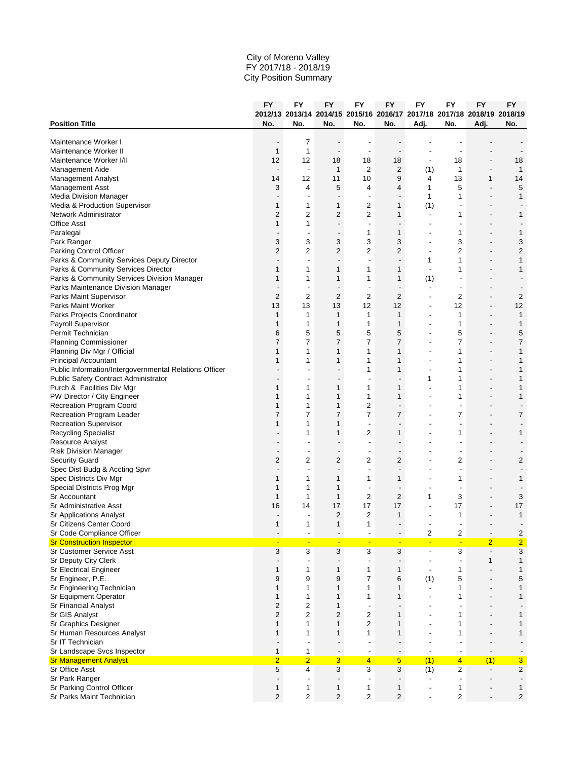|                                                        | FY                           | FY                       | FY                           | FY                                                                      | FY                           | <b>FY</b>                | <b>FY</b>                | <b>FY</b>                       | <b>FY</b>                                 |
|--------------------------------------------------------|------------------------------|--------------------------|------------------------------|-------------------------------------------------------------------------|------------------------------|--------------------------|--------------------------|---------------------------------|-------------------------------------------|
|                                                        |                              |                          |                              | 2012/13 2013/14 2014/15 2015/16 2016/17 2017/18 2017/18 2018/19 2018/19 |                              |                          |                          |                                 |                                           |
| <b>Position Title</b>                                  | No.                          | No.                      | No.                          | No.                                                                     | No.                          | Adj.                     | No.                      | Adj.                            | No.                                       |
| Maintenance Worker I                                   | $\qquad \qquad \blacksquare$ | 7                        |                              |                                                                         |                              |                          |                          |                                 |                                           |
| Maintenance Worker II                                  | $\mathbf{1}$                 | $\mathbf{1}$             | $\overline{\phantom{a}}$     | $\overline{\phantom{a}}$                                                | $\overline{\phantom{a}}$     |                          |                          |                                 |                                           |
| Maintenance Worker I/II                                | 12                           | 12                       | 18                           | 18                                                                      | 18                           | $\overline{\phantom{a}}$ | 18                       |                                 | 18                                        |
| Management Aide                                        | $\overline{\phantom{a}}$     | $\blacksquare$           | $\mathbf{1}$                 | 2                                                                       | $\overline{2}$               | (1)                      | 1                        | $\overline{a}$                  | $\mathbf{1}$                              |
| Management Analyst                                     | 14                           | 12                       | 11                           | 10                                                                      | 9                            | 4                        | 13                       | 1                               | 14                                        |
| Management Asst                                        | 3                            | 4                        | 5                            | 4                                                                       | $\overline{4}$               | 1                        | 5                        | $\overline{a}$                  | 5                                         |
| Media Division Manager                                 | $\overline{\phantom{m}}$     | $\overline{\phantom{a}}$ | $\qquad \qquad \blacksquare$ | $\overline{\phantom{a}}$                                                | $\overline{a}$               | 1                        | 1                        | $\overline{\phantom{a}}$        | $\mathbf{1}$                              |
| Media & Production Supervisor                          | 1                            | 1                        | 1                            | 2                                                                       | 1                            | (1)                      |                          |                                 |                                           |
| Network Administrator                                  | 2                            | $\overline{2}$           | 2                            | 2                                                                       | 1                            | $\blacksquare$           | 1                        |                                 | 1                                         |
| <b>Office Asst</b>                                     | 1                            | 1                        | $\qquad \qquad \blacksquare$ | $\overline{a}$                                                          |                              |                          |                          |                                 |                                           |
| Paralegal                                              | $\overline{\phantom{m}}$     | $\overline{\phantom{a}}$ | $\overline{\phantom{m}}$     | 1                                                                       | 1                            | ٠                        | 1                        |                                 | 1                                         |
| Park Ranger                                            | 3                            | 3                        | 3                            | 3                                                                       | 3                            | $\overline{\phantom{a}}$ | 3                        | $\overline{\phantom{a}}$        | 3                                         |
| Parking Control Officer                                | $\overline{2}$               | 2                        | $\overline{c}$               | 2                                                                       | 2                            | ٠                        | 2                        | $\overline{a}$                  | $\overline{c}$                            |
| Parks & Community Services Deputy Director             | $\overline{a}$               |                          |                              | $\overline{\phantom{a}}$                                                | $\qquad \qquad \blacksquare$ | 1                        | 1                        | $\overline{a}$                  | 1                                         |
| Parks & Community Services Director                    | 1                            | 1                        | 1                            | 1                                                                       | 1                            | $\overline{\phantom{a}}$ | 1                        |                                 | 1                                         |
| Parks & Community Services Division Manager            | 1                            | 1                        | 1                            | 1                                                                       | 1                            | (1)                      |                          |                                 |                                           |
| Parks Maintenance Division Manager                     | $\qquad \qquad \blacksquare$ | $\overline{\phantom{a}}$ | $\qquad \qquad \blacksquare$ | $\overline{\phantom{a}}$                                                | $\qquad \qquad \blacksquare$ | $\overline{\phantom{a}}$ | ٠                        | $\qquad \qquad \blacksquare$    |                                           |
| Parks Maint Supervisor                                 | 2                            | 2                        | $\overline{2}$               | 2                                                                       | $\overline{2}$               | $\overline{\phantom{a}}$ | 2                        | $\overline{\phantom{m}}$        | $\overline{c}$                            |
| Parks Maint Worker                                     | 13                           | 13                       | 13                           | 12                                                                      | 12                           | ÷,                       | 12                       | $\overline{\phantom{a}}$        | 12                                        |
| Parks Projects Coordinator                             | 1                            | $\mathbf{1}$             | $\mathbf{1}$                 | 1                                                                       | 1                            |                          | 1                        |                                 | $\mathbf{1}$                              |
| Payroll Supervisor                                     | 1                            | 1                        | $\mathbf{1}$                 | 1                                                                       | 1                            |                          | 1                        | $\overline{\phantom{a}}$        | $\mathbf{1}$                              |
| Permit Technician                                      | 6                            | 5                        | 5                            | 5                                                                       | 5                            | ٠                        | 5                        | $\overline{\phantom{a}}$        | 5                                         |
| <b>Planning Commissioner</b>                           | 7                            | 7                        | 7                            | 7                                                                       | 7                            | ٠                        | 7                        | $\overline{a}$                  | $\overline{7}$                            |
| Planning Div Mgr / Official                            | 1                            | 1                        | 1                            | 1                                                                       | 1                            | ٠                        | 1                        | $\overline{\phantom{a}}$        | $\mathbf{1}$                              |
| <b>Principal Accountant</b>                            | 1                            | 1                        | 1                            | 1                                                                       | 1                            | ٠                        | 1                        | $\overline{\phantom{a}}$        | 1                                         |
| Public Information/Intergovernmental Relations Officer |                              |                          |                              | 1                                                                       | $\mathbf{1}$                 | ÷,                       | 1                        | $\overline{a}$                  | $\mathbf{1}$                              |
| Public Safety Contract Administrator                   | $\overline{\phantom{m}}$     |                          |                              | $\overline{\phantom{a}}$                                                | $\overline{a}$               | 1                        | 1                        |                                 | $\mathbf{1}$                              |
| Purch & Facilities Div Mgr                             | 1                            | 1                        | 1                            | 1                                                                       | 1                            | ٠                        | 1                        | $\overline{\phantom{a}}$        | 1                                         |
| PW Director / City Engineer                            | 1                            | 1                        | $\mathbf{1}$                 | 1                                                                       | 1                            | ٠                        | 1                        | $\overline{a}$                  | $\mathbf{1}$                              |
| Recreation Program Coord                               | 1                            | 1                        | 1                            | $\overline{c}$                                                          | $\overline{a}$               |                          | $\overline{\phantom{a}}$ |                                 |                                           |
| Recreation Program Leader                              | 7                            | 7                        | 7                            | 7                                                                       | $\overline{7}$               | ٠                        | 7                        | $\overline{\phantom{m}}$        | 7                                         |
| <b>Recreation Supervisor</b>                           | $\mathbf{1}$                 | 1                        | 1                            | $\overline{\phantom{a}}$                                                |                              |                          |                          |                                 |                                           |
| <b>Recycling Specialist</b>                            |                              | 1                        | 1                            | 2                                                                       | 1                            |                          | 1                        |                                 | 1                                         |
| <b>Resource Analyst</b>                                | $\overline{\phantom{a}}$     | ٠                        | $\overline{\phantom{m}}$     | $\blacksquare$                                                          | $\overline{a}$               |                          | ٠                        | $\overline{a}$                  |                                           |
| <b>Risk Division Manager</b>                           |                              | ٠                        | $\overline{\phantom{m}}$     | $\overline{\phantom{a}}$                                                | $\overline{\phantom{m}}$     |                          | $\overline{a}$           |                                 |                                           |
| <b>Security Guard</b>                                  | 2                            | $\overline{2}$           | 2                            | 2                                                                       | $\overline{2}$               |                          | 2                        |                                 | $\overline{c}$                            |
| Spec Dist Budg & Accting Spvr                          | $\overline{\phantom{a}}$     | $\overline{\phantom{a}}$ |                              | $\overline{\phantom{a}}$                                                | $\overline{\phantom{a}}$     |                          | $\overline{\phantom{a}}$ |                                 |                                           |
| Spec Districts Div Mgr                                 | 1                            | 1                        | 1                            | 1                                                                       | $\mathbf{1}$                 | ٠                        | 1                        | $\overline{a}$                  | 1                                         |
| Special Districts Prog Mgr                             | 1                            | $\mathbf 1$              | 1                            | $\overline{\phantom{a}}$                                                | $\overline{a}$               |                          | $\overline{a}$           |                                 |                                           |
| Sr Accountant                                          | 1                            | $\mathbf{1}$             | $\mathbf{1}$                 | 2                                                                       | 2                            | 1                        | 3                        |                                 | 3                                         |
| Sr Administrative Asst                                 | 16                           | 14                       | 17                           | 17                                                                      | 17                           | ÷,                       | 17                       |                                 | 17                                        |
| Sr Applications Analyst                                |                              | -                        | $\overline{2}$               | 2                                                                       | 1                            |                          | 1                        |                                 | 1                                         |
| Sr Citizens Center Coord                               | $\mathbf{1}$                 | 1                        | 1                            | 1                                                                       | $\overline{\phantom{m}}$     | ٠                        | $\overline{\phantom{a}}$ | $\overline{\phantom{a}}$        |                                           |
| Sr Code Compliance Officer                             |                              |                          |                              |                                                                         |                              | 2                        | 2                        |                                 | 2                                         |
| <b>Sr Construction Inspector</b>                       |                              |                          | $\blacksquare$               | ٠                                                                       | Ξ                            | Ξ                        | Ξ                        | $\overline{2}$                  | $\overline{2}$                            |
| Sr Customer Service Asst                               | 3                            | 3                        | 3                            | 3                                                                       | 3                            | $\overline{\phantom{a}}$ | $\overline{\mathbf{3}}$  | $\overline{\phantom{a}}$        | 3                                         |
| Sr Deputy City Clerk                                   | $\qquad \qquad \blacksquare$ | $\overline{\phantom{a}}$ | $\overline{a}$               | $\overline{\phantom{a}}$                                                | $\overline{\phantom{0}}$     | $\overline{\phantom{a}}$ | $\overline{\phantom{a}}$ | 1                               | $\mathbf{1}$                              |
| <b>Sr Electrical Engineer</b>                          | $\mathbf{1}$                 | 1                        | 1                            | 1                                                                       | 1                            | $\overline{\phantom{a}}$ | 1                        | $\overline{\phantom{a}}$        | $\mathbf{1}$                              |
| Sr Engineer, P.E.                                      | 9                            | 9                        | 9                            | 7                                                                       | 6                            | (1)                      | 5                        |                                 | 5                                         |
| Sr Engineering Technician                              | 1                            | $\mathbf{1}$             | 1                            | 1                                                                       | 1                            |                          | 1                        | $\overline{\phantom{a}}$        | $\mathbf{1}$                              |
| <b>Sr Equipment Operator</b>                           | $\mathbf{1}$                 | $\mathbf{1}$             | $\mathbf{1}$                 | 1                                                                       | $\mathbf{1}$                 |                          | 1                        |                                 | $\mathbf{1}$                              |
| <b>Sr Financial Analyst</b>                            | 2                            | $\overline{c}$           | $\mathbf{1}$                 | $\overline{\phantom{a}}$                                                | $\overline{a}$               |                          |                          |                                 |                                           |
| Sr GIS Analyst                                         | $\overline{2}$               | $\overline{c}$           | 2                            | 2                                                                       | 1                            |                          | 1                        |                                 | $\mathbf{1}$                              |
| Sr Graphics Designer                                   | $\mathbf{1}$                 | $\mathbf{1}$             | $\mathbf{1}$                 | $\overline{2}$                                                          | 1                            |                          | 1                        |                                 | 1                                         |
| Sr Human Resources Analyst                             | 1                            | 1                        | 1                            | 1                                                                       | $\mathbf{1}$                 |                          | 1                        | $\overline{\phantom{a}}$        | $\mathbf{1}$                              |
| Sr IT Technician                                       | $\overline{\phantom{a}}$     | $\overline{\phantom{a}}$ |                              | $\overline{\phantom{a}}$                                                | $\overline{a}$               |                          |                          | $\overline{a}$                  |                                           |
| Sr Landscape Svcs Inspector                            | $\mathbf{1}$                 | 1                        | $\overline{\phantom{a}}$     | $\overline{\phantom{a}}$                                                | $\overline{\phantom{0}}$     | $\overline{\phantom{a}}$ | $\overline{\phantom{a}}$ | $\overline{\phantom{a}}$        |                                           |
| <b>Sr Management Analyst</b><br>Sr Office Asst         | $\overline{2}$<br>5          | $\overline{2}$<br>4      | 3<br>3                       | $\overline{4}$<br>3                                                     | 5<br>3                       | (1)                      | 4<br>$\overline{c}$      | (1)<br>$\overline{\phantom{a}}$ | $\overline{\mathbf{3}}$<br>$\overline{2}$ |
| Sr Park Ranger                                         |                              |                          |                              |                                                                         |                              | (1)                      | $\overline{\phantom{a}}$ |                                 |                                           |
| Sr Parking Control Officer                             | $\mathbf{1}$                 | $\mathbf{1}$             | $\mathbf{1}$                 | 1                                                                       | $\mathbf{1}$                 | $\overline{\phantom{a}}$ | 1                        |                                 | $\mathbf{1}$                              |
| Sr Parks Maint Technician                              | $\overline{2}$               | $\overline{2}$           | $\overline{2}$               | 2                                                                       | $\overline{c}$               | $\overline{\phantom{a}}$ | 2                        | $\overline{\phantom{a}}$        | $\overline{c}$                            |
|                                                        |                              |                          |                              |                                                                         |                              |                          |                          |                                 |                                           |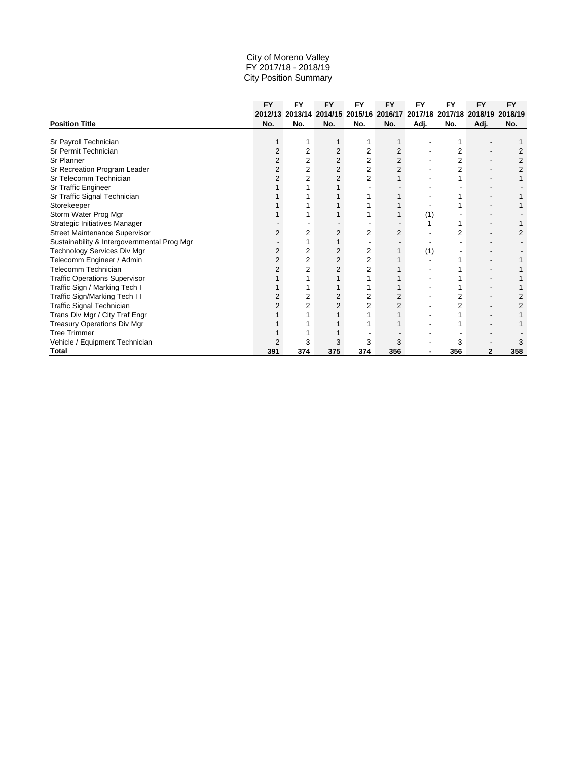|                                             | <b>FY</b> | <b>FY</b> | <b>FY</b>       | <b>FY</b> | <b>FY</b>      | <b>FY</b> | FY  | <b>FY</b>       | <b>FY</b> |
|---------------------------------------------|-----------|-----------|-----------------|-----------|----------------|-----------|-----|-----------------|-----------|
|                                             | 2012/13   |           | 2013/14 2014/15 | 2015/16   | 2016/17        | 2017/18   |     | 2017/18 2018/19 | 2018/19   |
| <b>Position Title</b>                       | No.       | No.       | No.             | No.       | No.            | Adj.      | No. | Adj.            | No.       |
|                                             |           |           |                 |           |                |           |     |                 |           |
| Sr Payroll Technician                       |           |           |                 |           |                |           |     |                 |           |
| Sr Permit Technician                        |           | 2         | 2               | 2         | 2              |           | 2   |                 | 2         |
| Sr Planner                                  |           | 2         | 2               | 2         | $\overline{c}$ |           | 2   |                 |           |
| Sr Recreation Program Leader                |           | 2         | 2               | 2         | 2              |           | 2   |                 |           |
| Sr Telecomm Technician                      |           | 2         | 2               | 2         |                |           |     |                 |           |
| Sr Traffic Engineer                         |           |           |                 |           |                |           |     |                 |           |
| Sr Traffic Signal Technician                |           |           |                 |           |                |           |     |                 |           |
| Storekeeper                                 |           |           |                 |           |                |           |     |                 |           |
| Storm Water Prog Mgr                        |           |           |                 |           |                | (1)       |     |                 |           |
| Strategic Initiatives Manager               |           |           |                 |           |                |           |     |                 |           |
| Street Maintenance Supervisor               |           | 2         | 2               | 2         | $\overline{c}$ |           | 2   |                 |           |
| Sustainability & Intergovernmental Prog Mgr |           |           |                 |           |                |           |     |                 |           |
| Technology Services Div Mgr                 | 2         | 2         | 2               | 2         |                | (1)       |     |                 |           |
| Telecomm Engineer / Admin                   | 2         | 2         | $\overline{2}$  | 2         |                |           |     |                 |           |
| Telecomm Technician                         |           |           |                 | 2         |                |           |     |                 |           |
| <b>Traffic Operations Supervisor</b>        |           |           |                 |           |                |           |     |                 |           |
| Traffic Sign / Marking Tech I               |           |           |                 |           |                |           |     |                 |           |
| Traffic Sign/Marking Tech II                |           |           |                 | 2         |                |           |     |                 |           |
| Traffic Signal Technician                   |           |           |                 | 2         | 2              |           |     |                 |           |
| Trans Div Mgr / City Traf Engr              |           |           |                 |           |                |           |     |                 |           |
| Treasury Operations Div Mgr                 |           |           |                 |           |                |           |     |                 |           |
| <b>Tree Trimmer</b>                         |           |           |                 |           |                |           |     |                 |           |
| Vehicle / Equipment Technician              |           | 3         | 3               | 3         | 3              |           | 3   |                 |           |
| <b>Total</b>                                | 391       | 374       | 375             | 374       | 356            |           | 356 | $\mathbf{2}$    | 358       |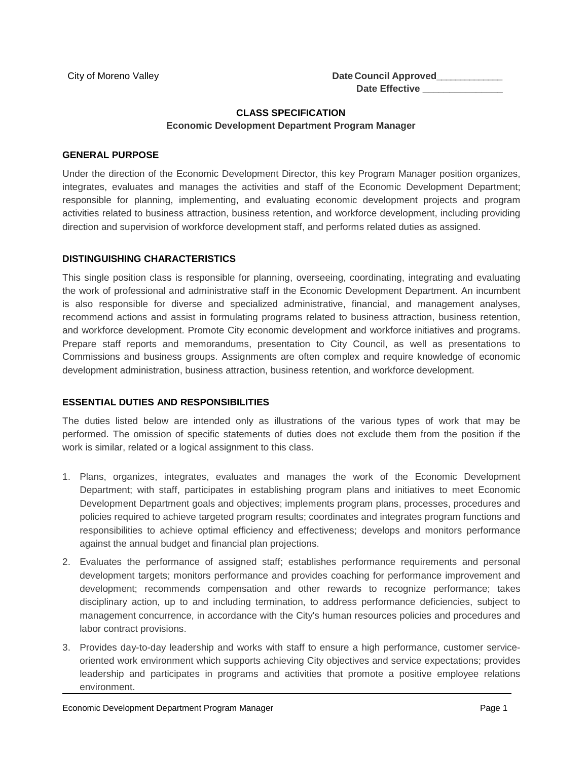City of Moreno Valley **Date Council Approved** Date Effective

#### **CLASS SPECIFICATION Economic Development Department Program Manager**

#### **GENERAL PURPOSE**

Under the direction of the Economic Development Director, this key Program Manager position organizes, integrates, evaluates and manages the activities and staff of the Economic Development Department; responsible for planning, implementing, and evaluating economic development projects and program activities related to business attraction, business retention, and workforce development, including providing direction and supervision of workforce development staff, and performs related duties as assigned.

#### **DISTINGUISHING CHARACTERISTICS**

This single position class is responsible for planning, overseeing, coordinating, integrating and evaluating the work of professional and administrative staff in the Economic Development Department. An incumbent is also responsible for diverse and specialized administrative, financial, and management analyses, recommend actions and assist in formulating programs related to business attraction, business retention, and workforce development. Promote City economic development and workforce initiatives and programs. Prepare staff reports and memorandums, presentation to City Council, as well as presentations to Commissions and business groups. Assignments are often complex and require knowledge of economic development administration, business attraction, business retention, and workforce development.

#### **ESSENTIAL DUTIES AND RESPONSIBILITIES**

The duties listed below are intended only as illustrations of the various types of work that may be performed. The omission of specific statements of duties does not exclude them from the position if the work is similar, related or a logical assignment to this class.

- 1. Plans, organizes, integrates, evaluates and manages the work of the Economic Development Department; with staff, participates in establishing program plans and initiatives to meet Economic Development Department goals and objectives; implements program plans, processes, procedures and policies required to achieve targeted program results; coordinates and integrates program functions and responsibilities to achieve optimal efficiency and effectiveness; develops and monitors performance against the annual budget and financial plan projections.
- 2. Evaluates the performance of assigned staff; establishes performance requirements and personal development targets; monitors performance and provides coaching for performance improvement and development; recommends compensation and other rewards to recognize performance; takes disciplinary action, up to and including termination, to address performance deficiencies, subject to management concurrence, in accordance with the City's human resources policies and procedures and labor contract provisions.
- 3. Provides day-to-day leadership and works with staff to ensure a high performance, customer serviceoriented work environment which supports achieving City objectives and service expectations; provides leadership and participates in programs and activities that promote a positive employee relations environment.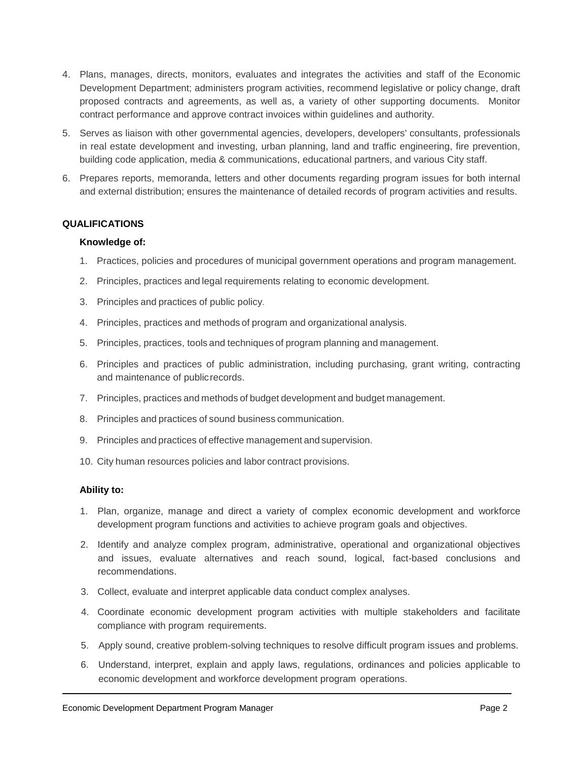- 4. Plans, manages, directs, monitors, evaluates and integrates the activities and staff of the Economic Development Department; administers program activities, recommend legislative or policy change, draft proposed contracts and agreements, as well as, a variety of other supporting documents. Monitor contract performance and approve contract invoices within guidelines and authority.
- 5. Serves as liaison with other governmental agencies, developers, developers' consultants, professionals in real estate development and investing, urban planning, land and traffic engineering, fire prevention, building code application, media & communications, educational partners, and various City staff.
- 6. Prepares reports, memoranda, letters and other documents regarding program issues for both internal and external distribution; ensures the maintenance of detailed records of program activities and results.

#### **QUALIFICATIONS**

#### **Knowledge of:**

- 1. Practices, policies and procedures of municipal government operations and program management.
- 2. Principles, practices and legal requirements relating to economic development.
- 3. Principles and practices of public policy.
- 4. Principles, practices and methods of program and organizational analysis.
- 5. Principles, practices, tools and techniques of program planning and management.
- 6. Principles and practices of public administration, including purchasing, grant writing, contracting and maintenance of publicrecords.
- 7. Principles, practices and methods of budget development and budget management.
- 8. Principles and practices of sound business communication.
- 9. Principles and practices of effective management and supervision.
- 10. City human resources policies and labor contract provisions.

#### **Ability to:**

- 1. Plan, organize, manage and direct a variety of complex economic development and workforce development program functions and activities to achieve program goals and objectives.
- 2. Identify and analyze complex program, administrative, operational and organizational objectives and issues, evaluate alternatives and reach sound, logical, fact-based conclusions and recommendations.
- 3. Collect, evaluate and interpret applicable data conduct complex analyses.
- 4. Coordinate economic development program activities with multiple stakeholders and facilitate compliance with program requirements.
- 5. Apply sound, creative problem-solving techniques to resolve difficult program issues and problems.
- 6. Understand, interpret, explain and apply laws, regulations, ordinances and policies applicable to economic development and workforce development program operations.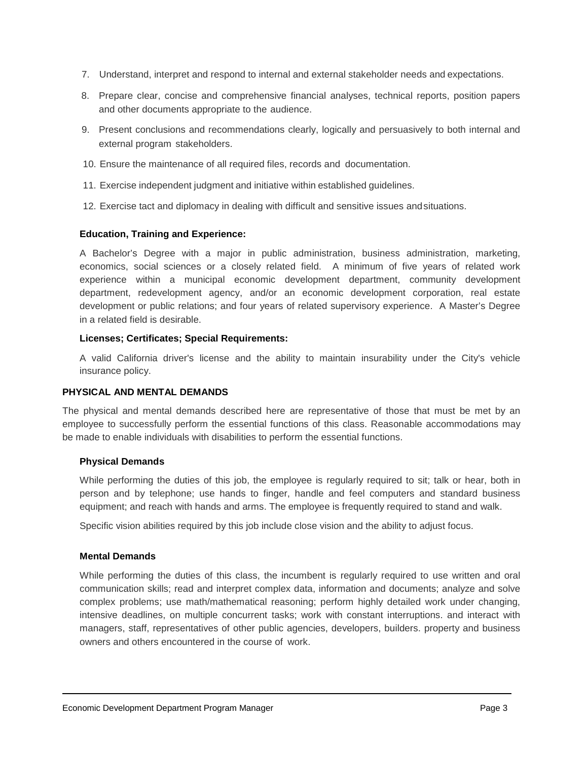- 7. Understand, interpret and respond to internal and external stakeholder needs and expectations.
- 8. Prepare clear, concise and comprehensive financial analyses, technical reports, position papers and other documents appropriate to the audience.
- 9. Present conclusions and recommendations clearly, logically and persuasively to both internal and external program stakeholders.
- 10. Ensure the maintenance of all required files, records and documentation.
- 11. Exercise independent judgment and initiative within established guidelines.
- 12. Exercise tact and diplomacy in dealing with difficult and sensitive issues andsituations.

#### **Education, Training and Experience:**

A Bachelor's Degree with a major in public administration, business administration, marketing, economics, social sciences or a closely related field. A minimum of five years of related work experience within a municipal economic development department, community development department, redevelopment agency, and/or an economic development corporation, real estate development or public relations; and four years of related supervisory experience. A Master's Degree in a related field is desirable.

#### **Licenses; Certificates; Special Requirements:**

A valid California driver's license and the ability to maintain insurability under the City's vehicle insurance policy.

#### **PHYSICAL AND MENTAL DEMANDS**

The physical and mental demands described here are representative of those that must be met by an employee to successfully perform the essential functions of this class. Reasonable accommodations may be made to enable individuals with disabilities to perform the essential functions.

#### **Physical Demands**

While performing the duties of this job, the employee is regularly required to sit; talk or hear, both in person and by telephone; use hands to finger, handle and feel computers and standard business equipment; and reach with hands and arms. The employee is frequently required to stand and walk.

Specific vision abilities required by this job include close vision and the ability to adjust focus.

#### **Mental Demands**

While performing the duties of this class, the incumbent is regularly required to use written and oral communication skills; read and interpret complex data, information and documents; analyze and solve complex problems; use math/mathematical reasoning; perform highly detailed work under changing, intensive deadlines, on multiple concurrent tasks; work with constant interruptions. and interact with managers, staff, representatives of other public agencies, developers, builders. property and business owners and others encountered in the course of work.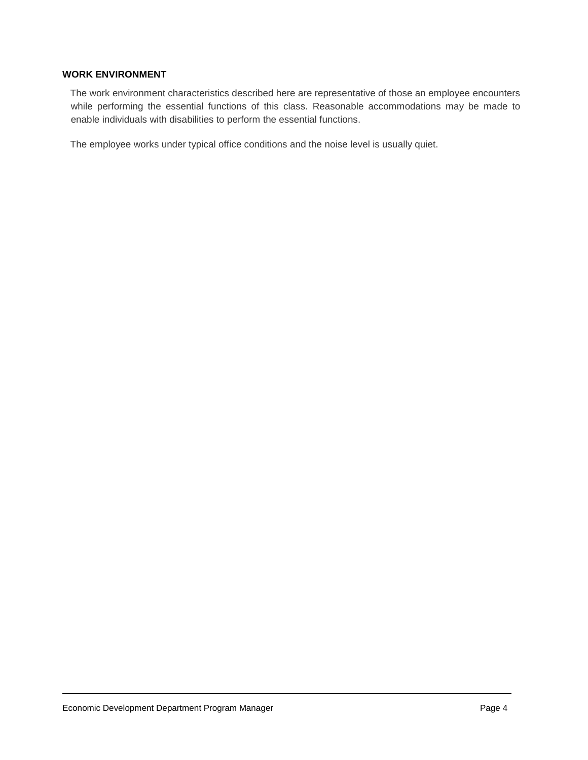#### **WORK ENVIRONMENT**

The work environment characteristics described here are representative of those an employee encounters while performing the essential functions of this class. Reasonable accommodations may be made to enable individuals with disabilities to perform the essential functions.

The employee works under typical office conditions and the noise level is usually quiet.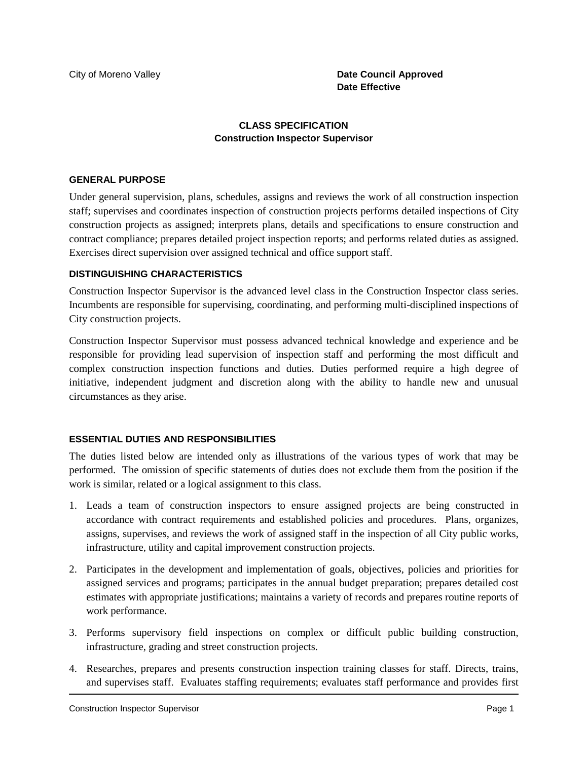#### City of Moreno Valley **Date Council Approved Date Effective**

#### **CLASS SPECIFICATION Construction Inspector Supervisor**

#### **GENERAL PURPOSE**

Under general supervision, plans, schedules, assigns and reviews the work of all construction inspection staff; supervises and coordinates inspection of construction projects performs detailed inspections of City construction projects as assigned; interprets plans, details and specifications to ensure construction and contract compliance; prepares detailed project inspection reports; and performs related duties as assigned. Exercises direct supervision over assigned technical and office support staff.

#### **DISTINGUISHING CHARACTERISTICS**

Construction Inspector Supervisor is the advanced level class in the Construction Inspector class series. Incumbents are responsible for supervising, coordinating, and performing multi-disciplined inspections of City construction projects.

Construction Inspector Supervisor must possess advanced technical knowledge and experience and be responsible for providing lead supervision of inspection staff and performing the most difficult and complex construction inspection functions and duties. Duties performed require a high degree of initiative, independent judgment and discretion along with the ability to handle new and unusual circumstances as they arise.

#### **ESSENTIAL DUTIES AND RESPONSIBILITIES**

The duties listed below are intended only as illustrations of the various types of work that may be performed. The omission of specific statements of duties does not exclude them from the position if the work is similar, related or a logical assignment to this class.

- 1. Leads a team of construction inspectors to ensure assigned projects are being constructed in accordance with contract requirements and established policies and procedures. Plans, organizes, assigns, supervises, and reviews the work of assigned staff in the inspection of all City public works, infrastructure, utility and capital improvement construction projects.
- 2. Participates in the development and implementation of goals, objectives, policies and priorities for assigned services and programs; participates in the annual budget preparation; prepares detailed cost estimates with appropriate justifications; maintains a variety of records and prepares routine reports of work performance.
- 3. Performs supervisory field inspections on complex or difficult public building construction, infrastructure, grading and street construction projects.
- 4. Researches, prepares and presents construction inspection training classes for staff. Directs, trains, and supervises staff. Evaluates staffing requirements; evaluates staff performance and provides first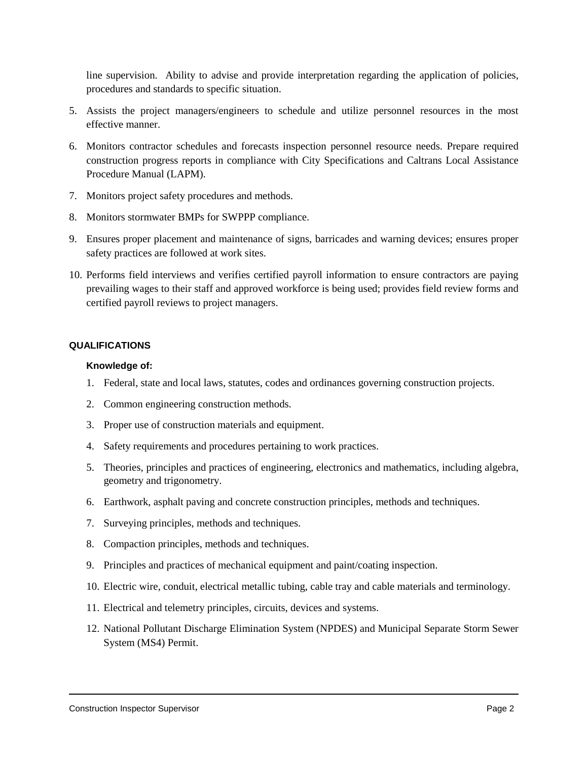line supervision. Ability to advise and provide interpretation regarding the application of policies, procedures and standards to specific situation.

- 5. Assists the project managers/engineers to schedule and utilize personnel resources in the most effective manner.
- 6. Monitors contractor schedules and forecasts inspection personnel resource needs. Prepare required construction progress reports in compliance with City Specifications and Caltrans Local Assistance Procedure Manual (LAPM).
- 7. Monitors project safety procedures and methods.
- 8. Monitors stormwater BMPs for SWPPP compliance.
- 9. Ensures proper placement and maintenance of signs, barricades and warning devices; ensures proper safety practices are followed at work sites.
- 10. Performs field interviews and verifies certified payroll information to ensure contractors are paying prevailing wages to their staff and approved workforce is being used; provides field review forms and certified payroll reviews to project managers.

#### **QUALIFICATIONS**

#### **Knowledge of:**

- 1. Federal, state and local laws, statutes, codes and ordinances governing construction projects.
- 2. Common engineering construction methods.
- 3. Proper use of construction materials and equipment.
- 4. Safety requirements and procedures pertaining to work practices.
- 5. Theories, principles and practices of engineering, electronics and mathematics, including algebra, geometry and trigonometry.
- 6. Earthwork, asphalt paving and concrete construction principles, methods and techniques.
- 7. Surveying principles, methods and techniques.
- 8. Compaction principles, methods and techniques.
- 9. Principles and practices of mechanical equipment and paint/coating inspection.
- 10. Electric wire, conduit, electrical metallic tubing, cable tray and cable materials and terminology.
- 11. Electrical and telemetry principles, circuits, devices and systems.
- 12. National Pollutant Discharge Elimination System (NPDES) and Municipal Separate Storm Sewer System (MS4) Permit.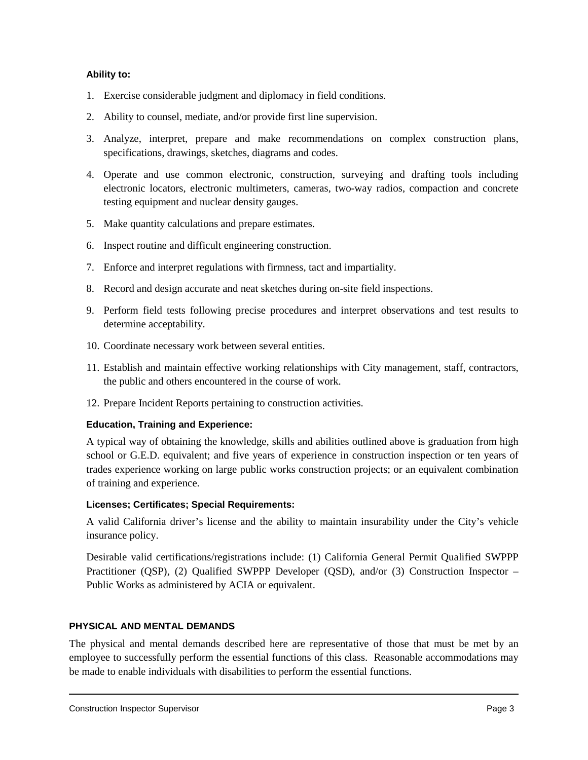#### **Ability to:**

- 1. Exercise considerable judgment and diplomacy in field conditions.
- 2. Ability to counsel, mediate, and/or provide first line supervision.
- 3. Analyze, interpret, prepare and make recommendations on complex construction plans, specifications, drawings, sketches, diagrams and codes.
- 4. Operate and use common electronic, construction, surveying and drafting tools including electronic locators, electronic multimeters, cameras, two-way radios, compaction and concrete testing equipment and nuclear density gauges.
- 5. Make quantity calculations and prepare estimates.
- 6. Inspect routine and difficult engineering construction.
- 7. Enforce and interpret regulations with firmness, tact and impartiality.
- 8. Record and design accurate and neat sketches during on-site field inspections.
- 9. Perform field tests following precise procedures and interpret observations and test results to determine acceptability.
- 10. Coordinate necessary work between several entities.
- 11. Establish and maintain effective working relationships with City management, staff, contractors, the public and others encountered in the course of work.
- 12. Prepare Incident Reports pertaining to construction activities.

#### **Education, Training and Experience:**

A typical way of obtaining the knowledge, skills and abilities outlined above is graduation from high school or G.E.D. equivalent; and five years of experience in construction inspection or ten years of trades experience working on large public works construction projects; or an equivalent combination of training and experience.

#### **Licenses; Certificates; Special Requirements:**

A valid California driver's license and the ability to maintain insurability under the City's vehicle insurance policy.

Desirable valid certifications/registrations include: (1) California General Permit Qualified SWPPP Practitioner (QSP), (2) Qualified SWPPP Developer (QSD), and/or (3) Construction Inspector – Public Works as administered by ACIA or equivalent.

## **PHYSICAL AND MENTAL DEMANDS**

The physical and mental demands described here are representative of those that must be met by an employee to successfully perform the essential functions of this class. Reasonable accommodations may be made to enable individuals with disabilities to perform the essential functions.